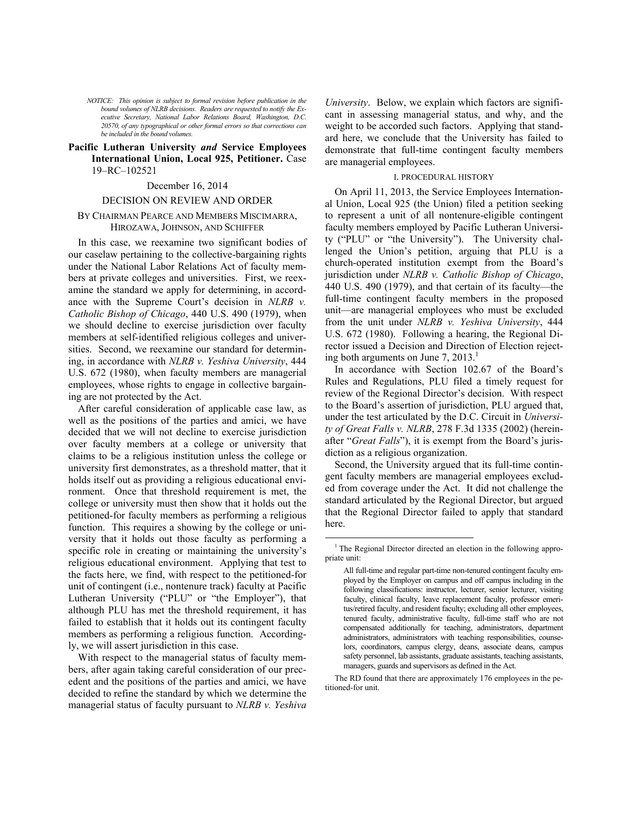*NOTICE: This opinion is subject to formal revision before publication in the bound volumes of NLRB decisions. Readers are requested to notify the Executive Secretary, National Labor Relations Board, Washington, D.C. 20570, of any typographical or other formal errors so that corrections can be included in the bound volumes.*

## **Pacific Lutheran University** *and* **Service Employees International Union, Local 925, Petitioner.** Case 19–RC–102521

#### December 16, 2014

#### DECISION ON REVIEW AND ORDER

## BY CHAIRMAN PEARCE AND MEMBERS MISCIMARRA, HIROZAWA, JOHNSON, AND SCHIFFER

In this case, we reexamine two significant bodies of our caselaw pertaining to the collective-bargaining rights under the National Labor Relations Act of faculty members at private colleges and universities. First, we reexamine the standard we apply for determining, in accordance with the Supreme Court's decision in *NLRB v. Catholic Bishop of Chicago*, 440 U.S. 490 (1979), when we should decline to exercise jurisdiction over faculty members at self-identified religious colleges and universities. Second, we reexamine our standard for determining, in accordance with *NLRB v. Yeshiva University*, 444 U.S. 672 (1980), when faculty members are managerial employees, whose rights to engage in collective bargaining are not protected by the Act.

After careful consideration of applicable case law, as well as the positions of the parties and amici, we have decided that we will not decline to exercise jurisdiction over faculty members at a college or university that claims to be a religious institution unless the college or university first demonstrates, as a threshold matter, that it holds itself out as providing a religious educational environment. Once that threshold requirement is met, the college or university must then show that it holds out the petitioned-for faculty members as performing a religious function. This requires a showing by the college or university that it holds out those faculty as performing a specific role in creating or maintaining the university's religious educational environment. Applying that test to the facts here, we find, with respect to the petitioned-for unit of contingent (i.e., nontenure track) faculty at Pacific Lutheran University ("PLU" or "the Employer"), that although PLU has met the threshold requirement, it has failed to establish that it holds out its contingent faculty members as performing a religious function. Accordingly, we will assert jurisdiction in this case.

<span id="page-0-0"></span>With respect to the managerial status of faculty members, after again taking careful consideration of our precedent and the positions of the parties and amici, we have decided to refine the standard by which we determine the managerial status of faculty pursuant to *NLRB v. Yeshiva* 

*University*. Below, we explain which factors are significant in assessing managerial status, and why, and the weight to be accorded such factors. Applying that standard here, we conclude that the University has failed to demonstrate that full-time contingent faculty members are managerial employees.

## I. PROCEDURAL HISTORY

On April 11, 2013, the Service Employees International Union, Local 925 (the Union) filed a petition seeking to represent a unit of all nontenure-eligible contingent faculty members employed by Pacific Lutheran University ("PLU" or "the University"). The University challenged the Union's petition, arguing that PLU is a church-operated institution exempt from the Board's jurisdiction under *NLRB v. Catholic Bishop of Chicago*, 440 U.S. 490 (1979), and that certain of its faculty—the full-time contingent faculty members in the proposed unit—are managerial employees who must be excluded from the unit under *NLRB v. Yeshiva University*, 444 U.S. 672 (1980). Following a hearing, the Regional Director issued a Decision and Direction of Election rejecting both arguments on June  $7, 2013$  $7, 2013$  $7, 2013$ .<sup>1</sup>

In accordance with Section 102.67 of the Board's Rules and Regulations, PLU filed a timely request for review of the Regional Director's decision. With respect to the Board's assertion of jurisdiction, PLU argued that, under the test articulated by the D.C. Circuit in *University of Great Falls v. NLRB*, 278 F.3d 1335 (2002) (hereinafter "*Great Falls*"), it is exempt from the Board's jurisdiction as a religious organization.

Second, the University argued that its full-time contingent faculty members are managerial employees excluded from coverage under the Act. It did not challenge the standard articulated by the Regional Director, but argued that the Regional Director failed to apply that standard here.

 $\overline{a}$ 

The RD found that there are approximately 176 employees in the petitioned-for unit.

<sup>&</sup>lt;sup>1</sup> The Regional Director directed an election in the following appropriate unit:

All full-time and regular part-time non-tenured contingent faculty employed by the Employer on campus and off campus including in the following classifications: instructor, lecturer, senior lecturer, visiting faculty, clinical faculty, leave replacement faculty, professor emeritus/retired faculty, and resident faculty; excluding all other employees, tenured faculty, administrative faculty, full-time staff who are not compensated additionally for teaching, administrators, department administrators, administrators with teaching responsibilities, counselors, coordinators, campus clergy, deans, associate deans, campus safety personnel, lab assistants, graduate assistants, teaching assistants, managers, guards and supervisors as defined in the Act.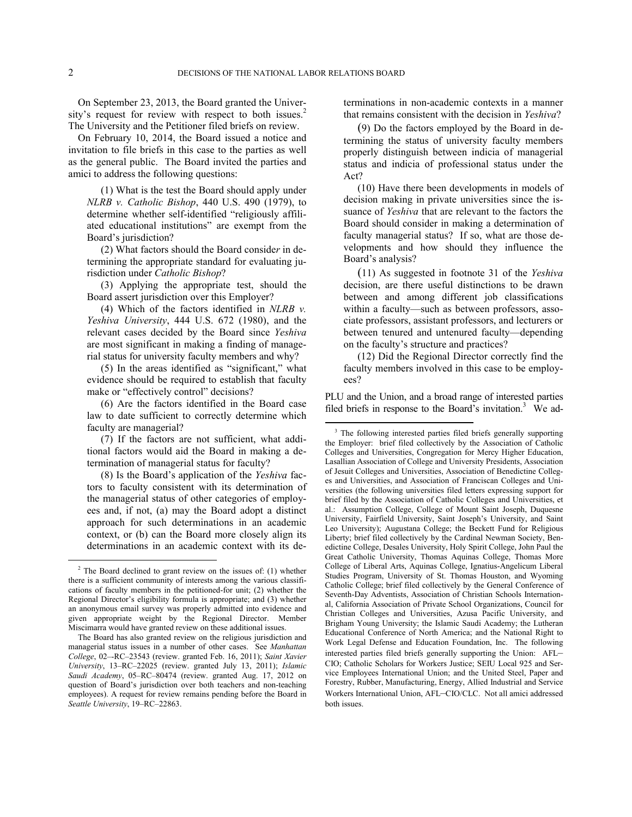On September 23, 2013, the Board granted the Univer-sity's request for review with respect to both issues.<sup>[2](#page-1-0)</sup> The University and the Petitioner filed briefs on review.

On February 10, 2014, the Board issued a notice and invitation to file briefs in this case to the parties as well as the general public. The Board invited the parties and amici to address the following questions:

(1) What is the test the Board should apply under *NLRB v. Catholic Bishop*, 440 U.S. 490 (1979), to determine whether self-identified "religiously affiliated educational institutions" are exempt from the Board's jurisdiction?

(2) What factors should the Board conside*r* in determining the appropriate standard for evaluating jurisdiction under *Catholic Bishop*?

(3) Applying the appropriate test, should the Board assert jurisdiction over this Employer?

(4) Which of the factors identified in *NLRB v. Yeshiva University*, 444 U.S. 672 (1980), and the relevant cases decided by the Board since *Yeshiva*  are most significant in making a finding of managerial status for university faculty members and why?

(5) In the areas identified as "significant," what evidence should be required to establish that faculty make or "effectively control" decisions?

(6) Are the factors identified in the Board case law to date sufficient to correctly determine which faculty are managerial?

<span id="page-1-1"></span>(7) If the factors are not sufficient, what additional factors would aid the Board in making a determination of managerial status for faculty?

(8) Is the Board's application of the *Yeshiva* factors to faculty consistent with its determination of the managerial status of other categories of employees and, if not, (a) may the Board adopt a distinct approach for such determinations in an academic context, or (b) can the Board more closely align its determinations in an academic context with its determinations in non-academic contexts in a manner that remains consistent with the decision in *Yeshiva*?

(9) Do the factors employed by the Board in determining the status of university faculty members properly distinguish between indicia of managerial status and indicia of professional status under the Act?

(10) Have there been developments in models of decision making in private universities since the issuance of *Yeshiva* that are relevant to the factors the Board should consider in making a determination of faculty managerial status? If so, what are those developments and how should they influence the Board's analysis?

(11) As suggested in footnote 31 of the *Yeshiva* decision, are there useful distinctions to be drawn between and among different job classifications within a faculty—such as between professors, associate professors, assistant professors, and lecturers or between tenured and untenured faculty—depending on the faculty's structure and practices?

(12) Did the Regional Director correctly find the faculty members involved in this case to be employees?

PLU and the Union, and a broad range of interested parties filed briefs in response to the Board's invitation.<sup>[3](#page-1-1)</sup> We ad-

<u>.</u>

<span id="page-1-0"></span> $2$  The Board declined to grant review on the issues of: (1) whether there is a sufficient community of interests among the various classifications of faculty members in the petitioned-for unit; (2) whether the Regional Director's eligibility formula is appropriate; and (3) whether an anonymous email survey was properly admitted into evidence and given appropriate weight by the Regional Director. Member Miscimarra would have granted review on these additional issues.

The Board has also granted review on the religious jurisdiction and managerial status issues in a number of other cases. See *Manhattan College*, 02–-RC–23543 (review. granted Feb. 16, 2011); *Saint Xavier University*, 13–RC–22025 (review. granted July 13, 2011); *Islamic Saudi Academy*, 05–RC–80474 (review. granted Aug. 17, 2012 on question of Board's jurisdiction over both teachers and non-teaching employees). A request for review remains pending before the Board in *Seattle University*, 19–RC–22863.

<sup>&</sup>lt;sup>3</sup> The following interested parties filed briefs generally supporting the Employer: brief filed collectively by the Association of Catholic Colleges and Universities, Congregation for Mercy Higher Education, Lasallian Association of College and University Presidents, Association of Jesuit Colleges and Universities, Association of Benedictine Colleges and Universities, and Association of Franciscan Colleges and Universities (the following universities filed letters expressing support for brief filed by the Association of Catholic Colleges and Universities, et al.: Assumption College, College of Mount Saint Joseph, Duquesne University, Fairfield University, Saint Joseph's University, and Saint Leo University); Augustana College; the Beckett Fund for Religious Liberty; brief filed collectively by the Cardinal Newman Society, Benedictine College, Desales University, Holy Spirit College, John Paul the Great Catholic University, Thomas Aquinas College, Thomas More College of Liberal Arts, Aquinas College, Ignatius-Angelicum Liberal Studies Program, University of St. Thomas Houston, and Wyoming Catholic College; brief filed collectively by the General Conference of Seventh-Day Adventists, Association of Christian Schools International, California Association of Private School Organizations, Council for Christian Colleges and Universities, Azusa Pacific University, and Brigham Young University; the Islamic Saudi Academy; the Lutheran Educational Conference of North America; and the National Right to Work Legal Defense and Education Foundation, Inc. The following interested parties filed briefs generally supporting the Union: AFL– CIO; Catholic Scholars for Workers Justice; SEIU Local 925 and Service Employees International Union; and the United Steel, Paper and Forestry, Rubber, Manufacturing, Energy, Allied Industrial and Service Workers International Union, AFL–CIO/CLC. Not all amici addressed both issues.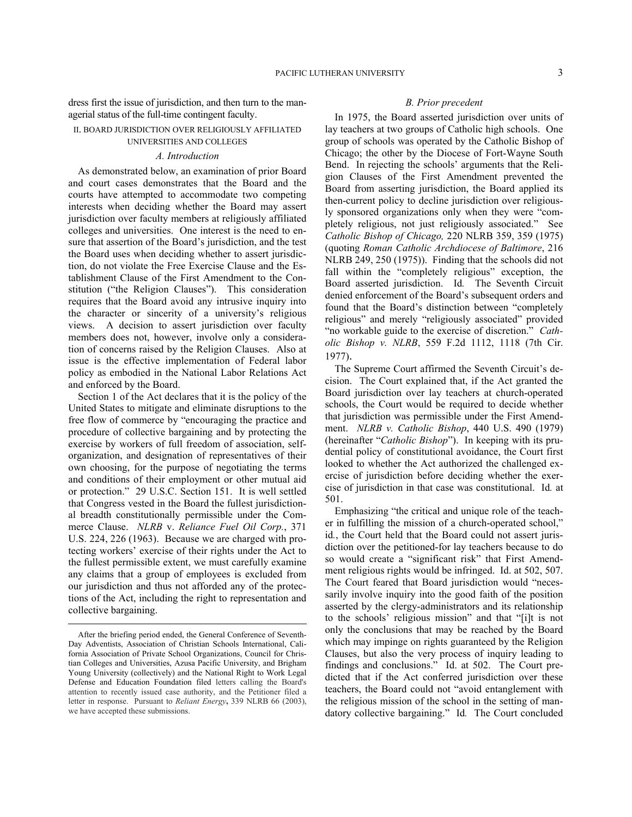dress first the issue of jurisdiction, and then turn to the managerial status of the full-time contingent faculty.

# II. BOARD JURISDICTION OVER RELIGIOUSLY AFFILIATED UNIVERSITIES AND COLLEGES

#### *A. Introduction*

As demonstrated below, an examination of prior Board and court cases demonstrates that the Board and the courts have attempted to accommodate two competing interests when deciding whether the Board may assert jurisdiction over faculty members at religiously affiliated colleges and universities. One interest is the need to ensure that assertion of the Board's jurisdiction, and the test the Board uses when deciding whether to assert jurisdiction, do not violate the Free Exercise Clause and the Establishment Clause of the First Amendment to the Constitution ("the Religion Clauses"). This consideration requires that the Board avoid any intrusive inquiry into the character or sincerity of a university's religious views. A decision to assert jurisdiction over faculty members does not, however, involve only a consideration of concerns raised by the Religion Clauses. Also at issue is the effective implementation of Federal labor policy as embodied in the National Labor Relations Act and enforced by the Board.

Section 1 of the Act declares that it is the policy of the United States to mitigate and eliminate disruptions to the free flow of commerce by "encouraging the practice and procedure of collective bargaining and by protecting the exercise by workers of full freedom of association, selforganization, and designation of representatives of their own choosing, for the purpose of negotiating the terms and conditions of their employment or other mutual aid or protection." 29 U.S.C. Section 151. It is well settled that Congress vested in the Board the fullest jurisdictional breadth constitutionally permissible under the Commerce Clause. *NLRB* v. *[Reliance Fuel Oil Corp.](http://www.westlaw.com/Link/Document/FullText?findType=Y&serNum=1963125269&pubNum=780&fi=co_pp_sp_780_226&originationContext=document&vr=3.0&rs=cblt1.0&transitionType=DocumentItem&contextData=(sc.Default)#co_pp_sp_780_226)*, 371 [U.S. 224, 226 \(1963\).](http://www.westlaw.com/Link/Document/FullText?findType=Y&serNum=1963125269&pubNum=780&fi=co_pp_sp_780_226&originationContext=document&vr=3.0&rs=cblt1.0&transitionType=DocumentItem&contextData=(sc.Default)#co_pp_sp_780_226) Because we are charged with protecting workers' exercise of their rights under the Act to the fullest permissible extent, we must carefully examine any claims that a group of employees is excluded from our jurisdiction and thus not afforded any of the protections of the Act, including the right to representation and collective bargaining.

 $\overline{a}$ 

# *B. Prior precedent*

In 1975, the Board asserted jurisdiction over units of lay teachers at two groups of Catholic high schools. One group of schools was operated by the Catholic Bishop of Chicago; the other by the Diocese of Fort-Wayne South Bend. In rejecting the schools' arguments that the Religion Clauses of the First Amendment prevented the Board from asserting jurisdiction, the Board applied its then-current policy to decline jurisdiction over religiously sponsored organizations only when they were "completely religious, not just religiously associated." See *Catholic Bishop of Chicago,* 220 NLRB 359, 359 (1975) (quoting *Roman Catholic Archdiocese of Baltimore*, 216 NLRB 249, 250 (1975)). Finding that the schools did not fall within the "completely religious" exception, the Board asserted jurisdiction. Id*.* The Seventh Circuit denied enforcement of the Board's subsequent orders and found that the Board's distinction between "completely religious" and merely "religiously associated" provided "no workable guide to the exercise of discretion." *Catholic Bishop v. NLRB*, 559 F.2d 1112, 1118 (7th Cir. 1977).

The Supreme Court affirmed the Seventh Circuit's decision. The Court explained that, if the Act granted the Board jurisdiction over lay teachers at church-operated schools, the Court would be required to decide whether that jurisdiction was permissible under the First Amendment. *NLRB v. Catholic Bishop*, 440 U.S. 490 (1979) (hereinafter "*Catholic Bishop*"). In keeping with its prudential policy of constitutional avoidance, the Court first looked to whether the Act authorized the challenged exercise of jurisdiction before deciding whether the exercise of jurisdiction in that case was constitutional. Id*.* at 501.

Emphasizing "the critical and unique role of the teacher in fulfilling the mission of a church-operated school," id*.*, the Court held that the Board could not assert jurisdiction over the petitioned-for lay teachers because to do so would create a "significant risk" that First Amendment religious rights would be infringed. Id. at 502, 507. The Court feared that Board jurisdiction would "necessarily involve inquiry into the good faith of the position asserted by the clergy-administrators and its relationship to the schools' religious mission" and that "[i]t is not only the conclusions that may be reached by the Board which may impinge on rights guaranteed by the Religion Clauses, but also the very process of inquiry leading to findings and conclusions." Id. at 502. The Court predicted that if the Act conferred jurisdiction over these teachers, the Board could not "avoid entanglement with the religious mission of the school in the setting of mandatory collective bargaining." Id*.* The Court concluded

After the briefing period ended, the General Conference of Seventh-Day Adventists, Association of Christian Schools International, California Association of Private School Organizations, Council for Christian Colleges and Universities, Azusa Pacific University, and Brigham Young University (collectively) and the National Right to Work Legal Defense and Education Foundation filed letters calling the Board's attention to recently issued case authority, and the Petitioner filed a letter in response. Pursuant to *Reliant Energy***,** [339 NLRB 66 \(2003\)](https://a.next.westlaw.com/Link/Document/FullText?findType=Y&serNum=2003384405&pubNum=0001417&originationContext=document&transitionType=DocumentItem&contextData=(sc.Keycite)), we have accepted these submissions.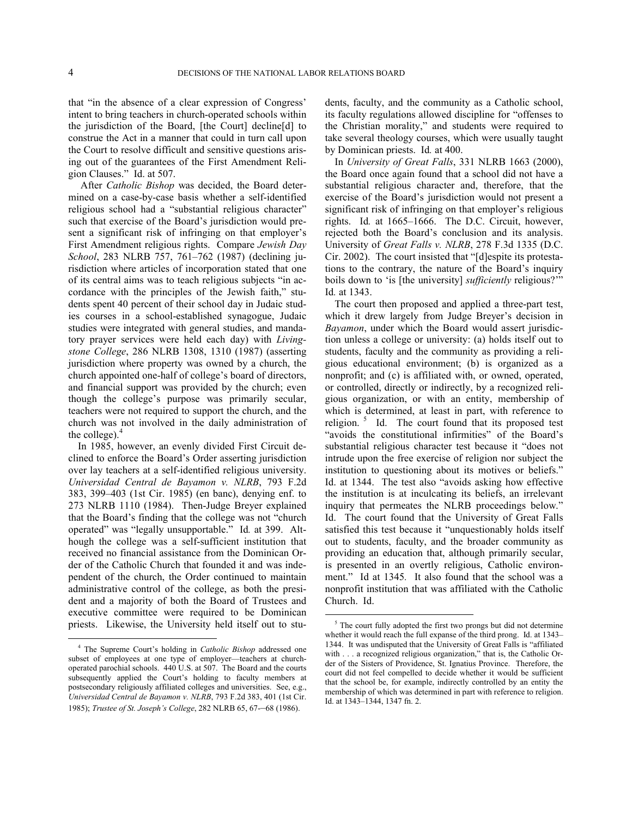that "in the absence of a clear expression of Congress' intent to bring teachers in church-operated schools within the jurisdiction of the Board, [the Court] decline[d] to construe the Act in a manner that could in turn call upon the Court to resolve difficult and sensitive questions arising out of the guarantees of the First Amendment Religion Clauses." Id. at 507.

After *Catholic Bishop* was decided, the Board determined on a case-by-case basis whether a self-identified religious school had a "substantial religious character" such that exercise of the Board's jurisdiction would present a significant risk of infringing on that employer's First Amendment religious rights. Compare *Jewish Day School*, 283 NLRB 757, 761–762 (1987) (declining jurisdiction where articles of incorporation stated that one of its central aims was to teach religious subjects "in accordance with the principles of the Jewish faith," students spent 40 percent of their school day in Judaic studies courses in a school-established synagogue, Judaic studies were integrated with general studies, and mandatory prayer services were held each day) with *Livingstone College*, 286 NLRB 1308, 1310 (1987) (asserting jurisdiction where property was owned by a church, the church appointed one-half of college's board of directors, and financial support was provided by the church; even though the college's purpose was primarily secular, teachers were not required to support the church, and the church was not involved in the daily administration of the college). $4$ 

In 1985, however, an evenly divided First Circuit declined to enforce the Board's Order asserting jurisdiction over lay teachers at a self-identified religious university. *Universidad Central de Bayamon v. NLRB*, 793 F.2d 383, 399–403 (1st Cir. 1985) (en banc), denying enf. to 273 NLRB 1110 (1984). Then-Judge Breyer explained that the Board's finding that the college was not "church operated" was "legally unsupportable." Id*.* at 399. Although the college was a self-sufficient institution that received no financial assistance from the Dominican Order of the Catholic Church that founded it and was independent of the church, the Order continued to maintain administrative control of the college, as both the president and a majority of both the Board of Trustees and executive committee were required to be Dominican priests. Likewise, the University held itself out to students, faculty, and the community as a Catholic school, its faculty regulations allowed discipline for "offenses to the Christian morality," and students were required to take several theology courses, which were usually taught by Dominican priests. Id*.* at 400.

In *University of Great Falls*, 331 NLRB 1663 (2000), the Board once again found that a school did not have a substantial religious character and, therefore, that the exercise of the Board's jurisdiction would not present a significant risk of infringing on that employer's religious rights. Id*.* at 1665–1666. The D.C. Circuit, however, rejected both the Board's conclusion and its analysis. University of *Great Falls v. NLRB*, 278 F.3d 1335 (D.C. Cir. 2002). The court insisted that "[d]espite its protestations to the contrary, the nature of the Board's inquiry boils down to 'is [the university] *sufficiently* religious?'" Id*.* at 1343.

The court then proposed and applied a three-part test, which it drew largely from Judge Breyer's decision in *Bayamon*, under which the Board would assert jurisdiction unless a college or university: (a) holds itself out to students, faculty and the community as providing a religious educational environment; (b) is organized as a nonprofit; and (c) is affiliated with, or owned, operated, or controlled, directly or indirectly, by a recognized religious organization, or with an entity, membership of which is determined, at least in part, with reference to religion.<sup>[5](#page-3-1)</sup> Id. The court found that its proposed test "avoids the constitutional infirmities" of the Board's substantial religious character test because it "does not intrude upon the free exercise of religion nor subject the institution to questioning about its motives or beliefs." Id. at 1344. The test also "avoids asking how effective the institution is at inculcating its beliefs, an irrelevant inquiry that permeates the NLRB proceedings below." Id. The court found that the University of Great Falls satisfied this test because it "unquestionably holds itself out to students, faculty, and the broader community as providing an education that, although primarily secular, is presented in an overtly religious, Catholic environment." Id at 1345*.* It also found that the school was a nonprofit institution that was affiliated with the Catholic Church. Id.

<span id="page-3-1"></span><span id="page-3-0"></span><sup>4</sup> The Supreme Court's holding in *Catholic Bishop* addressed one subset of employees at one type of employer—teachers at churchoperated parochial schools. 440 U.S. at 507. The Board and the courts subsequently applied the Court's holding to faculty members at postsecondary religiously affiliated colleges and universities. See, e.g., *Universidad Central de Bayamon v. NLRB*, 793 F.2d 383, 401 (1st Cir. 1985); *Trustee of St. Joseph's College*, 282 NLRB 65, 67-–68 (1986).

<sup>&</sup>lt;sup>5</sup> The court fully adopted the first two prongs but did not determine whether it would reach the full expanse of the third prong. Id. at 1343– 1344. It was undisputed that the University of Great Falls is "affiliated with . . . a recognized religious organization," that is, the Catholic Order of the Sisters of Providence, St. Ignatius Province. Therefore, the court did not feel compelled to decide whether it would be sufficient that the school be, for example, indirectly controlled by an entity the membership of which was determined in part with reference to religion. Id. at 1343–1344, 1347 fn. 2.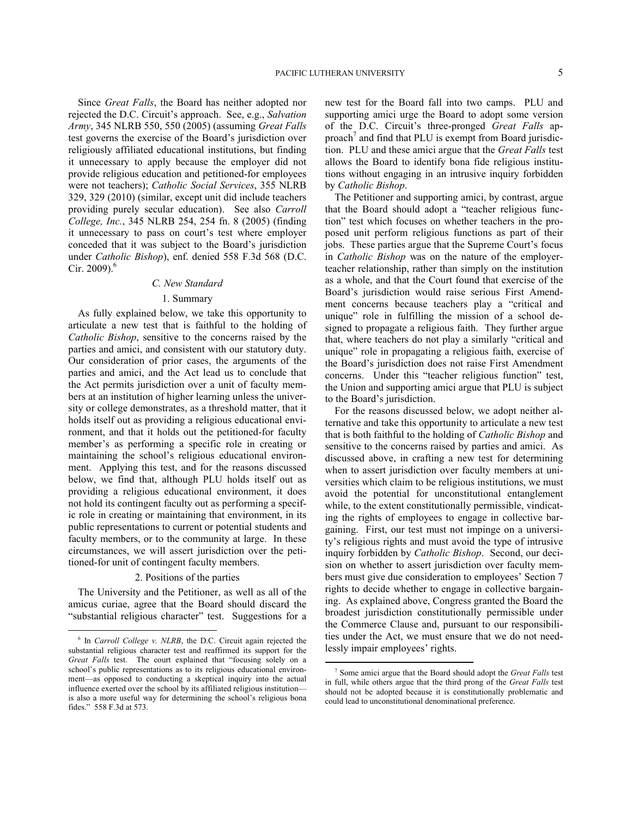Since *Great Falls*, the Board has neither adopted nor rejected the D.C. Circuit's approach. See, e.g., *Salvation Army*, 345 NLRB 550, 550 (2005) (assuming *Great Falls*  test governs the exercise of the Board's jurisdiction over religiously affiliated educational institutions, but finding it unnecessary to apply because the employer did not provide religious education and petitioned-for employees were not teachers); *Catholic Social Services*, 355 NLRB 329, 329 (2010) (similar, except unit did include teachers providing purely secular education). See also *Carroll College, Inc.*, 345 NLRB 254, 254 fn. 8 (2005) (finding it unnecessary to pass on court's test where employer conceded that it was subject to the Board's jurisdiction under *Catholic Bishop*), enf. denied 558 F.3d 568 (D.C.

#### *C. New Standard*

Cir. 2009). $6$ 

<u>.</u>

#### 1. Summary

As fully explained below, we take this opportunity to articulate a new test that is faithful to the holding of *Catholic Bishop*, sensitive to the concerns raised by the parties and amici, and consistent with our statutory duty. Our consideration of prior cases, the arguments of the parties and amici, and the Act lead us to conclude that the Act permits jurisdiction over a unit of faculty members at an institution of higher learning unless the university or college demonstrates, as a threshold matter, that it holds itself out as providing a religious educational environment, and that it holds out the petitioned-for faculty member's as performing a specific role in creating or maintaining the school's religious educational environment. Applying this test, and for the reasons discussed below, we find that, although PLU holds itself out as providing a religious educational environment, it does not hold its contingent faculty out as performing a specific role in creating or maintaining that environment, in its public representations to current or potential students and faculty members, or to the community at large. In these circumstances, we will assert jurisdiction over the petitioned-for unit of contingent faculty members.

# 2. Positions of the parties

The University and the Petitioner, as well as all of the amicus curiae, agree that the Board should discard the "substantial religious character" test. Suggestions for a new test for the Board fall into two camps. PLU and supporting amici urge the Board to adopt some version of the D.C. Circuit's three-pronged *Great Falls* ap-proach<sup>[7](#page-4-1)</sup> and find that PLU is exempt from Board jurisdiction. PLU and these amici argue that the *Great Falls* test allows the Board to identify bona fide religious institutions without engaging in an intrusive inquiry forbidden by *Catholic Bishop*.

The Petitioner and supporting amici, by contrast, argue that the Board should adopt a "teacher religious function" test which focuses on whether teachers in the proposed unit perform religious functions as part of their jobs. These parties argue that the Supreme Court's focus in *Catholic Bishop* was on the nature of the employerteacher relationship, rather than simply on the institution as a whole, and that the Court found that exercise of the Board's jurisdiction would raise serious First Amendment concerns because teachers play a "critical and unique" role in fulfilling the mission of a school designed to propagate a religious faith. They further argue that, where teachers do not play a similarly "critical and unique" role in propagating a religious faith, exercise of the Board's jurisdiction does not raise First Amendment concerns. Under this "teacher religious function" test, the Union and supporting amici argue that PLU is subject to the Board's jurisdiction.

For the reasons discussed below, we adopt neither alternative and take this opportunity to articulate a new test that is both faithful to the holding of *Catholic Bishop* and sensitive to the concerns raised by parties and amici. As discussed above, in crafting a new test for determining when to assert jurisdiction over faculty members at universities which claim to be religious institutions, we must avoid the potential for unconstitutional entanglement while, to the extent constitutionally permissible, vindicating the rights of employees to engage in collective bargaining. First, our test must not impinge on a university's religious rights and must avoid the type of intrusive inquiry forbidden by *Catholic Bishop*. Second, our decision on whether to assert jurisdiction over faculty members must give due consideration to employees' Section 7 rights to decide whether to engage in collective bargaining. As explained above, Congress granted the Board the broadest jurisdiction constitutionally permissible under the Commerce Clause and, pursuant to our responsibilities under the Act, we must ensure that we do not needlessly impair employees' rights.

<span id="page-4-1"></span><span id="page-4-0"></span><sup>&</sup>lt;sup>6</sup> In *Carroll College v. NLRB*, the D.C. Circuit again rejected the substantial religious character test and reaffirmed its support for the *Great Falls* test. The court explained that "focusing solely on a school's public representations as to its religious educational environment—as opposed to conducting a skeptical inquiry into the actual influence exerted over the school by its affiliated religious institution is also a more useful way for determining the school's religious bona fides." 558 F.3d at 573.

<sup>7</sup> Some amici argue that the Board should adopt the *Great Falls* test in full, while others argue that the third prong of the *Great Falls* test should not be adopted because it is constitutionally problematic and could lead to unconstitutional denominational preference.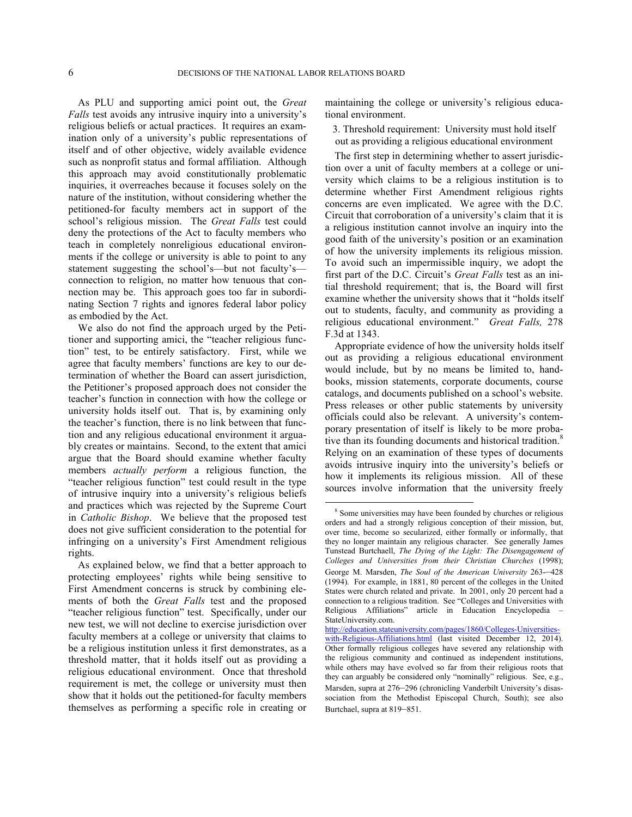As PLU and supporting amici point out, the *Great Falls* test avoids any intrusive inquiry into a university's religious beliefs or actual practices. It requires an examination only of a university's public representations of itself and of other objective, widely available evidence such as nonprofit status and formal affiliation. Although this approach may avoid constitutionally problematic inquiries, it overreaches because it focuses solely on the nature of the institution, without considering whether the petitioned-for faculty members act in support of the school's religious mission. The *Great Falls* test could deny the protections of the Act to faculty members who teach in completely nonreligious educational environments if the college or university is able to point to any statement suggesting the school's—but not faculty's connection to religion, no matter how tenuous that connection may be. This approach goes too far in subordinating Section 7 rights and ignores federal labor policy as embodied by the Act.

We also do not find the approach urged by the Petitioner and supporting amici, the "teacher religious function" test, to be entirely satisfactory. First, while we agree that faculty members' functions are key to our determination of whether the Board can assert jurisdiction, the Petitioner's proposed approach does not consider the teacher's function in connection with how the college or university holds itself out. That is, by examining only the teacher's function, there is no link between that function and any religious educational environment it arguably creates or maintains. Second, to the extent that amici argue that the Board should examine whether faculty members *actually perform* a religious function, the "teacher religious function" test could result in the type of intrusive inquiry into a university's religious beliefs and practices which was rejected by the Supreme Court in *Catholic Bishop*. We believe that the proposed test does not give sufficient consideration to the potential for infringing on a university's First Amendment religious rights.

<span id="page-5-0"></span>As explained below, we find that a better approach to protecting employees' rights while being sensitive to First Amendment concerns is struck by combining elements of both the *Great Falls* test and the proposed "teacher religious function" test. Specifically, under our new test, we will not decline to exercise jurisdiction over faculty members at a college or university that claims to be a religious institution unless it first demonstrates, as a threshold matter, that it holds itself out as providing a religious educational environment. Once that threshold requirement is met, the college or university must then show that it holds out the petitioned-for faculty members themselves as performing a specific role in creating or

maintaining the college or university's religious educational environment.

3. Threshold requirement: University must hold itself out as providing a religious educational environment

The first step in determining whether to assert jurisdiction over a unit of faculty members at a college or university which claims to be a religious institution is to determine whether First Amendment religious rights concerns are even implicated. We agree with the D.C. Circuit that corroboration of a university's claim that it is a religious institution cannot involve an inquiry into the good faith of the university's position or an examination of how the university implements its religious mission. To avoid such an impermissible inquiry, we adopt the first part of the D.C. Circuit's *Great Falls* test as an initial threshold requirement; that is, the Board will first examine whether the university shows that it "holds itself out to students, faculty, and community as providing a religious educational environment." *Great Falls,* 278 F.3d at 1343.

Appropriate evidence of how the university holds itself out as providing a religious educational environment would include, but by no means be limited to, handbooks, mission statements, corporate documents, course catalogs, and documents published on a school's website. Press releases or other public statements by university officials could also be relevant. A university's contemporary presentation of itself is likely to be more proba-tive than its founding documents and historical tradition.<sup>[8](#page-5-0)</sup> Relying on an examination of these types of documents avoids intrusive inquiry into the university's beliefs or how it implements its religious mission. All of these sources involve information that the university freely

<sup>8</sup> Some universities may have been founded by churches or religious orders and had a strongly religious conception of their mission, but, over time, become so secularized, either formally or informally, that they no longer maintain any religious character. See generally James Tunstead Burtchaell, *The Dying of the Light: The Disengagement of Colleges and Universities from their Christian Churches* (1998); George M. Marsden, *The Soul of the American University* 263-–428 (1994). For example, in 1881, 80 percent of the colleges in the United States were church related and private. In 2001, only 20 percent had a connection to a religious tradition. See "Colleges and Universities with Religious Affiliations" article in Education Encyclopedia – StateUniversity.com.

[http://education.stateuniversity.com/pages/1860/Colleges-Universities](http://education.stateuniversity.com/pages/1860/Colleges-Universities-with-Religious-Affiliations.html)[with-Religious-Affiliations.html](http://education.stateuniversity.com/pages/1860/Colleges-Universities-with-Religious-Affiliations.html) (last visited December 12, 2014). Other formally religious colleges have severed any relationship with the religious community and continued as independent institutions, while others may have evolved so far from their religious roots that they can arguably be considered only "nominally" religious. See, e.g., Marsden, supra at 276–296 (chronicling Vanderbilt University's disassociation from the Methodist Episcopal Church, South); see also Burtchael, supra at 819–851.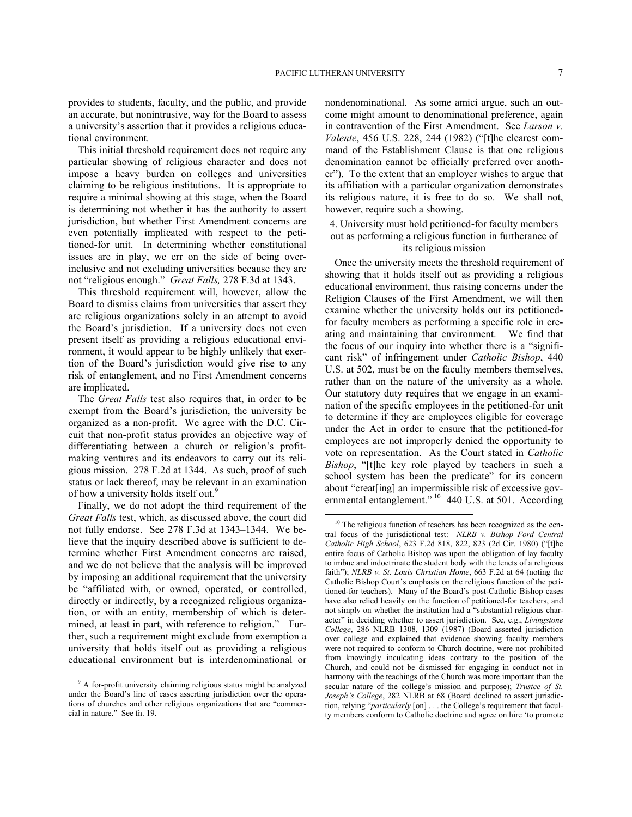provides to students, faculty, and the public, and provide an accurate, but nonintrusive, way for the Board to assess a university's assertion that it provides a religious educational environment.

This initial threshold requirement does not require any particular showing of religious character and does not impose a heavy burden on colleges and universities claiming to be religious institutions. It is appropriate to require a minimal showing at this stage, when the Board is determining not whether it has the authority to assert jurisdiction, but whether First Amendment concerns are even potentially implicated with respect to the petitioned-for unit. In determining whether constitutional issues are in play, we err on the side of being overinclusive and not excluding universities because they are not "religious enough." *Great Falls,* 278 F.3d at 1343.

This threshold requirement will, however, allow the Board to dismiss claims from universities that assert they are religious organizations solely in an attempt to avoid the Board's jurisdiction. If a university does not even present itself as providing a religious educational environment, it would appear to be highly unlikely that exertion of the Board's jurisdiction would give rise to any risk of entanglement, and no First Amendment concerns are implicated.

The *Great Falls* test also requires that, in order to be exempt from the Board's jurisdiction, the university be organized as a non-profit. We agree with the D.C. Circuit that non-profit status provides an objective way of differentiating between a church or religion's profitmaking ventures and its endeavors to carry out its religious mission. 278 F.2d at 1344. As such, proof of such status or lack thereof, may be relevant in an examination of how a university holds itself out.<sup>[9](#page-6-0)</sup>

<span id="page-6-1"></span>Finally, we do not adopt the third requirement of the *Great Falls* test, which, as discussed above, the court did not fully endorse. See 278 F.3d at 1343–1344. We believe that the inquiry described above is sufficient to determine whether First Amendment concerns are raised, and we do not believe that the analysis will be improved by imposing an additional requirement that the university be "affiliated with, or owned, operated, or controlled, directly or indirectly, by a recognized religious organization, or with an entity, membership of which is determined, at least in part, with reference to religion." Further, such a requirement might exclude from exemption a university that holds itself out as providing a religious educational environment but is interdenominational or

1

nondenominational. As some amici argue, such an outcome might amount to denominational preference, again in contravention of the First Amendment. See *Larson v. Valente*, 456 U.S. 228, 244 (1982) ("[t]he clearest command of the Establishment Clause is that one religious denomination cannot be officially preferred over another"). To the extent that an employer wishes to argue that its affiliation with a particular organization demonstrates its religious nature, it is free to do so. We shall not, however, require such a showing.

# 4. University must hold petitioned-for faculty members out as performing a religious function in furtherance of its religious mission

Once the university meets the threshold requirement of showing that it holds itself out as providing a religious educational environment, thus raising concerns under the Religion Clauses of the First Amendment, we will then examine whether the university holds out its petitionedfor faculty members as performing a specific role in creating and maintaining that environment. We find that the focus of our inquiry into whether there is a "significant risk" of infringement under *Catholic Bishop*, 440 U.S. at 502, must be on the faculty members themselves, rather than on the nature of the university as a whole. Our statutory duty requires that we engage in an examination of the specific employees in the petitioned-for unit to determine if they are employees eligible for coverage under the Act in order to ensure that the petitioned-for employees are not improperly denied the opportunity to vote on representation. As the Court stated in *Catholic Bishop*, "[t]he key role played by teachers in such a school system has been the predicate" for its concern about "creat[ing] an impermissible risk of excessive gov-ernmental entanglement."<sup>[10](#page-6-1)</sup> 440 U.S. at 501. According

<span id="page-6-0"></span><sup>&</sup>lt;sup>9</sup> A for-profit university claiming religious status might be analyzed under the Board's line of cases asserting jurisdiction over the operations of churches and other religious organizations that are "commercial in nature." See fn. 19.

<sup>&</sup>lt;sup>10</sup> The religious function of teachers has been recognized as the central focus of the jurisdictional test: *NLRB v. Bishop Ford Central Catholic High School*, 623 F.2d 818, 822, 823 (2d Cir. 1980) ("[t]he entire focus of Catholic Bishop was upon the obligation of lay faculty to imbue and indoctrinate the student body with the tenets of a religious faith"); *NLRB v. St. Louis Christian Home*, 663 F.2d at 64 (noting the Catholic Bishop Court's emphasis on the religious function of the petitioned-for teachers). Many of the Board's post-Catholic Bishop cases have also relied heavily on the function of petitioned-for teachers, and not simply on whether the institution had a "substantial religious character" in deciding whether to assert jurisdiction. See, e.g., *Livingstone College*, 286 NLRB 1308, 1309 (1987) (Board asserted jurisdiction over college and explained that evidence showing faculty members were not required to conform to Church doctrine, were not prohibited from knowingly inculcating ideas contrary to the position of the Church, and could not be dismissed for engaging in conduct not in harmony with the teachings of the Church was more important than the secular nature of the college's mission and purpose); *Trustee of St. Joseph's College*, 282 NLRB at 68 (Board declined to assert jurisdiction, relying "*particularly* [on] . . . the College's requirement that faculty members conform to Catholic doctrine and agree on hire 'to promote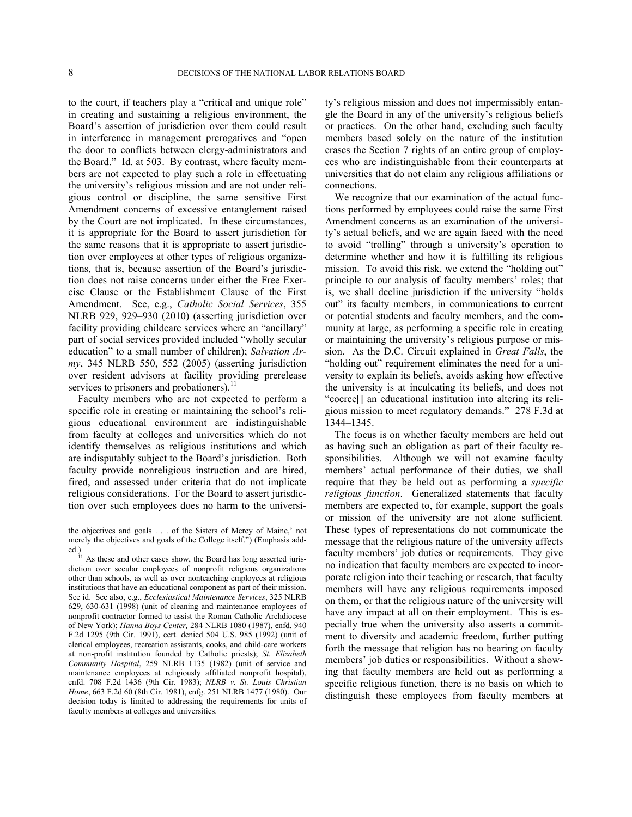to the court, if teachers play a "critical and unique role" in creating and sustaining a religious environment, the Board's assertion of jurisdiction over them could result in interference in management prerogatives and "open the door to conflicts between clergy-administrators and the Board." Id. at 503. By contrast, where faculty members are not expected to play such a role in effectuating the university's religious mission and are not under religious control or discipline, the same sensitive First Amendment concerns of excessive entanglement raised by the Court are not implicated. In these circumstances, it is appropriate for the Board to assert jurisdiction for the same reasons that it is appropriate to assert jurisdiction over employees at other types of religious organizations, that is, because assertion of the Board's jurisdiction does not raise concerns under either the Free Exercise Clause or the Establishment Clause of the First Amendment. See, e.g., *Catholic Social Services*, 355 NLRB 929, 929–930 (2010) (asserting jurisdiction over facility providing childcare services where an "ancillary" part of social services provided included "wholly secular education" to a small number of children); *Salvation Army*, 345 NLRB 550, 552 (2005) (asserting jurisdiction over resident advisors at facility providing prerelease services to prisoners and probationers). $^{11}$  $^{11}$  $^{11}$ 

Faculty members who are not expected to perform a specific role in creating or maintaining the school's religious educational environment are indistinguishable from faculty at colleges and universities which do not identify themselves as religious institutions and which are indisputably subject to the Board's jurisdiction. Both faculty provide nonreligious instruction and are hired, fired, and assessed under criteria that do not implicate religious considerations. For the Board to assert jurisdiction over such employees does no harm to the university's religious mission and does not impermissibly entangle the Board in any of the university's religious beliefs or practices. On the other hand, excluding such faculty members based solely on the nature of the institution erases the Section 7 rights of an entire group of employees who are indistinguishable from their counterparts at universities that do not claim any religious affiliations or connections.

We recognize that our examination of the actual functions performed by employees could raise the same First Amendment concerns as an examination of the university's actual beliefs, and we are again faced with the need to avoid "trolling" through a university's operation to determine whether and how it is fulfilling its religious mission. To avoid this risk, we extend the "holding out" principle to our analysis of faculty members' roles; that is, we shall decline jurisdiction if the university "holds out" its faculty members, in communications to current or potential students and faculty members, and the community at large, as performing a specific role in creating or maintaining the university's religious purpose or mission. As the D.C. Circuit explained in *Great Falls*, the "holding out" requirement eliminates the need for a university to explain its beliefs, avoids asking how effective the university is at inculcating its beliefs, and does not "coerce[] an educational institution into altering its religious mission to meet regulatory demands." 278 F.3d at 1344–1345.

The focus is on whether faculty members are held out as having such an obligation as part of their faculty responsibilities. Although we will not examine faculty members' actual performance of their duties, we shall require that they be held out as performing a *specific religious function*. Generalized statements that faculty members are expected to, for example, support the goals or mission of the university are not alone sufficient. These types of representations do not communicate the message that the religious nature of the university affects faculty members' job duties or requirements. They give no indication that faculty members are expected to incorporate religion into their teaching or research, that faculty members will have any religious requirements imposed on them, or that the religious nature of the university will have any impact at all on their employment. This is especially true when the university also asserts a commitment to diversity and academic freedom, further putting forth the message that religion has no bearing on faculty members' job duties or responsibilities. Without a showing that faculty members are held out as performing a specific religious function, there is no basis on which to distinguish these employees from faculty members at

the objectives and goals . . . of the Sisters of Mercy of Maine,' not merely the objectives and goals of the College itself.") (Emphasis added.)

<span id="page-7-0"></span> $11$  As these and other cases show, the Board has long asserted jurisdiction over secular employees of nonprofit religious organizations other than schools, as well as over nonteaching employees at religious institutions that have an educational component as part of their mission. See id. See also, e.g., *Ecclesiastical Maintenance Services*, 325 NLRB 629, 630-631 (1998) (unit of cleaning and maintenance employees of nonprofit contractor formed to assist the Roman Catholic Archdiocese of New York); *Hanna Boys Center,* 284 NLRB 1080 (1987), enfd. 940 F.2d 1295 (9th Cir. 1991), cert. denied 504 U.S. 985 (1992) (unit of clerical employees, recreation assistants, cooks, and child-care workers at non-profit institution founded by Catholic priests); *St. Elizabeth Community Hospital*, 259 NLRB 1135 (1982) (unit of service and maintenance employees at religiously affiliated nonprofit hospital), enfd. 708 F.2d 1436 (9th Cir. 1983); *NLRB v. St. Louis Christian Home*, 663 F.2d 60 (8th Cir. 1981), enfg. 251 NLRB 1477 (1980). Our decision today is limited to addressing the requirements for units of faculty members at colleges and universities.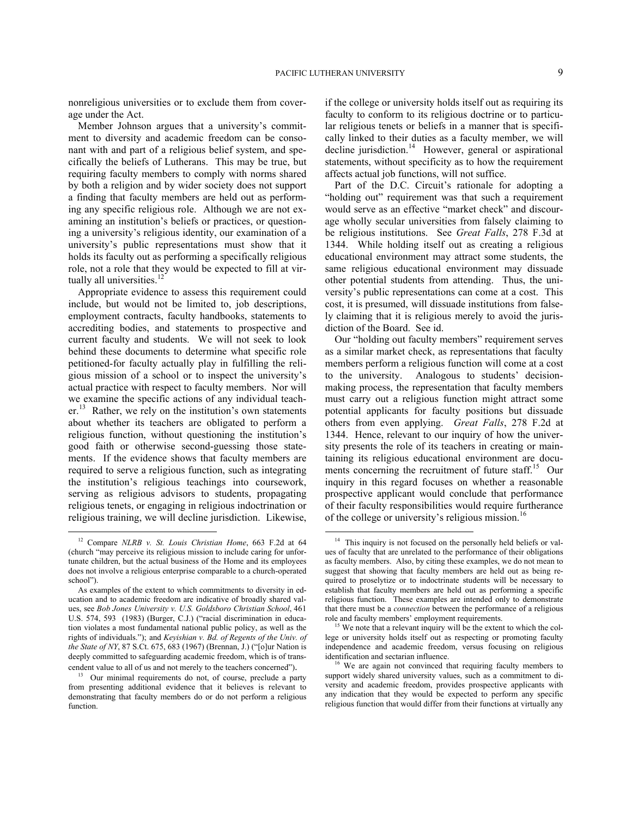nonreligious universities or to exclude them from coverage under the Act.

Member Johnson argues that a university's commitment to diversity and academic freedom can be consonant with and part of a religious belief system, and specifically the beliefs of Lutherans. This may be true, but requiring faculty members to comply with norms shared by both a religion and by wider society does not support a finding that faculty members are held out as performing any specific religious role. Although we are not examining an institution's beliefs or practices, or questioning a university's religious identity, our examination of a university's public representations must show that it holds its faculty out as performing a specifically religious role, not a role that they would be expected to fill at virtually all universities. $12$ 

Appropriate evidence to assess this requirement could include, but would not be limited to, job descriptions, employment contracts, faculty handbooks, statements to accrediting bodies, and statements to prospective and current faculty and students. We will not seek to look behind these documents to determine what specific role petitioned-for faculty actually play in fulfilling the religious mission of a school or to inspect the university's actual practice with respect to faculty members. Nor will we examine the specific actions of any individual teach- $er<sup>13</sup>$  $er<sup>13</sup>$  $er<sup>13</sup>$  Rather, we rely on the institution's own statements about whether its teachers are obligated to perform a religious function, without questioning the institution's good faith or otherwise second-guessing those statements. If the evidence shows that faculty members are required to serve a religious function, such as integrating the institution's religious teachings into coursework, serving as religious advisors to students, propagating religious tenets, or engaging in religious indoctrination or religious training, we will decline jurisdiction. Likewise,

1

if the college or university holds itself out as requiring its faculty to conform to its religious doctrine or to particular religious tenets or beliefs in a manner that is specifically linked to their duties as a faculty member, we will decline jurisdiction.<sup>[14](#page-8-0)</sup> However, general or aspirational statements, without specificity as to how the requirement affects actual job functions, will not suffice.

Part of the D.C. Circuit's rationale for adopting a "holding out" requirement was that such a requirement would serve as an effective "market check" and discourage wholly secular universities from falsely claiming to be religious institutions. See *Great Falls*, 278 F.3d at 1344. While holding itself out as creating a religious educational environment may attract some students, the same religious educational environment may dissuade other potential students from attending. Thus, the university's public representations can come at a cost. This cost, it is presumed, will dissuade institutions from falsely claiming that it is religious merely to avoid the jurisdiction of the Board. See id.

Our "holding out faculty members" requirement serves as a similar market check, as representations that faculty members perform a religious function will come at a cost to the university. Analogous to students' decisionmaking process, the representation that faculty members must carry out a religious function might attract some potential applicants for faculty positions but dissuade others from even applying. *Great Falls*, 278 F.2d at 1344. Hence, relevant to our inquiry of how the university presents the role of its teachers in creating or maintaining its religious educational environment are docu-ments concerning the recruitment of future staff.<sup>[15](#page-8-2)</sup> Our inquiry in this regard focuses on whether a reasonable prospective applicant would conclude that performance of their faculty responsibilities would require furtherance of the college or university's religious mission.<sup>[16](#page-8-3)</sup>

<span id="page-8-0"></span><sup>12</sup> Compare *NLRB v. St. Louis Christian Home*, 663 F.2d at 64 (church "may perceive its religious mission to include caring for unfortunate children, but the actual business of the Home and its employees does not involve a religious enterprise comparable to a church-operated school").

<span id="page-8-2"></span>As examples of the extent to which commitments to diversity in education and to academic freedom are indicative of broadly shared values, see *Bob Jones University v. U.S. Goldsboro Christian School*, 461 U.S. 574, 593 (1983) (Burger, C.J.) ("racial discrimination in education violates a most fundamental national public policy, as well as the rights of individuals."); and *Keyishian v. Bd. of Regents of the Univ. of the State of NY*, 87 S.Ct. 675, 683 (1967) (Brennan, J.) ("[o]ur Nation is deeply committed to safeguarding academic freedom, which is of transcendent value to all of us and not merely to the teachers concerned").

<span id="page-8-3"></span><span id="page-8-1"></span><sup>&</sup>lt;sup>13</sup> Our minimal requirements do not, of course, preclude a party from presenting additional evidence that it believes is relevant to demonstrating that faculty members do or do not perform a religious function.

<sup>&</sup>lt;sup>14</sup> This inquiry is not focused on the personally held beliefs or values of faculty that are unrelated to the performance of their obligations as faculty members. Also, by citing these examples, we do not mean to suggest that showing that faculty members are held out as being required to proselytize or to indoctrinate students will be necessary to establish that faculty members are held out as performing a specific religious function. These examples are intended only to demonstrate that there must be a *connection* between the performance of a religious role and faculty members' employment requirements.

<sup>&</sup>lt;sup>15</sup> We note that a relevant inquiry will be the extent to which the college or university holds itself out as respecting or promoting faculty independence and academic freedom, versus focusing on religious identification and sectarian influence.

<sup>&</sup>lt;sup>16</sup> We are again not convinced that requiring faculty members to support widely shared university values, such as a commitment to diversity and academic freedom, provides prospective applicants with any indication that they would be expected to perform any specific religious function that would differ from their functions at virtually any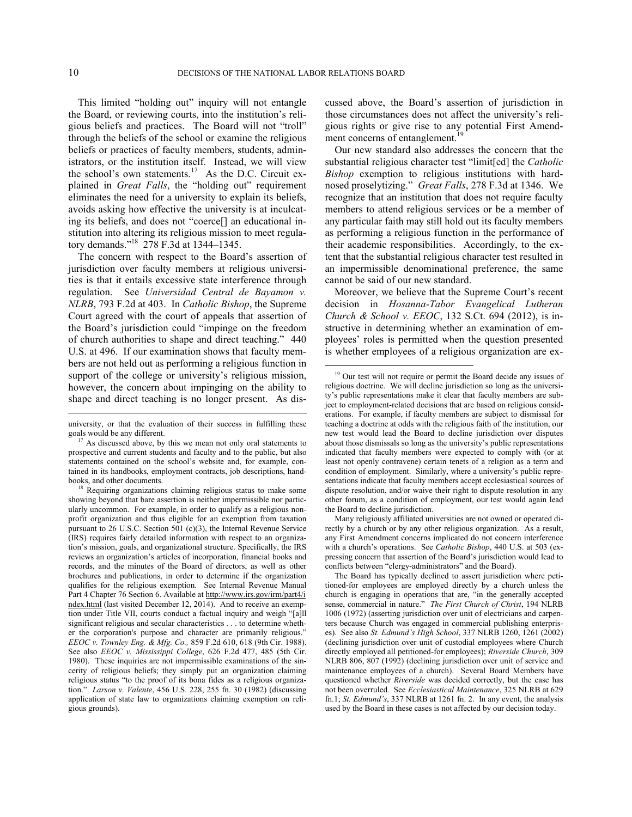$\overline{a}$ 

This limited "holding out" inquiry will not entangle the Board, or reviewing courts, into the institution's religious beliefs and practices. The Board will not "troll" through the beliefs of the school or examine the religious beliefs or practices of faculty members, students, administrators, or the institution itself. Instead, we will view the school's own statements.<sup>[17](#page-9-0)</sup> As the D.C. Circuit explained in *Great Falls*, the "holding out" requirement eliminates the need for a university to explain its beliefs, avoids asking how effective the university is at inculcating its beliefs, and does not "coerce[] an educational institution into altering its religious mission to meet regulatory demands."[18](#page-9-1) 278 F.3d at 1344–1345.

The concern with respect to the Board's assertion of jurisdiction over faculty members at religious universities is that it entails excessive state interference through regulation. See *Universidad Central de Bayamon v. NLRB*, 793 F.2d at 403. In *Catholic Bishop*, the Supreme Court agreed with the court of appeals that assertion of the Board's jurisdiction could "impinge on the freedom of church authorities to shape and direct teaching." 440 U.S. at 496. If our examination shows that faculty members are not held out as performing a religious function in support of the college or university's religious mission, however, the concern about impinging on the ability to shape and direct teaching is no longer present. As discussed above, the Board's assertion of jurisdiction in those circumstances does not affect the university's religious rights or give rise to any potential First Amendment concerns of entanglement.<sup>1</sup>

Our new standard also addresses the concern that the substantial religious character test "limit[ed] the *Catholic Bishop* exemption to religious institutions with hardnosed proselytizing." *Great Falls*, 278 F.3d at 1346. We recognize that an institution that does not require faculty members to attend religious services or be a member of any particular faith may still hold out its faculty members as performing a religious function in the performance of their academic responsibilities. Accordingly, to the extent that the substantial religious character test resulted in an impermissible denominational preference, the same cannot be said of our new standard.

Moreover, we believe that the Supreme Court's recent decision in *Hosanna-Tabor Evangelical Lutheran Church & School v. EEOC*, 132 S.Ct. 694 (2012), is instructive in determining whether an examination of employees' roles is permitted when the question presented is whether employees of a religious organization are ex-

Many religiously affiliated universities are not owned or operated directly by a church or by any other religious organization. As a result, any First Amendment concerns implicated do not concern interference with a church's operations. See *Catholic Bishop*, 440 U.S. at 503 (expressing concern that assertion of the Board's jurisdiction would lead to conflicts between "clergy-administrators" and the Board).

<span id="page-9-2"></span>university, or that the evaluation of their success in fulfilling these goals would be any different.

<span id="page-9-0"></span><sup>&</sup>lt;sup>17</sup> As discussed above, by this we mean not only oral statements to prospective and current students and faculty and to the public, but also statements contained on the school's website and, for example, contained in its handbooks, employment contracts, job descriptions, handbooks, and other documents.

<span id="page-9-1"></span><sup>&</sup>lt;sup>18</sup> Requiring organizations claiming religious status to make some showing beyond that bare assertion is neither impermissible nor particularly uncommon. For example, in order to qualify as a religious nonprofit organization and thus eligible for an exemption from taxation pursuant to 26 U.S.C. Section 501 (c)(3), the Internal Revenue Service (IRS) requires fairly detailed information with respect to an organization's mission, goals, and organizational structure. Specifically, the IRS reviews an organization's articles of incorporation, financial books and records, and the minutes of the Board of directors, as well as other brochures and publications, in order to determine if the organization qualifies for the religious exemption. See Internal Revenue Manual Part 4 Chapter 76 Section 6. Available at [http://www.irs.gov/irm/part4/i](http://www.irs.gov/irm/part4/index.html) [ndex.html](http://www.irs.gov/irm/part4/index.html) (last visited December 12, 2014). And to receive an exemption under Title VII, courts conduct a factual inquiry and weigh "[a]ll significant religious and secular characteristics . . . to determine whether the corporation's purpose and character are primarily religious." *[EEOC v. Townley Eng. & Mfg. Co.,](https://web2.westlaw.com/find/default.wl?mt=LaborAndEmployment&db=350&rs=WLW14.04&tc=-1&rp=%2ffind%2fdefault.wl&findtype=Y&ordoc=2007378103&serialnum=1988118008&vr=2.0&fn=_top&sv=Split&tf=-1&referencepositiontype=S&pbc=645E4F49&referenceposition=618&utid=1)* 859 F.2d 610, 618 (9th Cir. 1988). See also *EEOC v. Mississippi College*, 626 F.2d 477, 485 (5th Cir. 1980). These inquiries are not impermissible examinations of the sincerity of religious beliefs; they simply put an organization claiming religious status "to the proof of its bona fides as a religious organization." *Larson v. Valente*, 456 U.S. 228, 255 fn. 30 (1982) (discussing application of state law to organizations claiming exemption on religious grounds).

<sup>&</sup>lt;sup>19</sup> Our test will not require or permit the Board decide any issues of religious doctrine. We will decline jurisdiction so long as the university's public representations make it clear that faculty members are subject to employment-related decisions that are based on religious considerations. For example, if faculty members are subject to dismissal for teaching a doctrine at odds with the religious faith of the institution, our new test would lead the Board to decline jurisdiction over disputes about those dismissals so long as the university's public representations indicated that faculty members were expected to comply with (or at least not openly contravene) certain tenets of a religion as a term and condition of employment. Similarly, where a university's public representations indicate that faculty members accept ecclesiastical sources of dispute resolution, and/or waive their right to dispute resolution in any other forum, as a condition of employment, our test would again lead the Board to decline jurisdiction.

The Board has typically declined to assert jurisdiction where petitioned-for employees are employed directly by a church unless the church is engaging in operations that are, "in the generally accepted sense, commercial in nature." *The First Church of Christ*, 194 NLRB 1006 (1972) (asserting jurisdiction over unit of electricians and carpenters because Church was engaged in commercial publishing enterprises). See also *St. Edmund's High School*, 337 NLRB 1260, 1261 (2002) (declining jurisdiction over unit of custodial employees where Church directly employed all petitioned-for employees); *Riverside Church*, 309 NLRB 806, 807 (1992) (declining jurisdiction over unit of service and maintenance employees of a church). Several Board Members have questioned whether *Riverside* was decided correctly, but the case has not been overruled. See *Ecclesiastical Maintenance*, 325 NLRB at 629 fn.1; *St. Edmund's*, 337 NLRB at 1261 fn. 2. In any event, the analysis used by the Board in these cases is not affected by our decision today.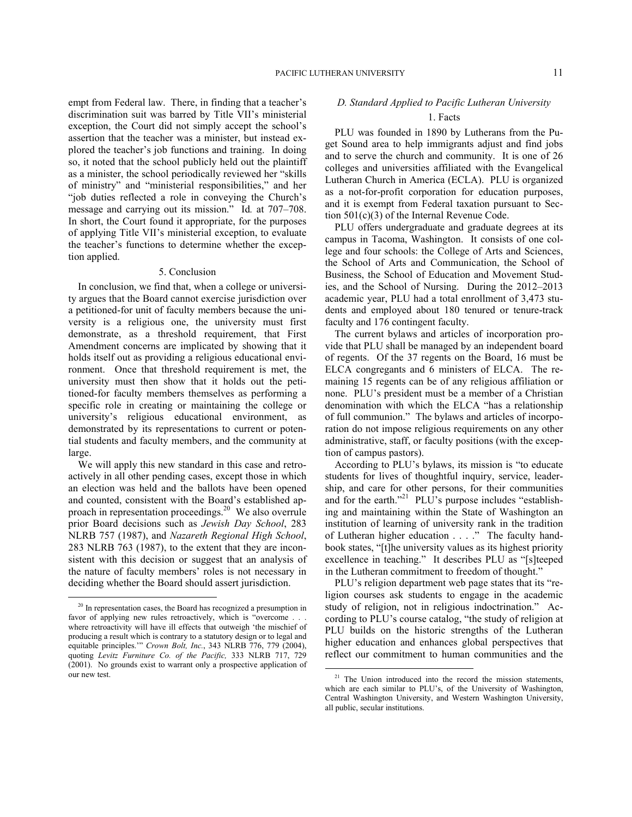empt from Federal law. There, in finding that a teacher's discrimination suit was barred by Title VII's ministerial exception, the Court did not simply accept the school's assertion that the teacher was a minister, but instead explored the teacher's job functions and training. In doing so, it noted that the school publicly held out the plaintiff as a minister, the school periodically reviewed her "skills of ministry" and "ministerial responsibilities," and her "job duties reflected a role in conveying the Church's message and carrying out its mission." Id*.* at 707–708. In short, the Court found it appropriate, for the purposes of applying Title VII's ministerial exception, to evaluate the teacher's functions to determine whether the exception applied.

### 5. Conclusion

In conclusion, we find that, when a college or university argues that the Board cannot exercise jurisdiction over a petitioned-for unit of faculty members because the university is a religious one, the university must first demonstrate, as a threshold requirement, that First Amendment concerns are implicated by showing that it holds itself out as providing a religious educational environment. Once that threshold requirement is met, the university must then show that it holds out the petitioned-for faculty members themselves as performing a specific role in creating or maintaining the college or university's religious educational environment, as demonstrated by its representations to current or potential students and faculty members, and the community at large.

We will apply this new standard in this case and retroactively in all other pending cases, except those in which an election was held and the ballots have been opened and counted, consistent with the Board's established ap-proach in representation proceedings.<sup>[20](#page-10-0)</sup> We also overrule prior Board decisions such as *Jewish Day School*, 283 NLRB 757 (1987), and *Nazareth Regional High School*, 283 NLRB 763 (1987), to the extent that they are inconsistent with this decision or suggest that an analysis of the nature of faculty members' roles is not necessary in deciding whether the Board should assert jurisdiction.

1

# *D. Standard Applied to Pacific Lutheran University* 1. Facts

PLU was founded in 1890 by Lutherans from the Puget Sound area to help immigrants adjust and find jobs and to serve the church and community. It is one of 26 colleges and universities affiliated with the Evangelical Lutheran Church in America (ECLA). PLU is organized as a not-for-profit corporation for education purposes, and it is exempt from Federal taxation pursuant to Section 501(c)(3) of the Internal Revenue Code.

PLU offers undergraduate and graduate degrees at its campus in Tacoma, Washington. It consists of one college and four schools: the College of Arts and Sciences, the School of Arts and Communication, the School of Business, the School of Education and Movement Studies, and the School of Nursing. During the 2012–2013 academic year, PLU had a total enrollment of 3,473 students and employed about 180 tenured or tenure-track faculty and 176 contingent faculty.

The current bylaws and articles of incorporation provide that PLU shall be managed by an independent board of regents. Of the 37 regents on the Board, 16 must be ELCA congregants and 6 ministers of ELCA. The remaining 15 regents can be of any religious affiliation or none. PLU's president must be a member of a Christian denomination with which the ELCA "has a relationship of full communion." The bylaws and articles of incorporation do not impose religious requirements on any other administrative, staff, or faculty positions (with the exception of campus pastors).

According to PLU's bylaws, its mission is "to educate students for lives of thoughtful inquiry, service, leadership, and care for other persons, for their communities and for the earth."<sup>[21](#page-10-1)</sup> PLU's purpose includes "establishing and maintaining within the State of Washington an institution of learning of university rank in the tradition of Lutheran higher education . . . ." The faculty handbook states, "[t]he university values as its highest priority excellence in teaching." It describes PLU as "[s]teeped in the Lutheran commitment to freedom of thought."

PLU's religion department web page states that its "religion courses ask students to engage in the academic study of religion, not in religious indoctrination." According to PLU's course catalog, "the study of religion at PLU builds on the historic strengths of the Lutheran higher education and enhances global perspectives that reflect our commitment to human communities and the

<span id="page-10-1"></span><span id="page-10-0"></span> $20$  In representation cases, the Board has recognized a presumption in favor of applying new rules retroactively, which is "overcome . where retroactivity will have ill effects that outweigh 'the mischief of producing a result which is contrary to a statutory design or to legal and equitable principles.'" *Crown Bolt, Inc.*, 343 NLRB 776, 779 (2004), quoting *Levitz Furniture Co. of the Pacific,* 333 NLRB 717, 729 (2001). No grounds exist to warrant only a prospective application of our new test.

 $21$  The Union introduced into the record the mission statements, which are each similar to PLU's, of the University of Washington, Central Washington University, and Western Washington University, all public, secular institutions.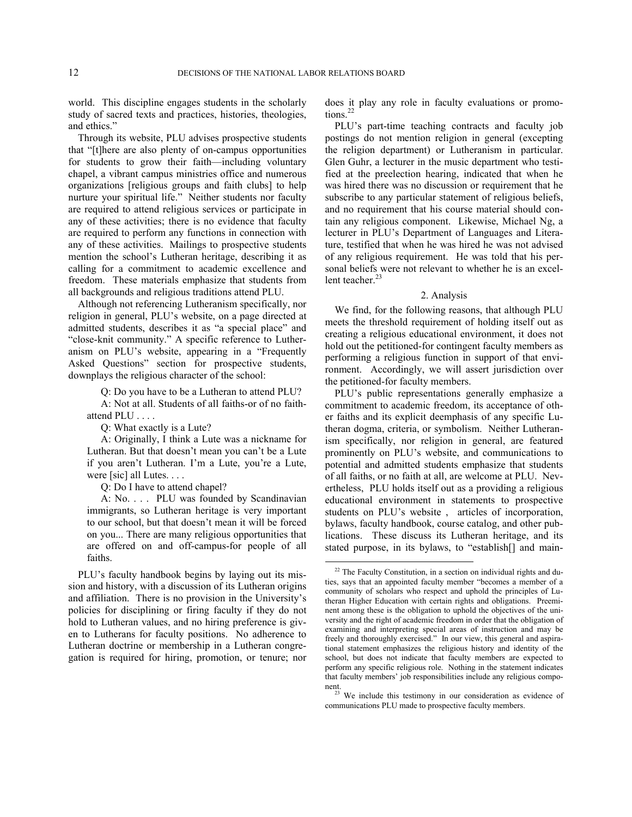world. This discipline engages students in the scholarly study of sacred texts and practices, histories, theologies, and ethics."

Through its website, PLU advises prospective students that "[t]here are also plenty of on-campus opportunities for students to grow their faith—including voluntary chapel, a vibrant campus ministries office and numerous organizations [religious groups and faith clubs] to help nurture your spiritual life." Neither students nor faculty are required to attend religious services or participate in any of these activities; there is no evidence that faculty are required to perform any functions in connection with any of these activities. Mailings to prospective students mention the school's Lutheran heritage, describing it as calling for a commitment to academic excellence and freedom. These materials emphasize that students from all backgrounds and religious traditions attend PLU.

Although not referencing Lutheranism specifically, nor religion in general, PLU's website, on a page directed at admitted students, describes it as "a special place" and "close-knit community." A specific reference to Lutheranism on PLU's website, appearing in a "Frequently Asked Questions" section for prospective students, downplays the religious character of the school:

Q: Do you have to be a Lutheran to attend PLU?

A: Not at all. Students of all faiths-or of no faithattend PLU . . . .

Q: What exactly is a Lute?

A: Originally, I think a Lute was a nickname for Lutheran. But that doesn't mean you can't be a Lute if you aren't Lutheran. I'm a Lute, you're a Lute, were [sic] all Lutes. . . .

Q: Do I have to attend chapel?

A: No. . . . PLU was founded by Scandinavian immigrants, so Lutheran heritage is very important to our school, but that doesn't mean it will be forced on you... There are many religious opportunities that are offered on and off-campus-for people of all faiths.

<span id="page-11-1"></span><span id="page-11-0"></span>PLU's faculty handbook begins by laying out its mission and history, with a discussion of its Lutheran origins and affiliation. There is no provision in the University's policies for disciplining or firing faculty if they do not hold to Lutheran values, and no hiring preference is given to Lutherans for faculty positions. No adherence to Lutheran doctrine or membership in a Lutheran congregation is required for hiring, promotion, or tenure; nor

does it play any role in faculty evaluations or promo-tions.<sup>[22](#page-11-0)</sup>

PLU's part-time teaching contracts and faculty job postings do not mention religion in general (excepting the religion department) or Lutheranism in particular. Glen Guhr, a lecturer in the music department who testified at the preelection hearing, indicated that when he was hired there was no discussion or requirement that he subscribe to any particular statement of religious beliefs, and no requirement that his course material should contain any religious component. Likewise, Michael Ng, a lecturer in PLU's Department of Languages and Literature, testified that when he was hired he was not advised of any religious requirement. He was told that his personal beliefs were not relevant to whether he is an excel-lent teacher.<sup>[23](#page-11-1)</sup>

#### 2. Analysis

We find, for the following reasons, that although PLU meets the threshold requirement of holding itself out as creating a religious educational environment, it does not hold out the petitioned-for contingent faculty members as performing a religious function in support of that environment. Accordingly, we will assert jurisdiction over the petitioned-for faculty members.

PLU's public representations generally emphasize a commitment to academic freedom, its acceptance of other faiths and its explicit deemphasis of any specific Lutheran dogma, criteria, or symbolism. Neither Lutheranism specifically, nor religion in general, are featured prominently on PLU's website, and communications to potential and admitted students emphasize that students of all faiths, or no faith at all, are welcome at PLU. Nevertheless, PLU holds itself out as a providing a religious educational environment in statements to prospective students on PLU's website , articles of incorporation, bylaws, faculty handbook, course catalog, and other publications. These discuss its Lutheran heritage, and its stated purpose, in its bylaws, to "establish[] and main-

 $22$  The Faculty Constitution, in a section on individual rights and duties, says that an appointed faculty member "becomes a member of a community of scholars who respect and uphold the principles of Lutheran Higher Education with certain rights and obligations. Preeminent among these is the obligation to uphold the objectives of the university and the right of academic freedom in order that the obligation of examining and interpreting special areas of instruction and may be freely and thoroughly exercised." In our view, this general and aspirational statement emphasizes the religious history and identity of the school, but does not indicate that faculty members are expected to perform any specific religious role. Nothing in the statement indicates that faculty members' job responsibilities include any religious component.

We include this testimony in our consideration as evidence of communications PLU made to prospective faculty members.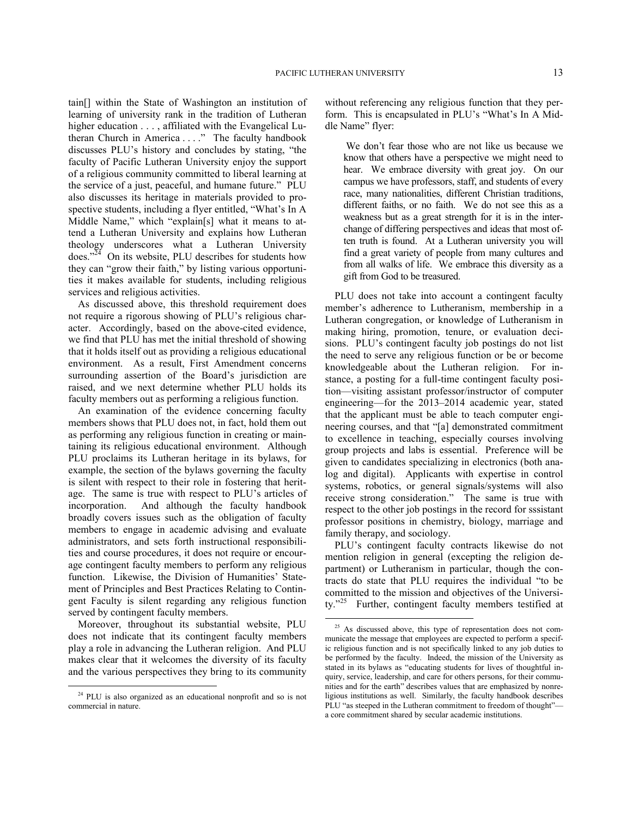tain[] within the State of Washington an institution of learning of university rank in the tradition of Lutheran higher education  $\dots$ , affiliated with the Evangelical Lutheran Church in America . . . ." The faculty handbook discusses PLU's history and concludes by stating, "the faculty of Pacific Lutheran University enjoy the support of a religious community committed to liberal learning at the service of a just, peaceful, and humane future." PLU also discusses its heritage in materials provided to prospective students, including a flyer entitled, "What's In A Middle Name," which "explain[s] what it means to attend a Lutheran University and explains how Lutheran theology underscores what a Lutheran University does." $24$  On its website, PLU describes for students how they can "grow their faith," by listing various opportunities it makes available for students, including religious services and religious activities.

As discussed above, this threshold requirement does not require a rigorous showing of PLU's religious character. Accordingly, based on the above-cited evidence, we find that PLU has met the initial threshold of showing that it holds itself out as providing a religious educational environment. As a result, First Amendment concerns surrounding assertion of the Board's jurisdiction are raised, and we next determine whether PLU holds its faculty members out as performing a religious function.

An examination of the evidence concerning faculty members shows that PLU does not, in fact, hold them out as performing any religious function in creating or maintaining its religious educational environment. Although PLU proclaims its Lutheran heritage in its bylaws, for example, the section of the bylaws governing the faculty is silent with respect to their role in fostering that heritage. The same is true with respect to PLU's articles of incorporation. And although the faculty handbook broadly covers issues such as the obligation of faculty members to engage in academic advising and evaluate administrators, and sets forth instructional responsibilities and course procedures, it does not require or encourage contingent faculty members to perform any religious function. Likewise, the Division of Humanities' Statement of Principles and Best Practices Relating to Contingent Faculty is silent regarding any religious function served by contingent faculty members.

<span id="page-12-1"></span>Moreover, throughout its substantial website, PLU does not indicate that its contingent faculty members play a role in advancing the Lutheran religion. And PLU makes clear that it welcomes the diversity of its faculty and the various perspectives they bring to its community

<u>.</u>

without referencing any religious function that they perform. This is encapsulated in PLU's "What's In A Middle Name" flyer:

We don't fear those who are not like us because we know that others have a perspective we might need to hear. We embrace diversity with great joy. On our campus we have professors, staff, and students of every race, many nationalities, different Christian traditions, different faiths, or no faith. We do not see this as a weakness but as a great strength for it is in the interchange of differing perspectives and ideas that most often truth is found. At a Lutheran university you will find a great variety of people from many cultures and from all walks of life. We embrace this diversity as a gift from God to be treasured.

PLU does not take into account a contingent faculty member's adherence to Lutheranism, membership in a Lutheran congregation, or knowledge of Lutheranism in making hiring, promotion, tenure, or evaluation decisions. PLU's contingent faculty job postings do not list the need to serve any religious function or be or become knowledgeable about the Lutheran religion. For instance, a posting for a full-time contingent faculty position—visiting assistant professor/instructor of computer engineering—for the 2013–2014 academic year, stated that the applicant must be able to teach computer engineering courses, and that "[a] demonstrated commitment to excellence in teaching, especially courses involving group projects and labs is essential. Preference will be given to candidates specializing in electronics (both analog and digital). Applicants with expertise in control systems, robotics, or general signals/systems will also receive strong consideration." The same is true with respect to the other job postings in the record for sssistant professor positions in chemistry, biology, marriage and family therapy, and sociology.

PLU's contingent faculty contracts likewise do not mention religion in general (excepting the religion department) or Lutheranism in particular, though the contracts do state that PLU requires the individual "to be committed to the mission and objectives of the Universi-ty."<sup>[25](#page-12-1)</sup> Further, contingent faculty members testified at

<span id="page-12-0"></span><sup>&</sup>lt;sup>24</sup> PLU is also organized as an educational nonprofit and so is not commercial in nature.

<sup>&</sup>lt;sup>25</sup> As discussed above, this type of representation does not communicate the message that employees are expected to perform a specific religious function and is not specifically linked to any job duties to be performed by the faculty. Indeed, the mission of the University as stated in its bylaws as "educating students for lives of thoughtful inquiry, service, leadership, and care for others persons, for their communities and for the earth" describes values that are emphasized by nonreligious institutions as well. Similarly, the faculty handbook describes PLU "as steeped in the Lutheran commitment to freedom of thought"a core commitment shared by secular academic institutions.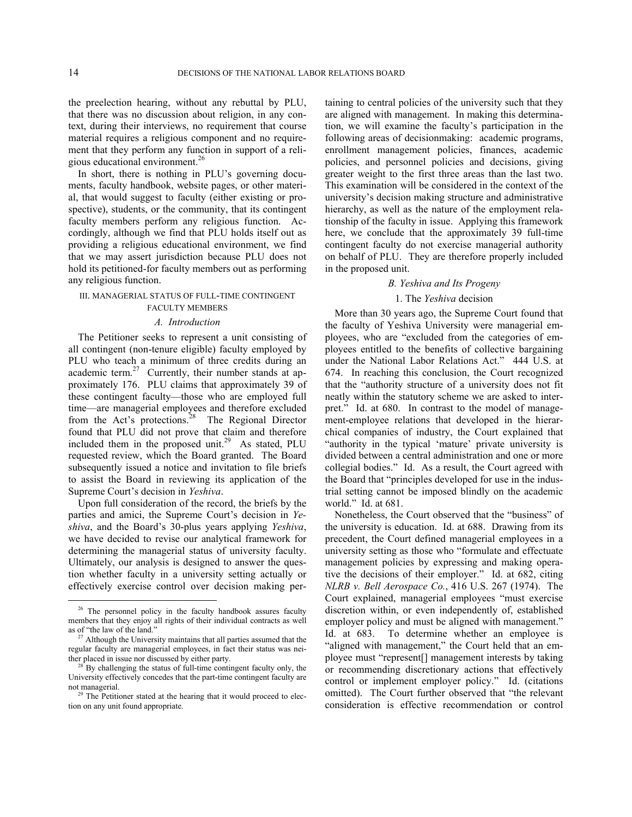the preelection hearing, without any rebuttal by PLU, that there was no discussion about religion, in any context, during their interviews, no requirement that course material requires a religious component and no requirement that they perform any function in support of a reli-gious educational environment.<sup>[26](#page-13-0)</sup>

In short, there is nothing in PLU's governing documents, faculty handbook, website pages, or other material, that would suggest to faculty (either existing or prospective), students, or the community, that its contingent faculty members perform any religious function. Accordingly, although we find that PLU holds itself out as providing a religious educational environment, we find that we may assert jurisdiction because PLU does not hold its petitioned-for faculty members out as performing any religious function.

## III. MANAGERIAL STATUS OF FULL-TIME CONTINGENT FACULTY MEMBERS

#### *A. Introduction*

The Petitioner seeks to represent a unit consisting of all contingent (non-tenure eligible) faculty employed by PLU who teach a minimum of three credits during an academic term.<sup>[27](#page-13-1)</sup> Currently, their number stands at approximately 176. PLU claims that approximately 39 of these contingent faculty—those who are employed full time—are managerial employees and therefore excluded from the Act's protections.<sup>[28](#page-13-2)</sup> The Regional Director found that PLU did not prove that claim and therefore included them in the proposed unit.<sup>[29](#page-13-3)</sup> As stated, PLU requested review, which the Board granted. The Board subsequently issued a notice and invitation to file briefs to assist the Board in reviewing its application of the Supreme Court's decision in *Yeshiva*.

Upon full consideration of the record, the briefs by the parties and amici, the Supreme Court's decision in *Yeshiva*, and the Board's 30-plus years applying *Yeshiva*, we have decided to revise our analytical framework for determining the managerial status of university faculty. Ultimately, our analysis is designed to answer the question whether faculty in a university setting actually or effectively exercise control over decision making pertaining to central policies of the university such that they are aligned with management. In making this determination, we will examine the faculty's participation in the following areas of decisionmaking: academic programs, enrollment management policies, finances, academic policies, and personnel policies and decisions, giving greater weight to the first three areas than the last two. This examination will be considered in the context of the university's decision making structure and administrative hierarchy, as well as the nature of the employment relationship of the faculty in issue. Applying this framework here, we conclude that the approximately 39 full-time contingent faculty do not exercise managerial authority on behalf of PLU. They are therefore properly included in the proposed unit.

### *B. Yeshiva and Its Progeny*

### 1. The *Yeshiva* decision

More than 30 years ago, the Supreme Court found that the faculty of Yeshiva University were managerial employees, who are "excluded from the categories of employees entitled to the benefits of collective bargaining under the National Labor Relations Act." 444 U.S. at 674. In reaching this conclusion, the Court recognized that the "authority structure of a university does not fit neatly within the statutory scheme we are asked to interpret." Id. at 680. In contrast to the model of management-employee relations that developed in the hierarchical companies of industry, the Court explained that "authority in the typical 'mature' private university is divided between a central administration and one or more collegial bodies." Id. As a result, the Court agreed with the Board that "principles developed for use in the industrial setting cannot be imposed blindly on the academic world." Id. at 681.

Nonetheless, the Court observed that the "business" of the university is education. Id. at 688. Drawing from its precedent, the Court defined managerial employees in a university setting as those who "formulate and effectuate management policies by expressing and making operative the decisions of their employer." Id. at 682, citing *NLRB v. Bell Aerospace Co.*, 416 U.S. 267 (1974). The Court explained, managerial employees "must exercise discretion within, or even independently of, established employer policy and must be aligned with management." Id. at 683. To determine whether an employee is "aligned with management," the Court held that an employee must "represent[] management interests by taking or recommending discretionary actions that effectively control or implement employer policy." Id. (citations omitted). The Court further observed that "the relevant consideration is effective recommendation or control

<span id="page-13-0"></span><sup>&</sup>lt;sup>26</sup> The personnel policy in the faculty handbook assures faculty members that they enjoy all rights of their individual contracts as well as of "the law of the land."

<span id="page-13-1"></span><sup>&</sup>lt;sup>27</sup> Although the University maintains that all parties assumed that the regular faculty are managerial employees, in fact their status was neither placed in issue nor discussed by either party.

<span id="page-13-2"></span>By challenging the status of full-time contingent faculty only, the University effectively concedes that the part-time contingent faculty are not managerial.

<span id="page-13-3"></span><sup>&</sup>lt;sup>29</sup> The Petitioner stated at the hearing that it would proceed to election on any unit found appropriate.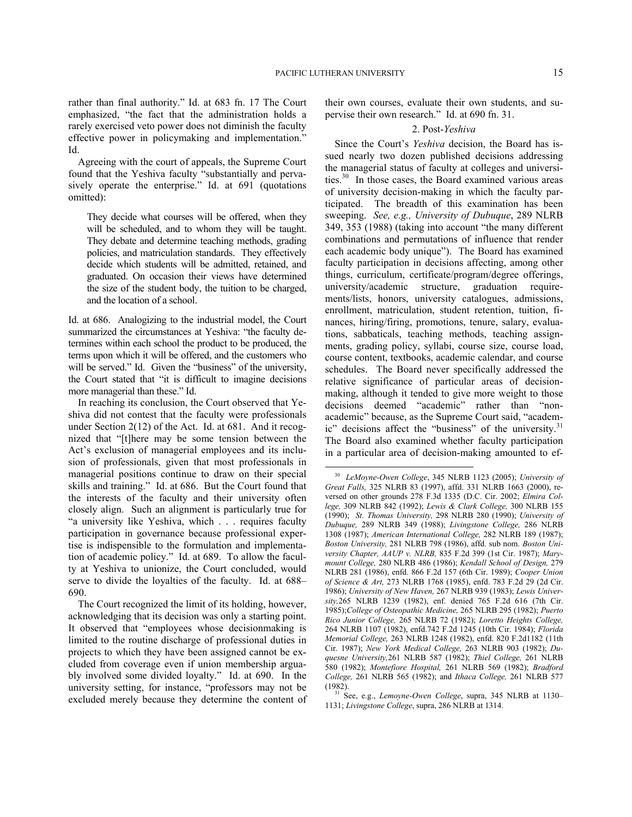rather than final authority." Id. at 683 fn. 17 The Court emphasized, "the fact that the administration holds a rarely exercised veto power does not diminish the faculty effective power in policymaking and implementation." Id.

Agreeing with the court of appeals, the Supreme Court found that the Yeshiva faculty "substantially and pervasively operate the enterprise." Id. at 691 (quotations omitted):

They decide what courses will be offered, when they will be scheduled, and to whom they will be taught. They debate and determine teaching methods, grading policies, and matriculation standards. They effectively decide which students will be admitted, retained, and graduated. On occasion their views have determined the size of the student body, the tuition to be charged, and the location of a school.

Id. at 686. Analogizing to the industrial model, the Court summarized the circumstances at Yeshiva: "the faculty determines within each school the product to be produced, the terms upon which it will be offered, and the customers who will be served." Id. Given the "business" of the university, the Court stated that "it is difficult to imagine decisions more managerial than these." Id.

<span id="page-14-0"></span>In reaching its conclusion, the Court observed that Yeshiva did not contest that the faculty were professionals under Section 2(12) of the Act. Id. at 681. And it recognized that "[t]here may be some tension between the Act's exclusion of managerial employees and its inclusion of professionals, given that most professionals in managerial positions continue to draw on their special skills and training." Id. at 686. But the Court found that the interests of the faculty and their university often closely align. Such an alignment is particularly true for "a university like Yeshiva, which . . . requires faculty participation in governance because professional expertise is indispensible to the formulation and implementation of academic policy." Id. at 689. To allow the faculty at Yeshiva to unionize, the Court concluded, would serve to divide the loyalties of the faculty. Id. at 688– 690.

<span id="page-14-1"></span>The Court recognized the limit of its holding, however, acknowledging that its decision was only a starting point. It observed that "employees whose decisionmaking is limited to the routine discharge of professional duties in projects to which they have been assigned cannot be excluded from coverage even if union membership arguably involved some divided loyalty." Id. at 690. In the university setting, for instance, "professors may not be excluded merely because they determine the content of their own courses, evaluate their own students, and supervise their own research." Id. at 690 fn. 31.

## 2. Post-*Yeshiva*

Since the Court's *Yeshiva* decision, the Board has issued nearly two dozen published decisions addressing the managerial status of faculty at colleges and universi-ties.<sup>[30](#page-14-0)</sup> In those cases, the Board examined various areas of university decision-making in which the faculty participated. The breadth of this examination has been sweeping. *See, e.g., University of Dubuque*, 289 NLRB 349, 353 (1988) (taking into account "the many different combinations and permutations of influence that render each academic body unique"). The Board has examined faculty participation in decisions affecting, among other things, curriculum, certificate/program/degree offerings, university/academic structure, graduation requirements/lists, honors, university catalogues, admissions, enrollment, matriculation, student retention, tuition, finances, hiring/firing, promotions, tenure, salary, evaluations, sabbaticals, teaching methods, teaching assignments, grading policy, syllabi, course size, course load, course content, textbooks, academic calendar, and course schedules. The Board never specifically addressed the relative significance of particular areas of decisionmaking, although it tended to give more weight to those decisions deemed "academic" rather than "nonacademic" because, as the Supreme Court said, "academ-ic" decisions affect the "business" of the university.<sup>[31](#page-14-1)</sup> The Board also examined whether faculty participation in a particular area of decision-making amounted to ef-

<sup>30</sup> *LeMoyne-Owen College*, 345 NLRB 1123 (2005); *University of Great Falls,* 325 NLRB 83 (1997), affd. 331 NLRB 1663 (2000), reversed on other grounds 278 F.3d 1335 (D.C. Cir. 2002; *Elmira College,* 309 NLRB 842 (1992); *Lewis & Clark College,* 300 NLRB 155 (1990); *St. Thomas University,* 298 NLRB 280 (1990); *University of Dubuque,* 289 NLRB 349 (1988); *Livingstone College,* 286 NLRB 1308 (1987); *American International College,* 282 NLRB 189 (1987); *Boston University,* 281 NLRB 798 (1986), affd. sub nom. *Boston University Chapter, AAUP v. NLRB,* 835 F.2d 399 (1st Cir. 1987); *Marymount College,* 280 NLRB 486 (1986); *Kendall School of Design,* 279 NLRB 281 (1986), enfd. 866 F.2d 157 (6th Cir. 1989); *Cooper Union of Science & Art,* 273 NLRB 1768 (1985), enfd. 783 F.2d 29 (2d Cir. 1986); *University of New Haven,* 267 NLRB 939 (1983); *Lewis University,*265 NLRB 1239 (1982), enf. denied 765 F.2d 616 (7th Cir. 1985);*College of Osteopathic Medicine,* 265 NLRB 295 (1982); *Puerto Rico Junior College,* 265 NLRB 72 (1982); *Loretto Heights College,*  264 NLRB 1107 (1982), enfd.742 F.2d 1245 (10th Cir. 1984); *Florida Memorial College,* 263 NLRB 1248 (1982), enfd. 820 F.2d1182 (11th Cir. 1987); *New York Medical College,* 263 NLRB 903 (1982); *Duquesne University,*261 NLRB 587 (1982); *Thiel College,* 261 NLRB 580 (1982); *Montefiore Hospital,* 261 NLRB 569 (1982); *Bradford College,* 261 NLRB 565 (1982); and *Ithaca College,* 261 NLRB 577 (1982).

<sup>31</sup> See, e.g., *Lemoyne-Owen College*, supra, 345 NLRB at 1130– 1131; *Livingstone College*, supra, 286 NLRB at 1314.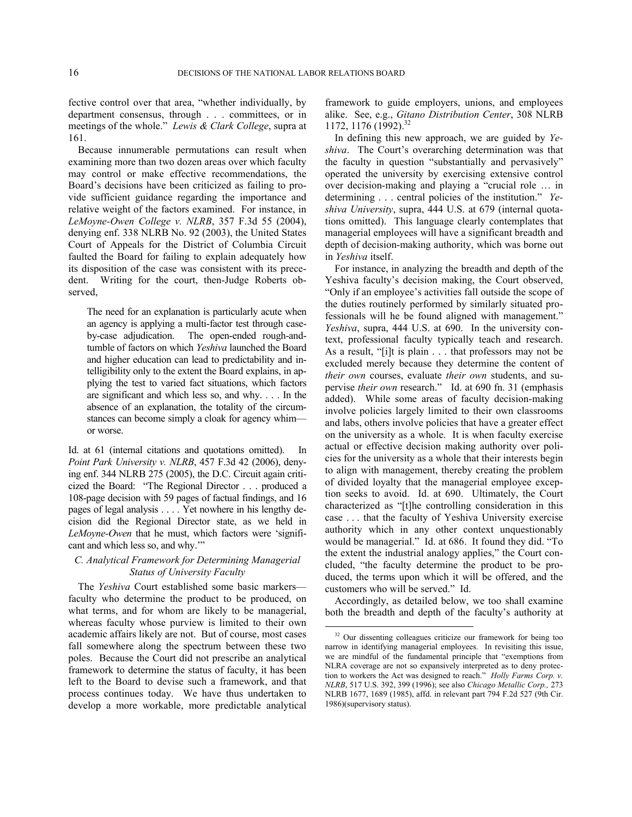fective control over that area, "whether individually, by department consensus, through . . . committees, or in meetings of the whole." *Lewis & Clark College*, supra at 161.

Because innumerable permutations can result when examining more than two dozen areas over which faculty may control or make effective recommendations, the Board's decisions have been criticized as failing to provide sufficient guidance regarding the importance and relative weight of the factors examined. For instance, in *LeMoyne-Owen College v. NLRB*, 357 F.3d 55 (2004), denying enf. 338 NLRB No. 92 (2003), the United States Court of Appeals for the District of Columbia Circuit faulted the Board for failing to explain adequately how its disposition of the case was consistent with its precedent. Writing for the court, then-Judge Roberts observed,

The need for an explanation is particularly acute when an agency is applying a multi-factor test through caseby-case adjudication. The open-ended rough-andtumble of factors on which *Yeshiva* launched the Board and higher education can lead to predictability and intelligibility only to the extent the Board explains, in applying the test to varied fact situations, which factors are significant and which less so, and why. . . . In the absence of an explanation, the totality of the circumstances can become simply a cloak for agency whim or worse.

Id. at 61 (internal citations and quotations omitted). In *Point Park University v. NLRB*, 457 F.3d 42 (2006), denying enf. 344 NLRB 275 (2005), the D.C. Circuit again criticized the Board: "The Regional Director . . . produced a 108-page decision with 59 pages of factual findings, and 16 pages of legal analysis . . . . Yet nowhere in his lengthy decision did the Regional Director state, as we held in *LeMoyne-Owen* that he must, which factors were 'significant and which less so, and why.'"

# *C. Analytical Framework for Determining Managerial Status of University Faculty*

<span id="page-15-0"></span>The *Yeshiva* Court established some basic markers faculty who determine the product to be produced, on what terms, and for whom are likely to be managerial, whereas faculty whose purview is limited to their own academic affairs likely are not. But of course, most cases fall somewhere along the spectrum between these two poles. Because the Court did not prescribe an analytical framework to determine the status of faculty, it has been left to the Board to devise such a framework, and that process continues today. We have thus undertaken to develop a more workable, more predictable analytical

framework to guide employers, unions, and employees alike. See, e.g., *Gitano Distribution Center*, 308 NLRB 1172, 1176 (1992).[32](#page-15-0)

In defining this new approach, we are guided by *Yeshiva*. The Court's overarching determination was that the faculty in question "substantially and pervasively" operated the university by exercising extensive control over decision-making and playing a "crucial role … in determining . . . central policies of the institution." *Yeshiva University*, supra, 444 U.S. at 679 (internal quotations omitted). This language clearly contemplates that managerial employees will have a significant breadth and depth of decision-making authority, which was borne out in *Yeshiva* itself.

For instance, in analyzing the breadth and depth of the Yeshiva faculty's decision making, the Court observed, "Only if an employee's activities fall outside the scope of the duties routinely performed by similarly situated professionals will he be found aligned with management." *Yeshiva*, supra, 444 U.S. at 690. In the university context, professional faculty typically teach and research. As a result, "[i]t is plain . . . that professors may not be excluded merely because they determine the content of *their own* courses, evaluate *their own* students, and supervise *their own* research." Id. at 690 fn. 31 (emphasis added). While some areas of faculty decision-making involve policies largely limited to their own classrooms and labs, others involve policies that have a greater effect on the university as a whole. It is when faculty exercise actual or effective decision making authority over policies for the university as a whole that their interests begin to align with management, thereby creating the problem of divided loyalty that the managerial employee exception seeks to avoid. Id. at 690. Ultimately, the Court characterized as "[t]he controlling consideration in this case . . . that the faculty of Yeshiva University exercise authority which in any other context unquestionably would be managerial." Id. at 686. It found they did. "To the extent the industrial analogy applies," the Court concluded, "the faculty determine the product to be produced, the terms upon which it will be offered, and the customers who will be served." Id.

Accordingly, as detailed below, we too shall examine both the breadth and depth of the faculty's authority at

<sup>&</sup>lt;sup>32</sup> Our dissenting colleagues criticize our framework for being too narrow in identifying managerial employees. In revisiting this issue, we are mindful of the fundamental principle that "exemptions from NLRA coverage are not so expansively interpreted as to deny protection to workers the Act was designed to reach." *Holly Farms Corp. v. NLRB*, 517 U.S. 392, 399 (1996); see also *Chicago Metallic Corp.,* 273 NLRB 1677, 1689 (1985), affd. in relevant part 794 F.2d 527 (9th Cir. 1986)(supervisory status).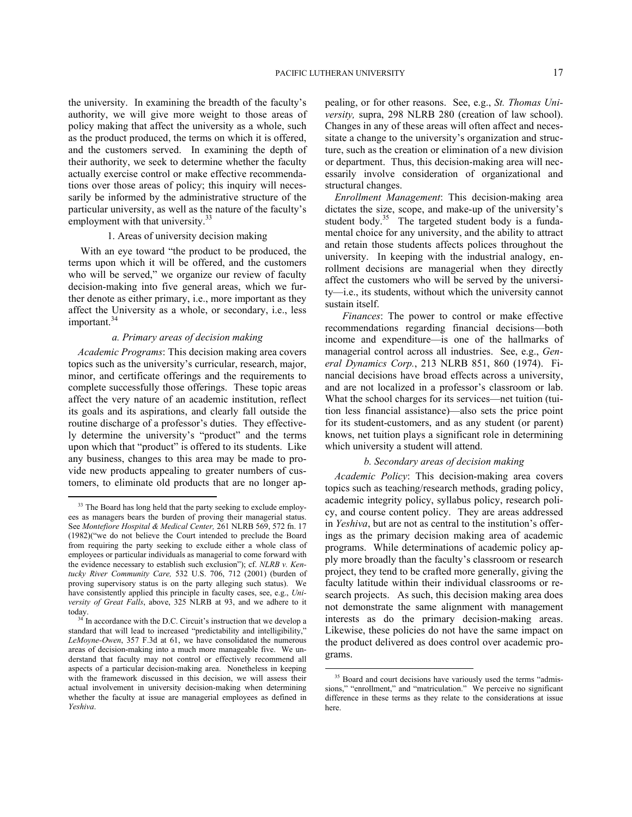the university. In examining the breadth of the faculty's authority, we will give more weight to those areas of policy making that affect the university as a whole, such as the product produced, the terms on which it is offered, and the customers served. In examining the depth of their authority, we seek to determine whether the faculty actually exercise control or make effective recommendations over those areas of policy; this inquiry will necessarily be informed by the administrative structure of the particular university, as well as the nature of the faculty's employment with that university.<sup>[33](#page-16-0)</sup>

## 1. Areas of university decision making

With an eye toward "the product to be produced, the terms upon which it will be offered, and the customers who will be served," we organize our review of faculty decision-making into five general areas, which we further denote as either primary, i.e., more important as they affect the University as a whole, or secondary, i.e., less important.<sup>[34](#page-16-1)</sup>

# *a. Primary areas of decision making*

*Academic Programs*: This decision making area covers topics such as the university's curricular, research, major, minor, and certificate offerings and the requirements to complete successfully those offerings. These topic areas affect the very nature of an academic institution, reflect its goals and its aspirations, and clearly fall outside the routine discharge of a professor's duties. They effectively determine the university's "product" and the terms upon which that "product" is offered to its students. Like any business, changes to this area may be made to provide new products appealing to greater numbers of customers, to eliminate old products that are no longer ap-

1

pealing, or for other reasons. See, e.g., *St. Thomas University,* supra, 298 NLRB 280 (creation of law school). Changes in any of these areas will often affect and necessitate a change to the university's organization and structure, such as the creation or elimination of a new division or department. Thus, this decision-making area will necessarily involve consideration of organizational and structural changes.

*Enrollment Management*: This decision-making area dictates the size, scope, and make-up of the university's student body.<sup>[35](#page-16-2)</sup> The targeted student body is a fundamental choice for any university, and the ability to attract and retain those students affects polices throughout the university. In keeping with the industrial analogy, enrollment decisions are managerial when they directly affect the customers who will be served by the university—i.e., its students, without which the university cannot sustain itself.

 *Finances*: The power to control or make effective recommendations regarding financial decisions—both income and expenditure—is one of the hallmarks of managerial control across all industries. See, e.g., *General Dynamics Corp.*, 213 NLRB 851, 860 (1974). Financial decisions have broad effects across a university, and are not localized in a professor's classroom or lab. What the school charges for its services—net tuition (tuition less financial assistance)—also sets the price point for its student-customers, and as any student (or parent) knows, net tuition plays a significant role in determining which university a student will attend.

# *b. Secondary areas of decision making*

*Academic Policy*: This decision-making area covers topics such as teaching/research methods, grading policy, academic integrity policy, syllabus policy, research policy, and course content policy. They are areas addressed in *Yeshiva*, but are not as central to the institution's offerings as the primary decision making area of academic programs. While determinations of academic policy apply more broadly than the faculty's classroom or research project, they tend to be crafted more generally, giving the faculty latitude within their individual classrooms or research projects. As such, this decision making area does not demonstrate the same alignment with management interests as do the primary decision-making areas. Likewise, these policies do not have the same impact on the product delivered as does control over academic programs.

<span id="page-16-0"></span><sup>&</sup>lt;sup>33</sup> The Board has long held that the party seeking to exclude employees as managers bears the burden of proving their managerial status. See *Montefiore Hospital & Medical Center,* 261 NLRB 569, 572 fn. 17 (1982)("we do not believe the Court intended to preclude the Board from requiring the party seeking to exclude either a whole class of employees or particular individuals as managerial to come forward with the evidence necessary to establish such exclusion"); cf. *NLRB v. Kentucky River Community Care,* 532 U.S. 706, 712 (2001) (burden of proving supervisory status is on the party alleging such status). We have consistently applied this principle in faculty cases, see, e.g., *University of Great Falls*, above, 325 NLRB at 93, and we adhere to it today.

<span id="page-16-2"></span><span id="page-16-1"></span> $34$ <sup>I</sup>n accordance with the D.C. Circuit's instruction that we develop a standard that will lead to increased "predictability and intelligibility," *LeMoyne-Owen*, 357 F.3d at 61, we have consolidated the numerous areas of decision-making into a much more manageable five. We understand that faculty may not control or effectively recommend all aspects of a particular decision-making area. Nonetheless in keeping with the framework discussed in this decision, we will assess their actual involvement in university decision-making when determining whether the faculty at issue are managerial employees as defined in *Yeshiva*.

<sup>&</sup>lt;sup>35</sup> Board and court decisions have variously used the terms "admissions," "enrollment," and "matriculation." We perceive no significant difference in these terms as they relate to the considerations at issue here.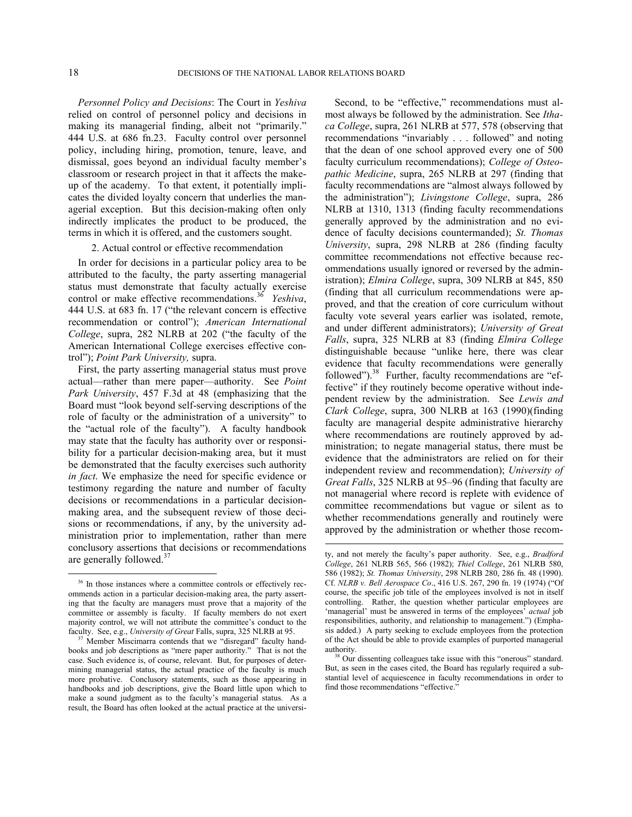$\overline{a}$ 

*Personnel Policy and Decisions*: The Court in *Yeshiva*  relied on control of personnel policy and decisions in making its managerial finding, albeit not "primarily." 444 U.S. at 686 fn.23. Faculty control over personnel policy, including hiring, promotion, tenure, leave, and dismissal, goes beyond an individual faculty member's classroom or research project in that it affects the makeup of the academy. To that extent, it potentially implicates the divided loyalty concern that underlies the managerial exception. But this decision-making often only indirectly implicates the product to be produced, the terms in which it is offered, and the customers sought.

# 2. Actual control or effective recommendation

In order for decisions in a particular policy area to be attributed to the faculty, the party asserting managerial status must demonstrate that faculty actually exercise control or make effective recommendations.<sup>[36](#page-17-0)</sup> *Yeshiva*, 444 U.S. at 683 fn. 17 ("the relevant concern is effective recommendation or control"); *American International College*, supra, 282 NLRB at 202 ("the faculty of the American International College exercises effective control"); *Point Park University,* supra.

First, the party asserting managerial status must prove actual—rather than mere paper—authority. See *Point Park University*, 457 F.3d at 48 (emphasizing that the Board must "look beyond self-serving descriptions of the role of faculty or the administration of a university" to the "actual role of the faculty"). A faculty handbook may state that the faculty has authority over or responsibility for a particular decision-making area, but it must be demonstrated that the faculty exercises such authority *in fact*. We emphasize the need for specific evidence or testimony regarding the nature and number of faculty decisions or recommendations in a particular decisionmaking area, and the subsequent review of those decisions or recommendations, if any, by the university administration prior to implementation, rather than mere conclusory assertions that decisions or recommendations are generally followed.<sup>[37](#page-17-1)</sup>

Second, to be "effective," recommendations must almost always be followed by the administration. See *Ithaca College*, supra, 261 NLRB at 577, 578 (observing that recommendations "invariably . . . followed" and noting that the dean of one school approved every one of 500 faculty curriculum recommendations); *College of Osteopathic Medicine*, supra, 265 NLRB at 297 (finding that faculty recommendations are "almost always followed by the administration"); *Livingstone College*, supra, 286 NLRB at 1310, 1313 (finding faculty recommendations generally approved by the administration and no evidence of faculty decisions countermanded); *St. Thomas University*, supra, 298 NLRB at 286 (finding faculty committee recommendations not effective because recommendations usually ignored or reversed by the administration); *Elmira College*, supra, 309 NLRB at 845, 850 (finding that all curriculum recommendations were approved, and that the creation of core curriculum without faculty vote several years earlier was isolated, remote, and under different administrators); *University of Great Falls*, supra, 325 NLRB at 83 (finding *Elmira College* distinguishable because "unlike here, there was clear evidence that faculty recommendations were generally followed").<sup>[38](#page-17-2)</sup> Further, faculty recommendations are "effective" if they routinely become operative without independent review by the administration. See *Lewis and Clark College*, supra, 300 NLRB at 163 (1990)(finding faculty are managerial despite administrative hierarchy where recommendations are routinely approved by administration; to negate managerial status, there must be evidence that the administrators are relied on for their independent review and recommendation); *University of Great Falls*, 325 NLRB at 95–96 (finding that faculty are not managerial where record is replete with evidence of committee recommendations but vague or silent as to whether recommendations generally and routinely were approved by the administration or whether those recom-

<span id="page-17-0"></span><sup>&</sup>lt;sup>36</sup> In those instances where a committee controls or effectively recommends action in a particular decision-making area, the party asserting that the faculty are managers must prove that a majority of the committee or assembly is faculty. If faculty members do not exert majority control, we will not attribute the committee's conduct to the faculty. See, e.g., *University of Great* Falls, supra, 325 NLRB at 95.

<span id="page-17-2"></span><span id="page-17-1"></span><sup>&</sup>lt;sup>37</sup> Member Miscimarra contends that we "disregard" faculty handbooks and job descriptions as "mere paper authority." That is not the case. Such evidence is, of course, relevant. But, for purposes of determining managerial status, the actual practice of the faculty is much more probative. Conclusory statements, such as those appearing in handbooks and job descriptions, give the Board little upon which to make a sound judgment as to the faculty's managerial status. As a result, the Board has often looked at the actual practice at the universi-

ty, and not merely the faculty's paper authority. See, e.g., *Bradford College*, 261 NLRB 565, 566 (1982); *Thiel College*, 261 NLRB 580, 586 (1982); *St. Thomas University*, 298 NLRB 280, 286 fn. 48 (1990). Cf. *NLRB v. Bell Aerospace Co*., 416 U.S. 267, 290 fn. 19 (1974) ("Of course, the specific job title of the employees involved is not in itself controlling. Rather, the question whether particular employees are 'managerial' must be answered in terms of the employees' *actual* job responsibilities, authority, and relationship to management.") (Emphasis added.) A party seeking to exclude employees from the protection of the Act should be able to provide examples of purported managerial authority.

Our dissenting colleagues take issue with this "onerous" standard. But, as seen in the cases cited, the Board has regularly required a substantial level of acquiescence in faculty recommendations in order to find those recommendations "effective."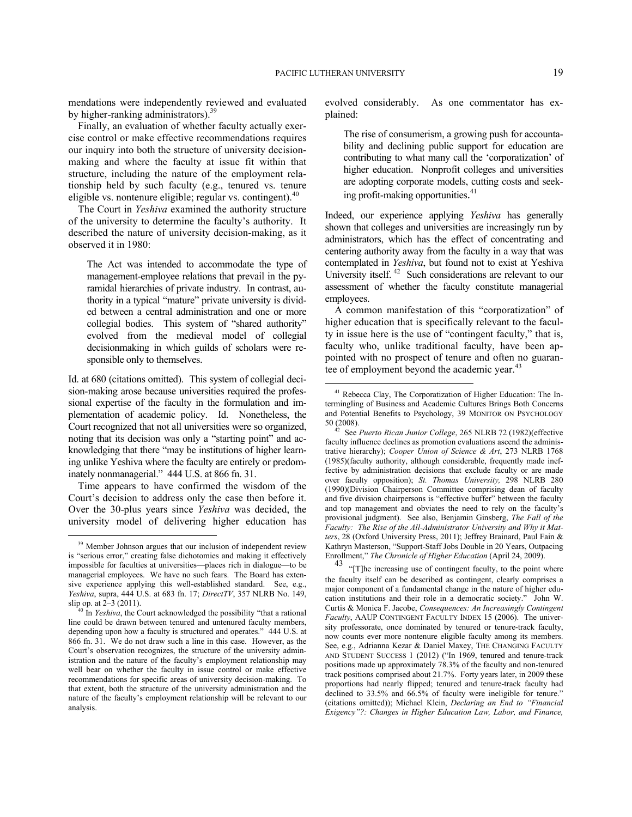mendations were independently reviewed and evaluated by higher-ranking administrators).<sup>[39](#page-18-0)</sup>

Finally, an evaluation of whether faculty actually exercise control or make effective recommendations requires our inquiry into both the structure of university decisionmaking and where the faculty at issue fit within that structure, including the nature of the employment relationship held by such faculty (e.g., tenured vs. tenure eligible vs. nontenure eligible; regular vs. contingent).<sup>[40](#page-18-1)</sup>

The Court in *Yeshiva* examined the authority structure of the university to determine the faculty's authority. It described the nature of university decision-making, as it observed it in 1980:

The Act was intended to accommodate the type of management-employee relations that prevail in the pyramidal hierarchies of private industry. In contrast, authority in a typical "mature" private university is divided between a central administration and one or more collegial bodies. This system of "shared authority" evolved from the medieval model of collegial decisionmaking in which guilds of scholars were responsible only to themselves.

<span id="page-18-3"></span><span id="page-18-2"></span>Id. at 680 (citations omitted). This system of collegial decision-making arose because universities required the professional expertise of the faculty in the formulation and implementation of academic policy. Id. Nonetheless, the Court recognized that not all universities were so organized, noting that its decision was only a "starting point" and acknowledging that there "may be institutions of higher learning unlike Yeshiva where the faculty are entirely or predominately nonmanagerial." 444 U.S. at 866 fn. 31.

Time appears to have confirmed the wisdom of the Court's decision to address only the case then before it. Over the 30-plus years since *Yeshiva* was decided, the university model of delivering higher education has

1

evolved considerably. As one commentator has explained:

The rise of consumerism, a growing push for accountability and declining public support for education are contributing to what many call the 'corporatization' of higher education. Nonprofit colleges and universities are adopting corporate models, cutting costs and seeking profit-making opportunities. [41](#page-18-2)

Indeed, our experience applying *Yeshiva* has generally shown that colleges and universities are increasingly run by administrators, which has the effect of concentrating and centering authority away from the faculty in a way that was contemplated in *Yeshiva*, but found not to exist at Yeshiva University itself.<sup>[42](#page-18-3)</sup> Such considerations are relevant to our assessment of whether the faculty constitute managerial employees.

A common manifestation of this "corporatization" of higher education that is specifically relevant to the faculty in issue here is the use of "contingent faculty," that is, faculty who, unlike traditional faculty, have been appointed with no prospect of tenure and often no guaran-tee of employment beyond the academic year.<sup>[43](#page-18-4)</sup>

<sup>43</sup> "[T]he increasing use of contingent faculty, to the point where the faculty itself can be described as contingent, clearly comprises a major component of a fundamental change in the nature of higher education institutions and their role in a democratic society." John W. Curtis & Monica F. Jacobe, *Consequences: An Increasingly Contingent Faculty*, AAUP CONTINGENT FACULTY INDEX 15 (2006). The university professorate, once dominated by tenured or tenure-track faculty, now counts ever more nontenure eligible faculty among its members. See, e.g., Adrianna Kezar & Daniel Maxey, THE CHANGING FACULTY AND STUDENT SUCCESS 1 (2012) ("In 1969, tenured and tenure-track positions made up approximately 78.3% of the faculty and non-tenured track positions comprised about 21.7%. Forty years later, in 2009 these proportions had nearly flipped; tenured and tenure-track faculty had declined to 33.5% and 66.5% of faculty were ineligible for tenure." (citations omitted)); Michael Klein, *Declaring an End to "Financial Exigency"?: Changes in Higher Education Law, Labor, and Finance,* 

<span id="page-18-4"></span><span id="page-18-0"></span><sup>&</sup>lt;sup>39</sup> Member Johnson argues that our inclusion of independent review is "serious error," creating false dichotomies and making it effectively impossible for faculties at universities—places rich in dialogue—to be managerial employees. We have no such fears. The Board has extensive experience applying this well-established standard. See, e.g., *Yeshiva*, supra, 444 U.S. at 683 fn. 17; *DirectTV*, 357 NLRB No. 149, slip op. at 2–3 (2011).

<span id="page-18-1"></span><sup>40</sup> In *Yeshiva*, the Court acknowledged the possibility "that a rational line could be drawn between tenured and untenured faculty members, depending upon how a faculty is structured and operates." 444 U.S. at 866 fn. 31. We do not draw such a line in this case. However, as the Court's observation recognizes, the structure of the university administration and the nature of the faculty's employment relationship may well bear on whether the faculty in issue control or make effective recommendations for specific areas of university decision-making. To that extent, both the structure of the university administration and the nature of the faculty's employment relationship will be relevant to our analysis.

<sup>41</sup> Rebecca Clay, The Corporatization of Higher Education: The Intermingling of Business and Academic Cultures Brings Both Concerns and Potential Benefits to Psychology, 39 MONITOR ON PSYCHOLOGY 50 (2008).

<sup>42</sup> See *Puerto Rican Junior College*, 265 NLRB 72 (1982)(effective faculty influence declines as promotion evaluations ascend the administrative hierarchy); *Cooper Union of Science & Art*, 273 NLRB 1768 (1985)(faculty authority, although considerable, frequently made ineffective by administration decisions that exclude faculty or are made over faculty opposition); *St. Thomas University,* 298 NLRB 280 (1990)(Division Chairperson Committee comprising dean of faculty and five division chairpersons is "effective buffer" between the faculty and top management and obviates the need to rely on the faculty's provisional judgment). See also, Benjamin Ginsberg, *The Fall of the Faculty: The Rise of the All-Administrator University and Why it Matters*, 28 (Oxford University Press, 2011); Jeffrey Brainard, Paul Fain & Kathryn Masterson, "Support-Staff Jobs Double in 20 Years, Outpacing Enrollment," *The Chronicle of Higher Education* (April 24, 2009).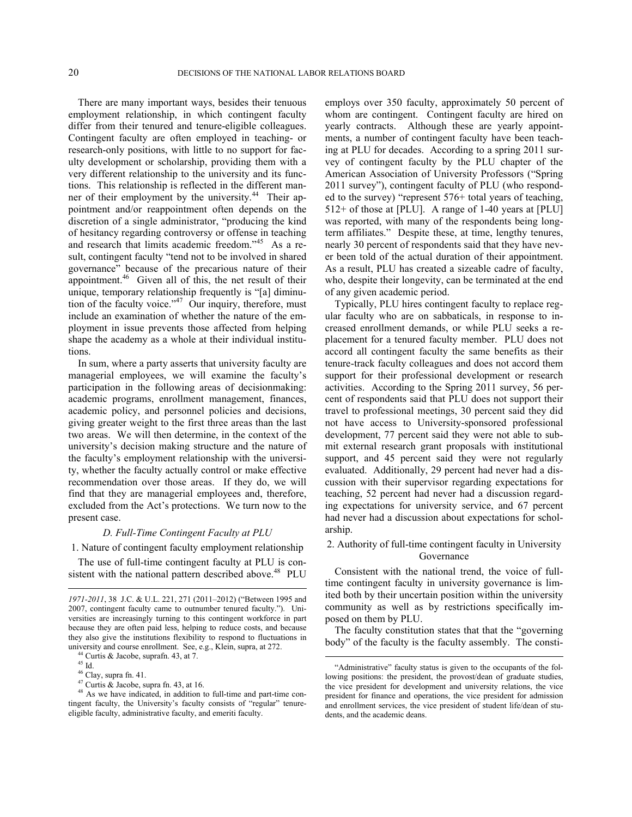There are many important ways, besides their tenuous employment relationship, in which contingent faculty differ from their tenured and tenure-eligible colleagues. Contingent faculty are often employed in teaching- or research-only positions, with little to no support for faculty development or scholarship, providing them with a very different relationship to the university and its functions. This relationship is reflected in the different man-ner of their employment by the university.<sup>[44](#page-19-0)</sup> Their appointment and/or reappointment often depends on the discretion of a single administrator, "producing the kind of hesitancy regarding controversy or offense in teaching and research that limits academic freedom."<sup>[45](#page-19-1)</sup> As a result, contingent faculty "tend not to be involved in shared governance" because of the precarious nature of their appointment.<sup>[46](#page-19-2)</sup> Given all of this, the net result of their unique, temporary relationship frequently is "[a] diminution of the faculty voice." $47$  Our inquiry, therefore, must include an examination of whether the nature of the employment in issue prevents those affected from helping shape the academy as a whole at their individual institutions.

In sum, where a party asserts that university faculty are managerial employees, we will examine the faculty's participation in the following areas of decisionmaking: academic programs, enrollment management, finances, academic policy, and personnel policies and decisions, giving greater weight to the first three areas than the last two areas. We will then determine, in the context of the university's decision making structure and the nature of the faculty's employment relationship with the university, whether the faculty actually control or make effective recommendation over those areas. If they do, we will find that they are managerial employees and, therefore, excluded from the Act's protections. We turn now to the present case.

## *D. Full-Time Contingent Faculty at PLU*

1. Nature of contingent faculty employment relationship

The use of full-time contingent faculty at PLU is con-sistent with the national pattern described above.<sup>[48](#page-19-4)</sup> PLU

<sup>44</sup> Curtis & Jacobe, suprafn. 43, at 7.

 $\overline{a}$ 

 $46$  Clay, supra fn. 41.

employs over 350 faculty, approximately 50 percent of whom are contingent. Contingent faculty are hired on yearly contracts. Although these are yearly appointments, a number of contingent faculty have been teaching at PLU for decades. According to a spring 2011 survey of contingent faculty by the PLU chapter of the American Association of University Professors ("Spring 2011 survey"), contingent faculty of PLU (who responded to the survey) "represent 576+ total years of teaching, 512+ of those at [PLU]. A range of 1-40 years at [PLU] was reported, with many of the respondents being longterm affiliates." Despite these, at time, lengthy tenures, nearly 30 percent of respondents said that they have never been told of the actual duration of their appointment. As a result, PLU has created a sizeable cadre of faculty, who, despite their longevity, can be terminated at the end of any given academic period.

Typically, PLU hires contingent faculty to replace regular faculty who are on sabbaticals, in response to increased enrollment demands, or while PLU seeks a replacement for a tenured faculty member. PLU does not accord all contingent faculty the same benefits as their tenure-track faculty colleagues and does not accord them support for their professional development or research activities. According to the Spring 2011 survey, 56 percent of respondents said that PLU does not support their travel to professional meetings, 30 percent said they did not have access to University-sponsored professional development, 77 percent said they were not able to submit external research grant proposals with institutional support, and 45 percent said they were not regularly evaluated. Additionally, 29 percent had never had a discussion with their supervisor regarding expectations for teaching, 52 percent had never had a discussion regarding expectations for university service, and 67 percent had never had a discussion about expectations for scholarship.

# 2. Authority of full-time contingent faculty in University Governance

Consistent with the national trend, the voice of fulltime contingent faculty in university governance is limited both by their uncertain position within the university community as well as by restrictions specifically imposed on them by PLU.

The faculty constitution states that that the "governing body" of the faculty is the faculty assembly. The consti-

*<sup>1971-2011</sup>*, 38 J.C. & U.L. 221, 271 (2011–2012) ("Between 1995 and 2007, contingent faculty came to outnumber tenured faculty."). Universities are increasingly turning to this contingent workforce in part because they are often paid less, helping to reduce costs, and because they also give the institutions flexibility to respond to fluctuations in university and course enrollment. See, e.g., Klein, supra, at 272.

<span id="page-19-0"></span> $^{45}$  Id.

 $47$  Curtis & Jacobe, supra fn. 43, at 16.

<span id="page-19-4"></span><span id="page-19-3"></span><span id="page-19-2"></span><span id="page-19-1"></span><sup>48</sup> As we have indicated, in addition to full-time and part-time contingent faculty, the University's faculty consists of "regular" tenureeligible faculty, administrative faculty, and emeriti faculty.

<sup>&</sup>quot;Administrative" faculty status is given to the occupants of the following positions: the president, the provost/dean of graduate studies, the vice president for development and university relations, the vice president for finance and operations, the vice president for admission and enrollment services, the vice president of student life/dean of students, and the academic deans.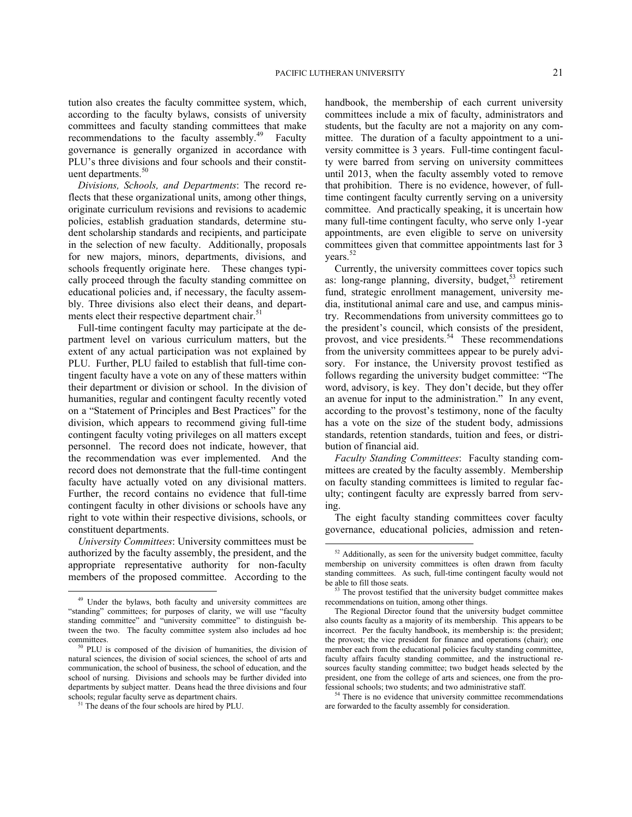tution also creates the faculty committee system, which, according to the faculty bylaws, consists of university committees and faculty standing committees that make recommendations to the faculty assembly.<sup>[49](#page-20-0)</sup> Faculty governance is generally organized in accordance with PLU's three divisions and four schools and their constit-uent departments.<sup>[50](#page-20-1)</sup>

*Divisions, Schools, and Departments*: The record reflects that these organizational units, among other things, originate curriculum revisions and revisions to academic policies, establish graduation standards, determine student scholarship standards and recipients, and participate in the selection of new faculty. Additionally, proposals for new majors, minors, departments, divisions, and schools frequently originate here. These changes typically proceed through the faculty standing committee on educational policies and, if necessary, the faculty assembly. Three divisions also elect their deans, and depart-ments elect their respective department chair.<sup>[51](#page-20-2)</sup>

Full-time contingent faculty may participate at the department level on various curriculum matters, but the extent of any actual participation was not explained by PLU. Further, PLU failed to establish that full-time contingent faculty have a vote on any of these matters within their department or division or school. In the division of humanities, regular and contingent faculty recently voted on a "Statement of Principles and Best Practices" for the division, which appears to recommend giving full-time contingent faculty voting privileges on all matters except personnel. The record does not indicate, however, that the recommendation was ever implemented. And the record does not demonstrate that the full-time contingent faculty have actually voted on any divisional matters. Further, the record contains no evidence that full-time contingent faculty in other divisions or schools have any right to vote within their respective divisions, schools, or constituent departments.

<span id="page-20-3"></span>*University Committees*: University committees must be authorized by the faculty assembly, the president, and the appropriate representative authority for non-faculty members of the proposed committee. According to the

1

handbook, the membership of each current university committees include a mix of faculty, administrators and students, but the faculty are not a majority on any committee. The duration of a faculty appointment to a university committee is 3 years. Full-time contingent faculty were barred from serving on university committees until 2013, when the faculty assembly voted to remove that prohibition. There is no evidence, however, of fulltime contingent faculty currently serving on a university committee. And practically speaking, it is uncertain how many full-time contingent faculty, who serve only 1-year appointments, are even eligible to serve on university committees given that committee appointments last for 3 years.<sup>[52](#page-20-3)</sup>

Currently, the university committees cover topics such as: long-range planning, diversity, budget,  $53$  retirement fund, strategic enrollment management, university media, institutional animal care and use, and campus ministry. Recommendations from university committees go to the president's council, which consists of the president, provost, and vice presidents.<sup>[54](#page-20-5)</sup> These recommendations from the university committees appear to be purely advisory. For instance, the University provost testified as follows regarding the university budget committee: "The word, advisory, is key. They don't decide, but they offer an avenue for input to the administration." In any event, according to the provost's testimony, none of the faculty has a vote on the size of the student body, admissions standards, retention standards, tuition and fees, or distribution of financial aid.

*Faculty Standing Committees*: Faculty standing committees are created by the faculty assembly. Membership on faculty standing committees is limited to regular faculty; contingent faculty are expressly barred from serving.

The eight faculty standing committees cover faculty governance, educational policies, admission and reten-

 $54$  There is no evidence that university committee recommendations are forwarded to the faculty assembly for consideration.

<span id="page-20-4"></span><span id="page-20-0"></span><sup>&</sup>lt;sup>49</sup> Under the bylaws, both faculty and university committees are "standing" committees; for purposes of clarity, we will use "faculty standing committee" and "university committee" to distinguish between the two. The faculty committee system also includes ad hoc committees.

<span id="page-20-1"></span><sup>50</sup> PLU is composed of the division of humanities, the division of natural sciences, the division of social sciences, the school of arts and communication, the school of business, the school of education, and the school of nursing. Divisions and schools may be further divided into departments by subject matter. Deans head the three divisions and four schools; regular faculty serve as department chairs.

<span id="page-20-5"></span><span id="page-20-2"></span><sup>&</sup>lt;sup>51</sup> The deans of the four schools are hired by PLU.

<sup>&</sup>lt;sup>52</sup> Additionally, as seen for the university budget committee, faculty membership on university committees is often drawn from faculty standing committees. As such, full-time contingent faculty would not be able to fill those seats.

The provost testified that the university budget committee makes recommendations on tuition, among other things.

The Regional Director found that the university budget committee also counts faculty as a majority of its membership. This appears to be incorrect. Per the faculty handbook, its membership is: the president; the provost; the vice president for finance and operations (chair); one member each from the educational policies faculty standing committee, faculty affairs faculty standing committee, and the instructional resources faculty standing committee; two budget heads selected by the president, one from the college of arts and sciences, one from the professional schools; two students; and two administrative staff.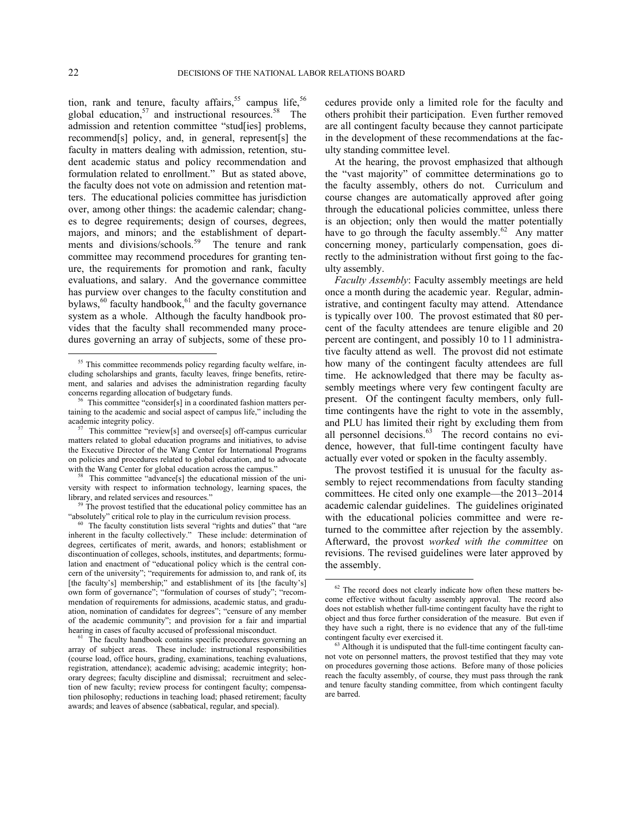tion, rank and tenure, faculty affairs, $55$  campus life,  $56$ global education,<sup>[57](#page-21-2)</sup> and instructional resources.<sup>[58](#page-21-3)</sup> The admission and retention committee "stud[ies] problems, recommend[s] policy, and, in general, represent[s] the faculty in matters dealing with admission, retention, student academic status and policy recommendation and formulation related to enrollment." But as stated above, the faculty does not vote on admission and retention matters. The educational policies committee has jurisdiction over, among other things: the academic calendar; changes to degree requirements; design of courses, degrees, majors, and minors; and the establishment of depart-ments and divisions/schools.<sup>[59](#page-21-4)</sup> The tenure and rank committee may recommend procedures for granting tenure, the requirements for promotion and rank, faculty evaluations, and salary. And the governance committee has purview over changes to the faculty constitution and bylaws,<sup>[60](#page-21-5)</sup> faculty handbook,<sup>[61](#page-21-6)</sup> and the faculty governance system as a whole. Although the faculty handbook provides that the faculty shall recommended many procedures governing an array of subjects, some of these pro-

cedures provide only a limited role for the faculty and others prohibit their participation. Even further removed are all contingent faculty because they cannot participate in the development of these recommendations at the faculty standing committee level.

At the hearing, the provost emphasized that although the "vast majority" of committee determinations go to the faculty assembly, others do not. Curriculum and course changes are automatically approved after going through the educational policies committee, unless there is an objection; only then would the matter potentially have to go through the faculty assembly. $62$  Any matter concerning money, particularly compensation, goes directly to the administration without first going to the faculty assembly.

*Faculty Assembly*: Faculty assembly meetings are held once a month during the academic year. Regular, administrative, and contingent faculty may attend. Attendance is typically over 100. The provost estimated that 80 percent of the faculty attendees are tenure eligible and 20 percent are contingent, and possibly 10 to 11 administrative faculty attend as well. The provost did not estimate how many of the contingent faculty attendees are full time. He acknowledged that there may be faculty assembly meetings where very few contingent faculty are present. Of the contingent faculty members, only fulltime contingents have the right to vote in the assembly, and PLU has limited their right by excluding them from all personnel decisions.<sup>[63](#page-21-8)</sup> The record contains no evidence, however, that full-time contingent faculty have actually ever voted or spoken in the faculty assembly.

The provost testified it is unusual for the faculty assembly to reject recommendations from faculty standing committees. He cited only one example—the 2013–2014 academic calendar guidelines. The guidelines originated with the educational policies committee and were returned to the committee after rejection by the assembly. Afterward, the provost *worked with the committee* on revisions. The revised guidelines were later approved by the assembly.

<span id="page-21-0"></span><sup>&</sup>lt;sup>55</sup> This committee recommends policy regarding faculty welfare, including scholarships and grants, faculty leaves, fringe benefits, retirement, and salaries and advises the administration regarding faculty concerns regarding allocation of budgetary funds.

<span id="page-21-1"></span><sup>56</sup> This committee "consider[s] in a coordinated fashion matters pertaining to the academic and social aspect of campus life," including the academic integrity policy.

<span id="page-21-2"></span>This committee "review[s] and oversee[s] off-campus curricular matters related to global education programs and initiatives, to advise the Executive Director of the Wang Center for International Programs on policies and procedures related to global education, and to advocate with the Wang Center for global education across the campus."

<span id="page-21-3"></span>This committee "advance[s] the educational mission of the university with respect to information technology, learning spaces, the library, and related services and resources."

<span id="page-21-4"></span>The provost testified that the educational policy committee has an "absolutely" critical role to play in the curriculum revision process.

<span id="page-21-5"></span><sup>&</sup>lt;sup>60</sup> The faculty constitution lists several "rights and duties" that "are inherent in the faculty collectively." These include: determination of degrees, certificates of merit, awards, and honors; establishment or discontinuation of colleges, schools, institutes, and departments; formulation and enactment of "educational policy which is the central concern of the university"; "requirements for admission to, and rank of, its [the faculty's] membership;" and establishment of its [the faculty's] own form of governance"; "formulation of courses of study"; "recommendation of requirements for admissions, academic status, and graduation, nomination of candidates for degrees"; "censure of any member of the academic community"; and provision for a fair and impartial hearing in cases of faculty accused of professional misconduct.

<span id="page-21-8"></span><span id="page-21-7"></span><span id="page-21-6"></span><sup>&</sup>lt;sup>61</sup> The faculty handbook contains specific procedures governing an array of subject areas. These include: instructional responsibilities (course load, office hours, grading, examinations, teaching evaluations, registration, attendance); academic advising; academic integrity; honorary degrees; faculty discipline and dismissal; recruitment and selection of new faculty; review process for contingent faculty; compensation philosophy; reductions in teaching load; phased retirement; faculty awards; and leaves of absence (sabbatical, regular, and special).

 $62$  The record does not clearly indicate how often these matters become effective without faculty assembly approval. The record also does not establish whether full-time contingent faculty have the right to object and thus force further consideration of the measure. But even if they have such a right, there is no evidence that any of the full-time contingent faculty ever exercised it.

<sup>&</sup>lt;sup>63</sup> Although it is undisputed that the full-time contingent faculty cannot vote on personnel matters, the provost testified that they may vote on procedures governing those actions. Before many of those policies reach the faculty assembly, of course, they must pass through the rank and tenure faculty standing committee, from which contingent faculty are barred.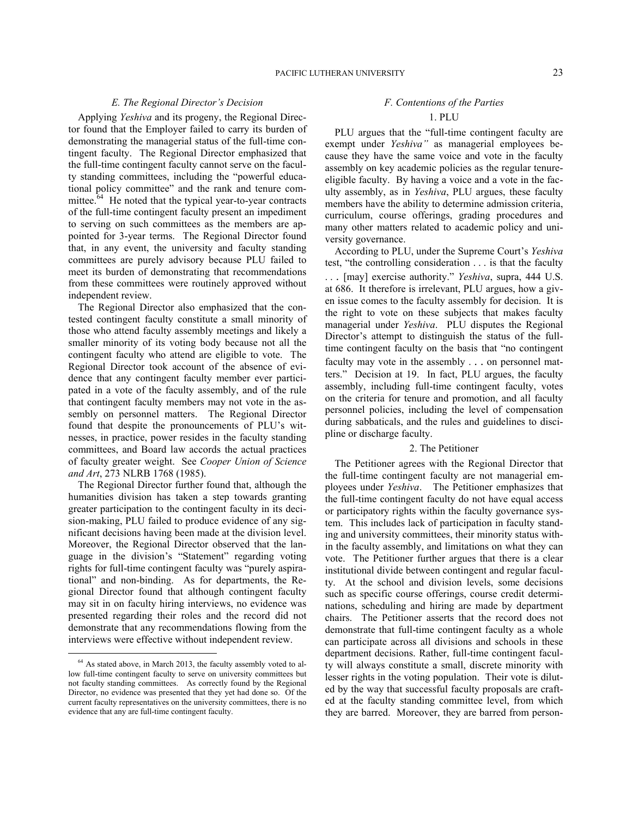## *E. The Regional Director's Decision*

Applying *Yeshiva* and its progeny, the Regional Director found that the Employer failed to carry its burden of demonstrating the managerial status of the full-time contingent faculty. The Regional Director emphasized that the full-time contingent faculty cannot serve on the faculty standing committees, including the "powerful educational policy committee" and the rank and tenure committee. $64$  He noted that the typical year-to-year contracts of the full-time contingent faculty present an impediment to serving on such committees as the members are appointed for 3-year terms. The Regional Director found that, in any event, the university and faculty standing committees are purely advisory because PLU failed to meet its burden of demonstrating that recommendations from these committees were routinely approved without independent review.

The Regional Director also emphasized that the contested contingent faculty constitute a small minority of those who attend faculty assembly meetings and likely a smaller minority of its voting body because not all the contingent faculty who attend are eligible to vote. The Regional Director took account of the absence of evidence that any contingent faculty member ever participated in a vote of the faculty assembly, and of the rule that contingent faculty members may not vote in the assembly on personnel matters. The Regional Director found that despite the pronouncements of PLU's witnesses, in practice, power resides in the faculty standing committees, and Board law accords the actual practices of faculty greater weight. See *Cooper Union of Science and Art*, 273 NLRB 1768 (1985).

The Regional Director further found that, although the humanities division has taken a step towards granting greater participation to the contingent faculty in its decision-making, PLU failed to produce evidence of any significant decisions having been made at the division level. Moreover, the Regional Director observed that the language in the division's "Statement" regarding voting rights for full-time contingent faculty was "purely aspirational" and non-binding. As for departments, the Regional Director found that although contingent faculty may sit in on faculty hiring interviews, no evidence was presented regarding their roles and the record did not demonstrate that any recommendations flowing from the interviews were effective without independent review.

<u>.</u>

# *F. Contentions of the Parties*

## 1. PLU

PLU argues that the "full-time contingent faculty are exempt under *Yeshiva"* as managerial employees because they have the same voice and vote in the faculty assembly on key academic policies as the regular tenureeligible faculty. By having a voice and a vote in the faculty assembly, as in *Yeshiva*, PLU argues, these faculty members have the ability to determine admission criteria, curriculum, course offerings, grading procedures and many other matters related to academic policy and university governance.

According to PLU, under the Supreme Court's *Yeshiva* test, "the controlling consideration . . . is that the faculty . . . [may] exercise authority." *Yeshiva*, supra, 444 U.S. at 686. It therefore is irrelevant, PLU argues, how a given issue comes to the faculty assembly for decision. It is the right to vote on these subjects that makes faculty managerial under *Yeshiva*. PLU disputes the Regional Director's attempt to distinguish the status of the fulltime contingent faculty on the basis that "no contingent faculty may vote in the assembly . . . on personnel matters." Decision at 19. In fact, PLU argues, the faculty assembly, including full-time contingent faculty, votes on the criteria for tenure and promotion, and all faculty personnel policies, including the level of compensation during sabbaticals, and the rules and guidelines to discipline or discharge faculty.

### 2. The Petitioner

The Petitioner agrees with the Regional Director that the full-time contingent faculty are not managerial employees under *Yeshiva*. The Petitioner emphasizes that the full-time contingent faculty do not have equal access or participatory rights within the faculty governance system. This includes lack of participation in faculty standing and university committees, their minority status within the faculty assembly, and limitations on what they can vote. The Petitioner further argues that there is a clear institutional divide between contingent and regular faculty. At the school and division levels, some decisions such as specific course offerings, course credit determinations, scheduling and hiring are made by department chairs. The Petitioner asserts that the record does not demonstrate that full-time contingent faculty as a whole can participate across all divisions and schools in these department decisions. Rather, full-time contingent faculty will always constitute a small, discrete minority with lesser rights in the voting population. Their vote is diluted by the way that successful faculty proposals are crafted at the faculty standing committee level, from which they are barred. Moreover, they are barred from person-

<span id="page-22-0"></span><sup>64</sup> As stated above, in March 2013, the faculty assembly voted to allow full-time contingent faculty to serve on university committees but not faculty standing committees. As correctly found by the Regional Director, no evidence was presented that they yet had done so. Of the current faculty representatives on the university committees, there is no evidence that any are full-time contingent faculty.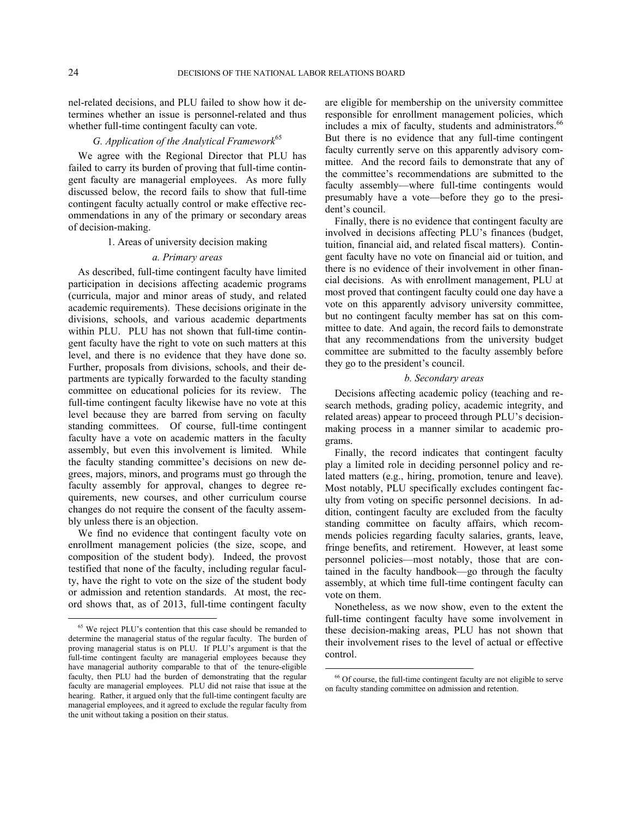nel-related decisions, and PLU failed to show how it determines whether an issue is personnel-related and thus whether full-time contingent faculty can vote.

# *G. Application of the Analytical Framework*[65](#page-23-0)

We agree with the Regional Director that PLU has failed to carry its burden of proving that full-time contingent faculty are managerial employees. As more fully discussed below, the record fails to show that full-time contingent faculty actually control or make effective recommendations in any of the primary or secondary areas of decision-making.

#### 1. Areas of university decision making

#### *a. Primary areas*

As described, full-time contingent faculty have limited participation in decisions affecting academic programs (curricula, major and minor areas of study, and related academic requirements). These decisions originate in the divisions, schools, and various academic departments within PLU. PLU has not shown that full-time contingent faculty have the right to vote on such matters at this level, and there is no evidence that they have done so. Further, proposals from divisions, schools, and their departments are typically forwarded to the faculty standing committee on educational policies for its review. The full-time contingent faculty likewise have no vote at this level because they are barred from serving on faculty standing committees. Of course, full-time contingent faculty have a vote on academic matters in the faculty assembly, but even this involvement is limited. While the faculty standing committee's decisions on new degrees, majors, minors, and programs must go through the faculty assembly for approval, changes to degree requirements, new courses, and other curriculum course changes do not require the consent of the faculty assembly unless there is an objection.

We find no evidence that contingent faculty vote on enrollment management policies (the size, scope, and composition of the student body). Indeed, the provost testified that none of the faculty, including regular faculty, have the right to vote on the size of the student body or admission and retention standards. At most, the record shows that, as of 2013, full-time contingent faculty

are eligible for membership on the university committee responsible for enrollment management policies, which includes a mix of faculty, students and administrators.<sup>[66](#page-23-1)</sup> But there is no evidence that any full-time contingent faculty currently serve on this apparently advisory committee. And the record fails to demonstrate that any of the committee's recommendations are submitted to the faculty assembly—where full-time contingents would presumably have a vote—before they go to the president's council.

Finally, there is no evidence that contingent faculty are involved in decisions affecting PLU's finances (budget, tuition, financial aid, and related fiscal matters). Contingent faculty have no vote on financial aid or tuition, and there is no evidence of their involvement in other financial decisions. As with enrollment management, PLU at most proved that contingent faculty could one day have a vote on this apparently advisory university committee, but no contingent faculty member has sat on this committee to date. And again, the record fails to demonstrate that any recommendations from the university budget committee are submitted to the faculty assembly before they go to the president's council.

#### *b. Secondary areas*

Decisions affecting academic policy (teaching and research methods, grading policy, academic integrity, and related areas) appear to proceed through PLU's decisionmaking process in a manner similar to academic programs.

Finally, the record indicates that contingent faculty play a limited role in deciding personnel policy and related matters (e.g., hiring, promotion, tenure and leave). Most notably, PLU specifically excludes contingent faculty from voting on specific personnel decisions. In addition, contingent faculty are excluded from the faculty standing committee on faculty affairs, which recommends policies regarding faculty salaries, grants, leave, fringe benefits, and retirement. However, at least some personnel policies—most notably, those that are contained in the faculty handbook—go through the faculty assembly, at which time full-time contingent faculty can vote on them.

Nonetheless, as we now show, even to the extent the full-time contingent faculty have some involvement in these decision-making areas, PLU has not shown that their involvement rises to the level of actual or effective control.

<span id="page-23-1"></span><span id="page-23-0"></span><sup>65</sup> We reject PLU's contention that this case should be remanded to determine the managerial status of the regular faculty. The burden of proving managerial status is on PLU. If PLU's argument is that the full-time contingent faculty are managerial employees because they have managerial authority comparable to that of the tenure-eligible faculty, then PLU had the burden of demonstrating that the regular faculty are managerial employees. PLU did not raise that issue at the hearing. Rather, it argued only that the full-time contingent faculty are managerial employees, and it agreed to exclude the regular faculty from the unit without taking a position on their status.

<sup>66</sup> Of course, the full-time contingent faculty are not eligible to serve on faculty standing committee on admission and retention.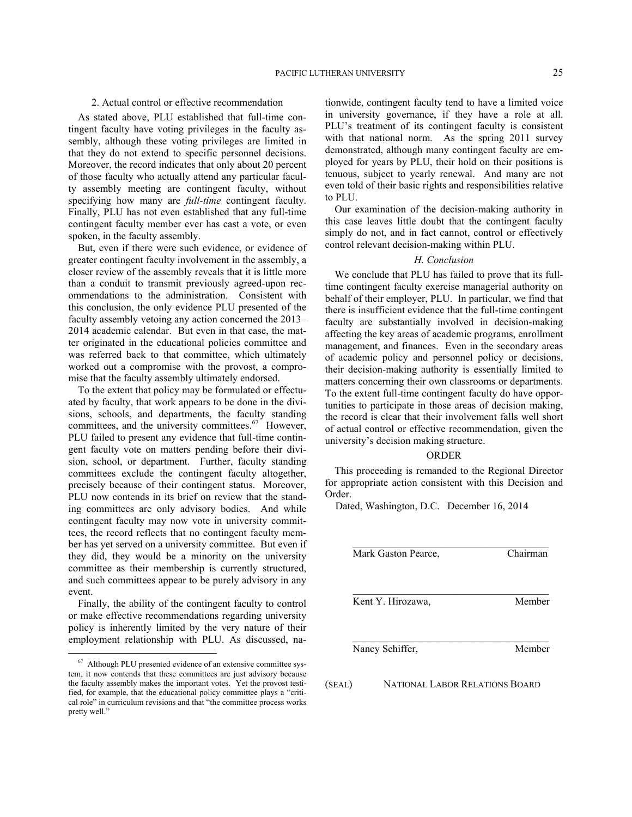## 2. Actual control or effective recommendation

As stated above, PLU established that full-time contingent faculty have voting privileges in the faculty assembly, although these voting privileges are limited in that they do not extend to specific personnel decisions. Moreover, the record indicates that only about 20 percent of those faculty who actually attend any particular faculty assembly meeting are contingent faculty, without specifying how many are *full-time* contingent faculty. Finally, PLU has not even established that any full-time contingent faculty member ever has cast a vote, or even spoken, in the faculty assembly.

But, even if there were such evidence, or evidence of greater contingent faculty involvement in the assembly, a closer review of the assembly reveals that it is little more than a conduit to transmit previously agreed-upon recommendations to the administration. Consistent with this conclusion, the only evidence PLU presented of the faculty assembly vetoing any action concerned the 2013– 2014 academic calendar. But even in that case, the matter originated in the educational policies committee and was referred back to that committee, which ultimately worked out a compromise with the provost, a compromise that the faculty assembly ultimately endorsed.

To the extent that policy may be formulated or effectuated by faculty, that work appears to be done in the divisions, schools, and departments, the faculty standing committees, and the university committees.<sup>[67](#page-24-0)</sup> However, PLU failed to present any evidence that full-time contingent faculty vote on matters pending before their division, school, or department. Further, faculty standing committees exclude the contingent faculty altogether, precisely because of their contingent status. Moreover, PLU now contends in its brief on review that the standing committees are only advisory bodies. And while contingent faculty may now vote in university committees, the record reflects that no contingent faculty member has yet served on a university committee. But even if they did, they would be a minority on the university committee as their membership is currently structured, and such committees appear to be purely advisory in any event.

Finally, the ability of the contingent faculty to control or make effective recommendations regarding university policy is inherently limited by the very nature of their employment relationship with PLU. As discussed, na-

<u>.</u>

tionwide, contingent faculty tend to have a limited voice in university governance, if they have a role at all. PLU's treatment of its contingent faculty is consistent with that national norm. As the spring 2011 survey demonstrated, although many contingent faculty are employed for years by PLU, their hold on their positions is tenuous, subject to yearly renewal. And many are not even told of their basic rights and responsibilities relative to PLU.

Our examination of the decision-making authority in this case leaves little doubt that the contingent faculty simply do not, and in fact cannot, control or effectively control relevant decision-making within PLU.

## *H. Conclusion*

We conclude that PLU has failed to prove that its fulltime contingent faculty exercise managerial authority on behalf of their employer, PLU. In particular, we find that there is insufficient evidence that the full-time contingent faculty are substantially involved in decision-making affecting the key areas of academic programs, enrollment management, and finances. Even in the secondary areas of academic policy and personnel policy or decisions, their decision-making authority is essentially limited to matters concerning their own classrooms or departments. To the extent full-time contingent faculty do have opportunities to participate in those areas of decision making, the record is clear that their involvement falls well short of actual control or effective recommendation, given the university's decision making structure.

#### ORDER

This proceeding is remanded to the Regional Director for appropriate action consistent with this Decision and Order.

Dated, Washington, D.C. December 16, 2014

|        | Mark Gaston Pearce,                   | Chairman |
|--------|---------------------------------------|----------|
|        | Kent Y. Hirozawa,                     | Member   |
|        | Nancy Schiffer,                       | Member   |
| (SEAL) | <b>NATIONAL LABOR RELATIONS BOARD</b> |          |

<span id="page-24-0"></span><sup>67</sup> Although PLU presented evidence of an extensive committee system, it now contends that these committees are just advisory because the faculty assembly makes the important votes. Yet the provost testified, for example, that the educational policy committee plays a "critical role" in curriculum revisions and that "the committee process works pretty well."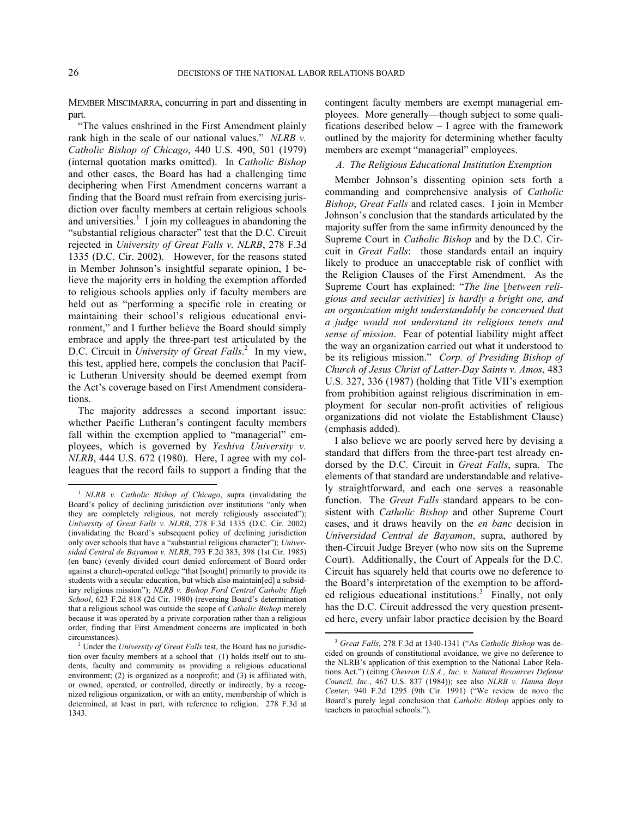MEMBER MISCIMARRA, concurring in part and dissenting in part.

"The values enshrined in the First Amendment plainly rank high in the scale of our national values." *NLRB v. Catholic Bishop of Chicago*, 440 U.S. 490, 501 (1979) (internal quotation marks omitted). In *Catholic Bishop* and other cases, the Board has had a challenging time deciphering when First Amendment concerns warrant a finding that the Board must refrain from exercising jurisdiction over faculty members at certain religious schools and universities.<sup>[1](#page-25-0)</sup> I join my colleagues in abandoning the "substantial religious character" test that the D.C. Circuit rejected in *University of Great Falls v. NLRB*, 278 F.3d 1335 (D.C. Cir. 2002). However, for the reasons stated in Member Johnson's insightful separate opinion, I believe the majority errs in holding the exemption afforded to religious schools applies only if faculty members are held out as "performing a specific role in creating or maintaining their school's religious educational environment," and I further believe the Board should simply embrace and apply the three-part test articulated by the D.C. Circuit in *University of Great Falls*.<sup>[2](#page-25-1)</sup> In my view, this test, applied here, compels the conclusion that Pacific Lutheran University should be deemed exempt from the Act's coverage based on First Amendment considerations.

The majority addresses a second important issue: whether Pacific Lutheran's contingent faculty members fall within the exemption applied to "managerial" employees, which is governed by *Yeshiva University v. NLRB*, 444 U.S. 672 (1980). Here, I agree with my colleagues that the record fails to support a finding that the contingent faculty members are exempt managerial employees. More generally—though subject to some qualifications described below – I agree with the framework outlined by the majority for determining whether faculty members are exempt "managerial" employees.

### *A. The Religious Educational Institution Exemption*

Member Johnson's dissenting opinion sets forth a commanding and comprehensive analysis of *Catholic Bishop*, *Great Falls* and related cases. I join in Member Johnson's conclusion that the standards articulated by the majority suffer from the same infirmity denounced by the Supreme Court in *Catholic Bishop* and by the D.C. Circuit in *Great Falls*: those standards entail an inquiry likely to produce an unacceptable risk of conflict with the Religion Clauses of the First Amendment. As the Supreme Court has explained: "*The line* [*between religious and secular activities*] *is hardly a bright one, and an organization might understandably be concerned that a judge would not understand its religious tenets and sense of mission*. Fear of potential liability might affect the way an organization carried out what it understood to be its religious mission." *Corp. of Presiding Bishop of Church of Jesus Christ of Latter-Day Saints v. Amos*, 483 U.S. 327, 336 (1987) (holding that Title VII's exemption from prohibition against religious discrimination in employment for secular non-profit activities of religious organizations did not violate the Establishment Clause) (emphasis added).

I also believe we are poorly served here by devising a standard that differs from the three-part test already endorsed by the D.C. Circuit in *Great Falls*, supra. The elements of that standard are understandable and relatively straightforward, and each one serves a reasonable function. The *Great Falls* standard appears to be consistent with *Catholic Bishop* and other Supreme Court cases, and it draws heavily on the *en banc* decision in *Universidad Central de Bayamon*, supra, authored by then-Circuit Judge Breyer (who now sits on the Supreme Court). Additionally, the Court of Appeals for the D.C. Circuit has squarely held that courts owe no deference to the Board's interpretation of the exemption to be afford-ed religious educational institutions.<sup>[3](#page-25-2)</sup> Finally, not only has the D.C. Circuit addressed the very question presented here, every unfair labor practice decision by the Board

<span id="page-25-0"></span><sup>1</sup> *NLRB v. Catholic Bishop of Chicago*, supra (invalidating the Board's policy of declining jurisdiction over institutions "only when they are completely religious, not merely religiously associated"); *University of Great Falls v. NLRB*, 278 F.3d 1335 (D.C. Cir. 2002) (invalidating the Board's subsequent policy of declining jurisdiction only over schools that have a "substantial religious character"); *Universidad Central de Bayamon v. NLRB*, 793 F.2d 383, 398 (1st Cir. 1985) (en banc) (evenly divided court denied enforcement of Board order against a church-operated college "that [sought] primarily to provide its students with a secular education, but which also maintain[ed] a subsidiary religious mission"); *NLRB v. Bishop Ford Central Catholic High School*, 623 F.2d 818 (2d Cir. 1980) (reversing Board's determination that a religious school was outside the scope of *Catholic Bishop* merely because it was operated by a private corporation rather than a religious order, finding that First Amendment concerns are implicated in both circumstances).

<span id="page-25-2"></span><span id="page-25-1"></span><sup>&</sup>lt;sup>2</sup> Under the *University of Great Falls* test, the Board has no jurisdiction over faculty members at a school that (1) holds itself out to students, faculty and community as providing a religious educational environment; (2) is organized as a nonprofit; and (3) is affiliated with, or owned, operated, or controlled, directly or indirectly, by a recognized religious organization, or with an entity, membership of which is determined, at least in part, with reference to religion. 278 F.3d at 1343.

<sup>3</sup> *Great Falls*, 278 F.3d at 1340-1341 ("As *Catholic Bishop* was decided on grounds of constitutional avoidance, we give no deference to the NLRB's application of this exemption to the National Labor Relations Act.") (citing *Chevron U.S.A., Inc. v. Natural Resources Defense Council, Inc.*, 467 U.S. 837 (1984)); see also *NLRB v. Hanna Boys Center*, 940 F.2d 1295 (9th Cir. 1991) ("We review de novo the Board's purely legal conclusion that *Catholic Bishop* applies only to teachers in parochial schools.").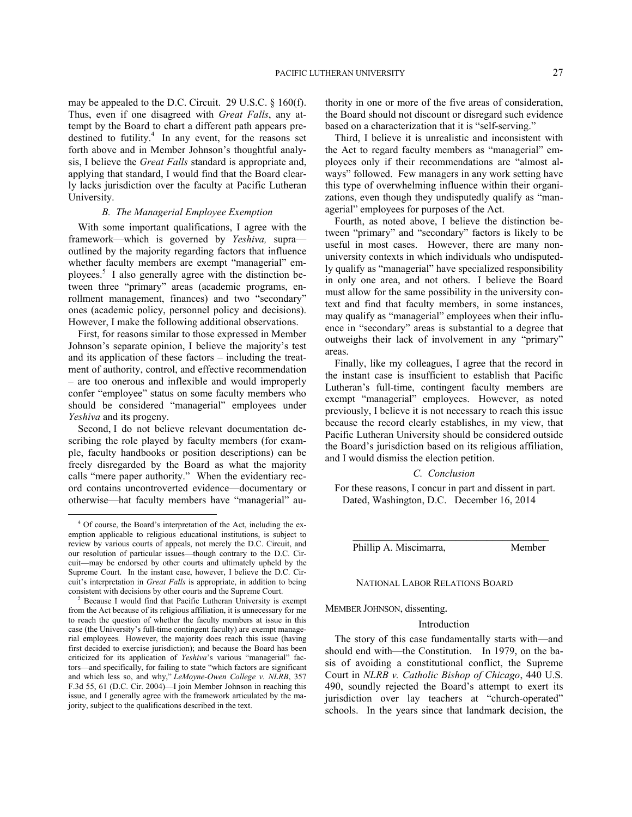may be appealed to the D.C. Circuit. 29 U.S.C. § 160(f). Thus, even if one disagreed with *Great Falls*, any attempt by the Board to chart a different path appears pre-destined to futility.<sup>[4](#page-26-0)</sup> In any event, for the reasons set forth above and in Member Johnson's thoughtful analysis, I believe the *Great Falls* standard is appropriate and, applying that standard, I would find that the Board clearly lacks jurisdiction over the faculty at Pacific Lutheran University.

## *B. The Managerial Employee Exemption*

With some important qualifications, I agree with the framework—which is governed by *Yeshiva,* supra outlined by the majority regarding factors that influence whether faculty members are exempt "managerial" employees.[5](#page-26-1) I also generally agree with the distinction between three "primary" areas (academic programs, enrollment management, finances) and two "secondary" ones (academic policy, personnel policy and decisions). However, I make the following additional observations.

First, for reasons similar to those expressed in Member Johnson's separate opinion, I believe the majority's test and its application of these factors – including the treatment of authority, control, and effective recommendation – are too onerous and inflexible and would improperly confer "employee" status on some faculty members who should be considered "managerial" employees under *Yeshiva* and its progeny.

Second, I do not believe relevant documentation describing the role played by faculty members (for example, faculty handbooks or position descriptions) can be freely disregarded by the Board as what the majority calls "mere paper authority." When the evidentiary record contains uncontroverted evidence—documentary or otherwise—hat faculty members have "managerial" au-

<u>.</u>

thority in one or more of the five areas of consideration, the Board should not discount or disregard such evidence based on a characterization that it is "self-serving."

Third, I believe it is unrealistic and inconsistent with the Act to regard faculty members as "managerial" employees only if their recommendations are "almost always" followed. Few managers in any work setting have this type of overwhelming influence within their organizations, even though they undisputedly qualify as "managerial" employees for purposes of the Act.

Fourth, as noted above, I believe the distinction between "primary" and "secondary" factors is likely to be useful in most cases. However, there are many nonuniversity contexts in which individuals who undisputedly qualify as "managerial" have specialized responsibility in only one area, and not others. I believe the Board must allow for the same possibility in the university context and find that faculty members, in some instances, may qualify as "managerial" employees when their influence in "secondary" areas is substantial to a degree that outweighs their lack of involvement in any "primary" areas.

Finally, like my colleagues, I agree that the record in the instant case is insufficient to establish that Pacific Lutheran's full-time, contingent faculty members are exempt "managerial" employees. However, as noted previously, I believe it is not necessary to reach this issue because the record clearly establishes, in my view, that Pacific Lutheran University should be considered outside the Board's jurisdiction based on its religious affiliation, and I would dismiss the election petition.

## *C. Conclusion*

For these reasons, I concur in part and dissent in part. Dated, Washington, D.C. December 16, 2014

Phillip A. Miscimarra, Member

## NATIONAL LABOR RELATIONS BOARD

MEMBER JOHNSON, dissenting.

#### Introduction

The story of this case fundamentally starts with—and should end with—the Constitution. In 1979, on the basis of avoiding a constitutional conflict, the Supreme Court in *NLRB v. Catholic Bishop of Chicago*, 440 U.S. 490, soundly rejected the Board's attempt to exert its jurisdiction over lay teachers at "church-operated" schools. In the years since that landmark decision, the

<span id="page-26-0"></span><sup>4</sup> Of course, the Board's interpretation of the Act, including the exemption applicable to religious educational institutions, is subject to review by various courts of appeals, not merely the D.C. Circuit, and our resolution of particular issues—though contrary to the D.C. Circuit—may be endorsed by other courts and ultimately upheld by the Supreme Court. In the instant case, however, I believe the D.C. Circuit's interpretation in *Great Falls* is appropriate, in addition to being consistent with decisions by other courts and the Supreme Court.

<span id="page-26-1"></span><sup>5</sup> Because I would find that Pacific Lutheran University is exempt from the Act because of its religious affiliation, it is unnecessary for me to reach the question of whether the faculty members at issue in this case (the University's full-time contingent faculty) are exempt managerial employees. However, the majority does reach this issue (having first decided to exercise jurisdiction); and because the Board has been criticized for its application of *Yeshiva*'s various "managerial" factors—and specifically, for failing to state "which factors are significant and which less so, and why," *LeMoyne-Owen College v. NLRB*, 357 F.3d 55, 61 (D.C. Cir. 2004)—I join Member Johnson in reaching this issue, and I generally agree with the framework articulated by the majority, subject to the qualifications described in the text.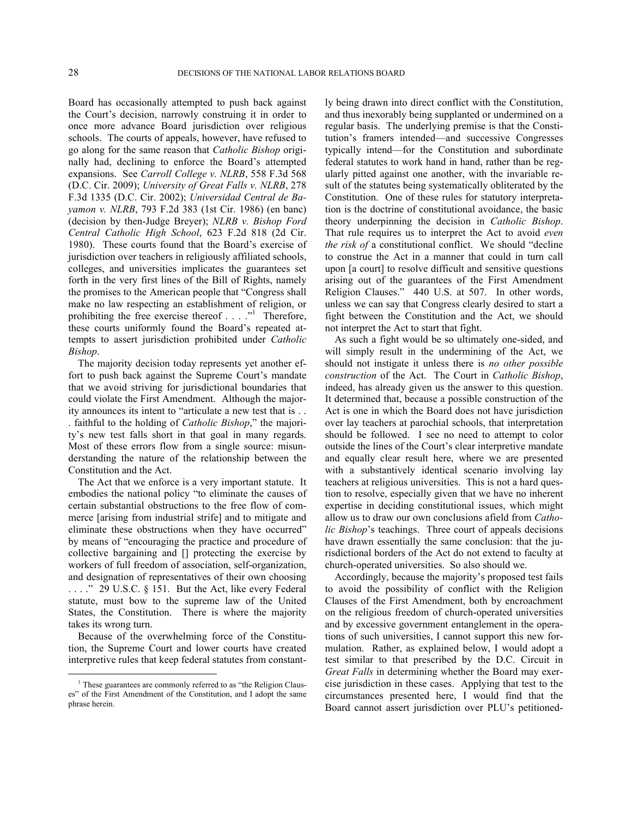Board has occasionally attempted to push back against the Court's decision, narrowly construing it in order to once more advance Board jurisdiction over religious schools. The courts of appeals, however, have refused to go along for the same reason that *Catholic Bishop* originally had, declining to enforce the Board's attempted expansions. See *Carroll College v. NLRB*, 558 F.3d 568 (D.C. Cir. 2009); *University of Great Falls v. NLRB*, 278 F.3d 1335 (D.C. Cir. 2002); *Universidad Central de Bayamon v. NLRB*, 793 F.2d 383 (1st Cir. 1986) (en banc) (decision by then-Judge Breyer); *NLRB v. Bishop Ford Central Catholic High School*, 623 F.2d 818 (2d Cir. 1980). These courts found that the Board's exercise of jurisdiction over teachers in religiously affiliated schools, colleges, and universities implicates the guarantees set forth in the very first lines of the Bill of Rights, namely the promises to the American people that "Congress shall make no law respecting an establishment of religion, or prohibiting the free exercise thereof  $\dots$ ."<sup>[1](#page-27-0)</sup> Therefore, these courts uniformly found the Board's repeated attempts to assert jurisdiction prohibited under *Catholic Bishop*.

The majority decision today represents yet another effort to push back against the Supreme Court's mandate that we avoid striving for jurisdictional boundaries that could violate the First Amendment. Although the majority announces its intent to "articulate a new test that is . .

. faithful to the holding of *Catholic Bishop*," the majority's new test falls short in that goal in many regards. Most of these errors flow from a single source: misunderstanding the nature of the relationship between the Constitution and the Act.

The Act that we enforce is a very important statute. It embodies the national policy "to eliminate the causes of certain substantial obstructions to the free flow of commerce [arising from industrial strife] and to mitigate and eliminate these obstructions when they have occurred" by means of "encouraging the practice and procedure of collective bargaining and [] protecting the exercise by workers of full freedom of association, self-organization, and designation of representatives of their own choosing . . . ." 29 U.S.C. § 151. But the Act, like every Federal statute, must bow to the supreme law of the United States, the Constitution. There is where the majority takes its wrong turn.

Because of the overwhelming force of the Constitution, the Supreme Court and lower courts have created interpretive rules that keep federal statutes from constant-

1

ly being drawn into direct conflict with the Constitution, and thus inexorably being supplanted or undermined on a regular basis. The underlying premise is that the Constitution's framers intended—and successive Congresses typically intend—for the Constitution and subordinate federal statutes to work hand in hand, rather than be regularly pitted against one another, with the invariable result of the statutes being systematically obliterated by the Constitution. One of these rules for statutory interpretation is the doctrine of constitutional avoidance, the basic theory underpinning the decision in *Catholic Bishop*. That rule requires us to interpret the Act to avoid *even the risk of* a constitutional conflict. We should "decline to construe the Act in a manner that could in turn call upon [a court] to resolve difficult and sensitive questions arising out of the guarantees of the First Amendment Religion Clauses." 440 U.S. at 507. In other words, unless we can say that Congress clearly desired to start a fight between the Constitution and the Act, we should not interpret the Act to start that fight.

As such a fight would be so ultimately one-sided, and will simply result in the undermining of the Act, we should not instigate it unless there is *no other possible construction* of the Act. The Court in *Catholic Bishop*, indeed, has already given us the answer to this question. It determined that, because a possible construction of the Act is one in which the Board does not have jurisdiction over lay teachers at parochial schools, that interpretation should be followed. I see no need to attempt to color outside the lines of the Court's clear interpretive mandate and equally clear result here, where we are presented with a substantively identical scenario involving lay teachers at religious universities. This is not a hard question to resolve, especially given that we have no inherent expertise in deciding constitutional issues, which might allow us to draw our own conclusions afield from *Catholic Bishop*'s teachings. Three court of appeals decisions have drawn essentially the same conclusion: that the jurisdictional borders of the Act do not extend to faculty at church-operated universities. So also should we.

Accordingly, because the majority's proposed test fails to avoid the possibility of conflict with the Religion Clauses of the First Amendment, both by encroachment on the religious freedom of church-operated universities and by excessive government entanglement in the operations of such universities, I cannot support this new formulation. Rather, as explained below, I would adopt a test similar to that prescribed by the D.C. Circuit in *Great Falls* in determining whether the Board may exercise jurisdiction in these cases. Applying that test to the circumstances presented here, I would find that the Board cannot assert jurisdiction over PLU's petitioned-

<span id="page-27-0"></span><sup>&</sup>lt;sup>1</sup> These guarantees are commonly referred to as "the Religion Clauses" of the First Amendment of the Constitution, and I adopt the same phrase herein.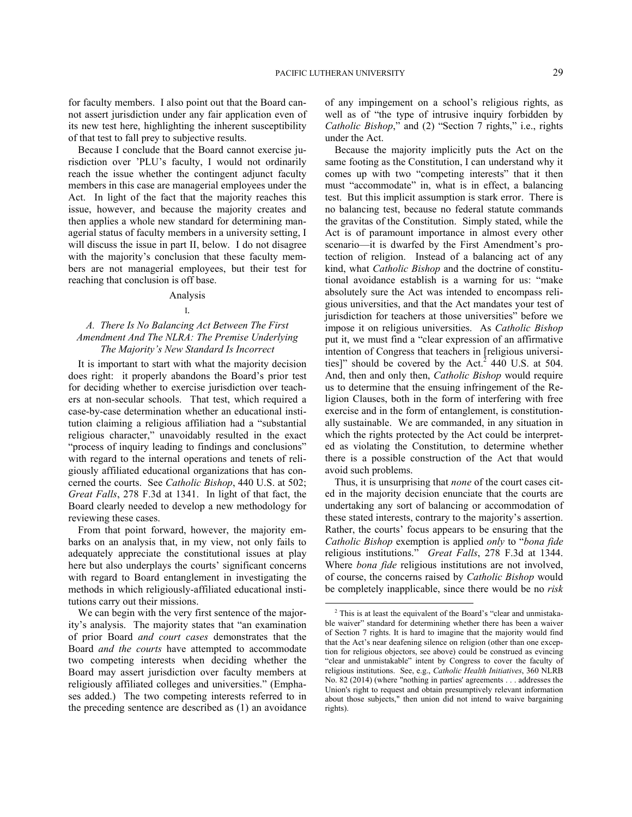for faculty members. I also point out that the Board cannot assert jurisdiction under any fair application even of its new test here, highlighting the inherent susceptibility of that test to fall prey to subjective results.

Because I conclude that the Board cannot exercise jurisdiction over 'PLU's faculty, I would not ordinarily reach the issue whether the contingent adjunct faculty members in this case are managerial employees under the Act. In light of the fact that the majority reaches this issue, however, and because the majority creates and then applies a whole new standard for determining managerial status of faculty members in a university setting, I will discuss the issue in part II, below. I do not disagree with the majority's conclusion that these faculty members are not managerial employees, but their test for reaching that conclusion is off base.

#### Analysis

#### I.

# *A. There Is No Balancing Act Between The First Amendment And The NLRA: The Premise Underlying The Majority's New Standard Is Incorrect*

It is important to start with what the majority decision does right: it properly abandons the Board's prior test for deciding whether to exercise jurisdiction over teachers at non-secular schools. That test, which required a case-by-case determination whether an educational institution claiming a religious affiliation had a "substantial religious character," unavoidably resulted in the exact "process of inquiry leading to findings and conclusions" with regard to the internal operations and tenets of religiously affiliated educational organizations that has concerned the courts. See *Catholic Bishop*, 440 U.S. at 502; *Great Falls*, 278 F.3d at 1341. In light of that fact, the Board clearly needed to develop a new methodology for reviewing these cases.

From that point forward, however, the majority embarks on an analysis that, in my view, not only fails to adequately appreciate the constitutional issues at play here but also underplays the courts' significant concerns with regard to Board entanglement in investigating the methods in which religiously-affiliated educational institutions carry out their missions.

<span id="page-28-0"></span>We can begin with the very first sentence of the majority's analysis. The majority states that "an examination of prior Board *and court cases* demonstrates that the Board *and the courts* have attempted to accommodate two competing interests when deciding whether the Board may assert jurisdiction over faculty members at religiously affiliated colleges and universities." (Emphases added.) The two competing interests referred to in the preceding sentence are described as (1) an avoidance of any impingement on a school's religious rights, as well as of "the type of intrusive inquiry forbidden by *Catholic Bishop*," and (2) "Section 7 rights," i.e., rights under the Act.

Because the majority implicitly puts the Act on the same footing as the Constitution, I can understand why it comes up with two "competing interests" that it then must "accommodate" in, what is in effect, a balancing test. But this implicit assumption is stark error. There is no balancing test, because no federal statute commands the gravitas of the Constitution. Simply stated, while the Act is of paramount importance in almost every other scenario—it is dwarfed by the First Amendment's protection of religion. Instead of a balancing act of any kind, what *Catholic Bishop* and the doctrine of constitutional avoidance establish is a warning for us: "make absolutely sure the Act was intended to encompass religious universities, and that the Act mandates your test of jurisdiction for teachers at those universities" before we impose it on religious universities. As *Catholic Bishop* put it, we must find a "clear expression of an affirmative intention of Congress that teachers in [religious universi-ties]" should be covered by the Act.<sup>[2](#page-28-0)</sup> 440 U.S. at 504. And, then and only then, *Catholic Bishop* would require us to determine that the ensuing infringement of the Religion Clauses, both in the form of interfering with free exercise and in the form of entanglement, is constitutionally sustainable. We are commanded, in any situation in which the rights protected by the Act could be interpreted as violating the Constitution, to determine whether there is a possible construction of the Act that would avoid such problems.

Thus, it is unsurprising that *none* of the court cases cited in the majority decision enunciate that the courts are undertaking any sort of balancing or accommodation of these stated interests, contrary to the majority's assertion. Rather, the courts' focus appears to be ensuring that the *Catholic Bishop* exemption is applied *only* to "*bona fide* religious institutions." *Great Falls*, 278 F.3d at 1344. Where *bona fide* religious institutions are not involved, of course, the concerns raised by *Catholic Bishop* would be completely inapplicable, since there would be no *risk*

<sup>2</sup> This is at least the equivalent of the Board's "clear and unmistakable waiver" standard for determining whether there has been a waiver of Section 7 rights. It is hard to imagine that the majority would find that the Act's near deafening silence on religion (other than one exception for religious objectors, see above) could be construed as evincing "clear and unmistakable" intent by Congress to cover the faculty of religious institutions. See, e.g., *Catholic Health Initiatives*, 360 NLRB No. 82 (2014) (where "nothing in parties' agreements . . . addresses the Union's right to request and obtain presumptively relevant information about those subjects," then union did not intend to waive bargaining rights).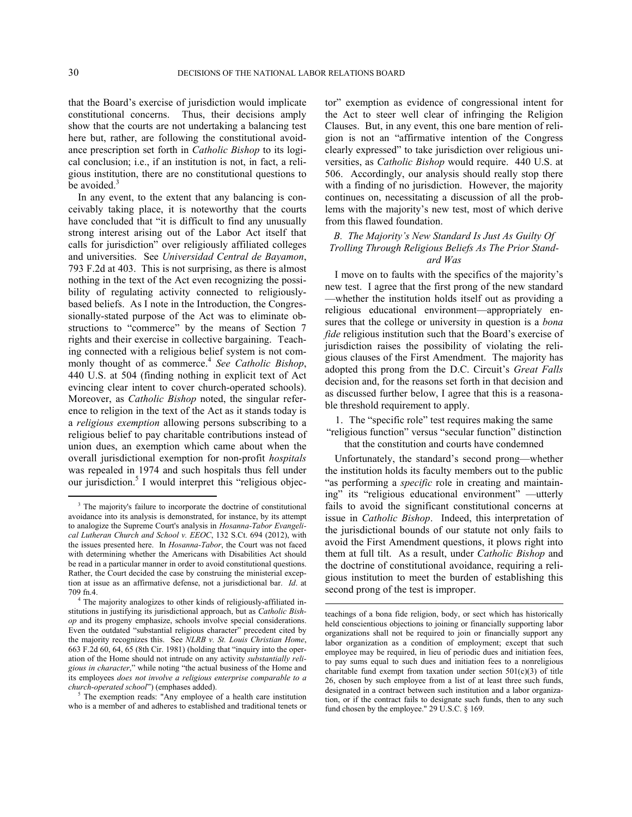that the Board's exercise of jurisdiction would implicate constitutional concerns. Thus, their decisions amply show that the courts are not undertaking a balancing test here but, rather, are following the constitutional avoidance prescription set forth in *Catholic Bishop* to its logical conclusion; i.e., if an institution is not, in fact, a religious institution, there are no constitutional questions to be avoided. $3$ 

In any event, to the extent that any balancing is conceivably taking place, it is noteworthy that the courts have concluded that "it is difficult to find any unusually strong interest arising out of the Labor Act itself that calls for jurisdiction" over religiously affiliated colleges and universities. See *Universidad Central de Bayamon*, 793 F.2d at 403. This is not surprising, as there is almost nothing in the text of the Act even recognizing the possibility of regulating activity connected to religiouslybased beliefs. As I note in the Introduction, the Congressionally-stated purpose of the Act was to eliminate obstructions to "commerce" by the means of Section 7 rights and their exercise in collective bargaining. Teaching connected with a religious belief system is not commonly thought of as commerce.[4](#page-29-1) *See Catholic Bishop*, 440 U.S. at 504 (finding nothing in explicit text of Act evincing clear intent to cover church-operated schools). Moreover, as *Catholic Bishop* noted, the singular reference to religion in the text of the Act as it stands today is a *religious exemption* allowing persons subscribing to a religious belief to pay charitable contributions instead of union dues, an exemption which came about when the overall jurisdictional exemption for non-profit *hospitals* was repealed in 1974 and such hospitals thus fell under our jurisdiction.<sup>[5](#page-29-2)</sup> I would interpret this "religious objector" exemption as evidence of congressional intent for the Act to steer well clear of infringing the Religion Clauses. But, in any event, this one bare mention of religion is not an "affirmative intention of the Congress clearly expressed" to take jurisdiction over religious universities, as *Catholic Bishop* would require. 440 U.S. at 506. Accordingly, our analysis should really stop there with a finding of no jurisdiction. However, the majority continues on, necessitating a discussion of all the problems with the majority's new test, most of which derive from this flawed foundation.

# *B. The Majority's New Standard Is Just As Guilty Of Trolling Through Religious Beliefs As The Prior Standard Was*

I move on to faults with the specifics of the majority's new test. I agree that the first prong of the new standard —whether the institution holds itself out as providing a religious educational environment—appropriately ensures that the college or university in question is a *bona fide* religious institution such that the Board's exercise of jurisdiction raises the possibility of violating the religious clauses of the First Amendment. The majority has adopted this prong from the D.C. Circuit's *Great Falls* decision and, for the reasons set forth in that decision and as discussed further below, I agree that this is a reasonable threshold requirement to apply.

1. The "specific role" test requires making the same "religious function" versus "secular function" distinction

that the constitution and courts have condemned

Unfortunately, the standard's second prong—whether the institution holds its faculty members out to the public "as performing a *specific* role in creating and maintaining" its "religious educational environment" —utterly fails to avoid the significant constitutional concerns at issue in *Catholic Bishop*. Indeed, this interpretation of the jurisdictional bounds of our statute not only fails to avoid the First Amendment questions, it plows right into them at full tilt. As a result, under *Catholic Bishop* and the doctrine of constitutional avoidance, requiring a religious institution to meet the burden of establishing this second prong of the test is improper.

<span id="page-29-0"></span><sup>&</sup>lt;sup>3</sup> The majority's failure to incorporate the doctrine of constitutional avoidance into its analysis is demonstrated, for instance, by its attempt to analogize the Supreme Court's analysis in *Hosanna-Tabor Evangelical Lutheran Church and School v. EEOC*, 132 S.Ct. 694 (2012), with the issues presented here. In *Hosanna-Tabor*, the Court was not faced with determining whether the Americans with Disabilities Act should be read in a particular manner in order to avoid constitutional questions. Rather, the Court decided the case by construing the ministerial exception at issue as an affirmative defense, not a jurisdictional bar. *Id*. at 709 fn.4.

<span id="page-29-1"></span><sup>4</sup> The majority analogizes to other kinds of religiously-affiliated institutions in justifying its jurisdictional approach, but as *Catholic Bishop* and its progeny emphasize, schools involve special considerations. Even the outdated "substantial religious character" precedent cited by the majority recognizes this. See *NLRB v. St. Louis Christian Home*, 663 F.2d 60, 64, 65 (8th Cir. 1981) (holding that "inquiry into the operation of the Home should not intrude on any activity *substantially religious in character*," while noting "the actual business of the Home and its employees *does not involve a religious enterprise comparable to a church-operated school*") (emphases added).

<span id="page-29-2"></span>The exemption reads: "Any employee of a health care institution who is a member of and adheres to established and traditional tenets or

teachings of a bona fide religion, body, or sect which has historically held conscientious objections to joining or financially supporting labor organizations shall not be required to join or financially support any labor organization as a condition of employment; except that such employee may be required, in lieu of periodic dues and initiation fees, to pay sums equal to such dues and initiation fees to a nonreligious charitable fund exempt from taxation under section  $501(c)(3)$  of title 26, chosen by such employee from a list of at least three such funds, designated in a contract between such institution and a labor organization, or if the contract fails to designate such funds, then to any such fund chosen by the employee." 29 U.S.C. § 169.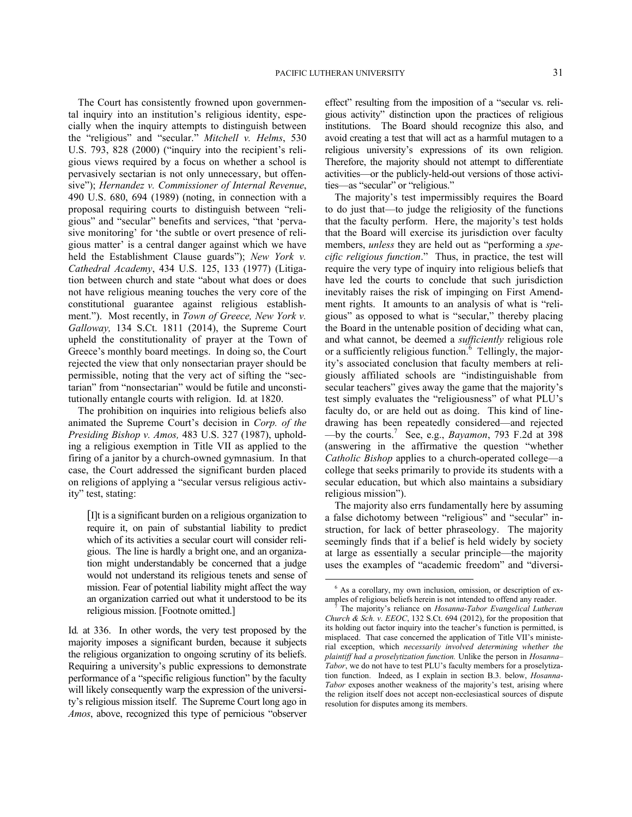The Court has consistently frowned upon governmental inquiry into an institution's religious identity, especially when the inquiry attempts to distinguish between the "religious" and "secular." *Mitchell v. Helms*, 530 U.S. 793, 828 (2000) ("inquiry into the recipient's religious views required by a focus on whether a school is pervasively sectarian is not only unnecessary, but offensive"); *Hernandez v. Commissioner of Internal Revenue*, 490 U.S. 680, 694 (1989) (noting, in connection with a proposal requiring courts to distinguish between "religious" and "secular" benefits and services, "that 'pervasive monitoring' for 'the subtle or overt presence of religious matter' is a central danger against which we have held the Establishment Clause guards"); *New York v. Cathedral Academy*, 434 U.S. 125, 133 (1977) (Litigation between church and state "about what does or does not have religious meaning touches the very core of the constitutional guarantee against religious establishment."). Most recently, in *Town of Greece, New York v. Galloway,* 134 S.Ct. 1811 (2014), the Supreme Court upheld the constitutionality of prayer at the Town of Greece's monthly board meetings. In doing so, the Court rejected the view that only nonsectarian prayer should be permissible, noting that the very act of sifting the "sectarian" from "nonsectarian" would be futile and unconstitutionally entangle courts with religion. Id*.* at 1820.

The prohibition on inquiries into religious beliefs also animated the Supreme Court's decision in *Corp. of the Presiding Bishop v. Amos,* 483 U.S. 327 (1987), upholding a religious exemption in Title VII as applied to the firing of a janitor by a church-owned gymnasium. In that case, the Court addressed the significant burden placed on religions of applying a "secular versus religious activity" test, stating:

[I]t is a significant burden on a religious organization to require it, on pain of substantial liability to predict which of its activities a secular court will consider religious. The line is hardly a bright one, and an organization might understandably be concerned that a judge would not understand its religious tenets and sense of mission. Fear of potential liability might affect the way an organization carried out what it understood to be its religious mission. [Footnote omitted.]

<span id="page-30-1"></span><span id="page-30-0"></span>Id*.* at 336. In other words, the very test proposed by the majority imposes a significant burden, because it subjects the religious organization to ongoing scrutiny of its beliefs. Requiring a university's public expressions to demonstrate performance of a "specific religious function" by the faculty will likely consequently warp the expression of the university's religious mission itself. The Supreme Court long ago in *Amos*, above, recognized this type of pernicious "observer effect" resulting from the imposition of a "secular vs. religious activity" distinction upon the practices of religious institutions. The Board should recognize this also, and avoid creating a test that will act as a harmful mutagen to a religious university's expressions of its own religion. Therefore, the majority should not attempt to differentiate activities—or the publicly-held-out versions of those activities—as "secular" or "religious."

The majority's test impermissibly requires the Board to do just that—to judge the religiosity of the functions that the faculty perform. Here, the majority's test holds that the Board will exercise its jurisdiction over faculty members, *unless* they are held out as "performing a *specific religious function*." Thus, in practice, the test will require the very type of inquiry into religious beliefs that have led the courts to conclude that such jurisdiction inevitably raises the risk of impinging on First Amendment rights. It amounts to an analysis of what is "religious" as opposed to what is "secular," thereby placing the Board in the untenable position of deciding what can, and what cannot, be deemed a *sufficiently* religious role or a sufficiently religious function. $6$  Tellingly, the majority's associated conclusion that faculty members at religiously affiliated schools are "indistinguishable from secular teachers" gives away the game that the majority's test simply evaluates the "religiousness" of what PLU's faculty do, or are held out as doing. This kind of linedrawing has been repeatedly considered—and rejected —by the courts. [7](#page-30-1) See, e.g., *Bayamon*, 793 F.2d at 398 (answering in the affirmative the question "whether *Catholic Bishop* applies to a church-operated college—a college that seeks primarily to provide its students with a secular education, but which also maintains a subsidiary religious mission").

The majority also errs fundamentally here by assuming a false dichotomy between "religious" and "secular" instruction, for lack of better phraseology. The majority seemingly finds that if a belief is held widely by society at large as essentially a secular principle—the majority uses the examples of "academic freedom" and "diversi-

<sup>6</sup> As a corollary, my own inclusion, omission, or description of examples of religious beliefs herein is not intended to offend any reader.

<sup>7</sup> The majority's reliance on *Hosanna-Tabor Evangelical Lutheran Church & Sch. v. EEOC*, 132 S.Ct. 694 (2012), for the proposition that its holding out factor inquiry into the teacher's function is permitted, is misplaced. That case concerned the application of Title VII's ministerial exception, which *necessarily involved determining whether the plaintiff had a proselytization function.* Unlike the person in *Hosanna– Tabor*, we do not have to test PLU's faculty members for a proselytization function. Indeed, as I explain in section B.3. below, *Hosanna-Tabor* exposes another weakness of the majority's test, arising where the religion itself does not accept non-ecclesiastical sources of dispute resolution for disputes among its members.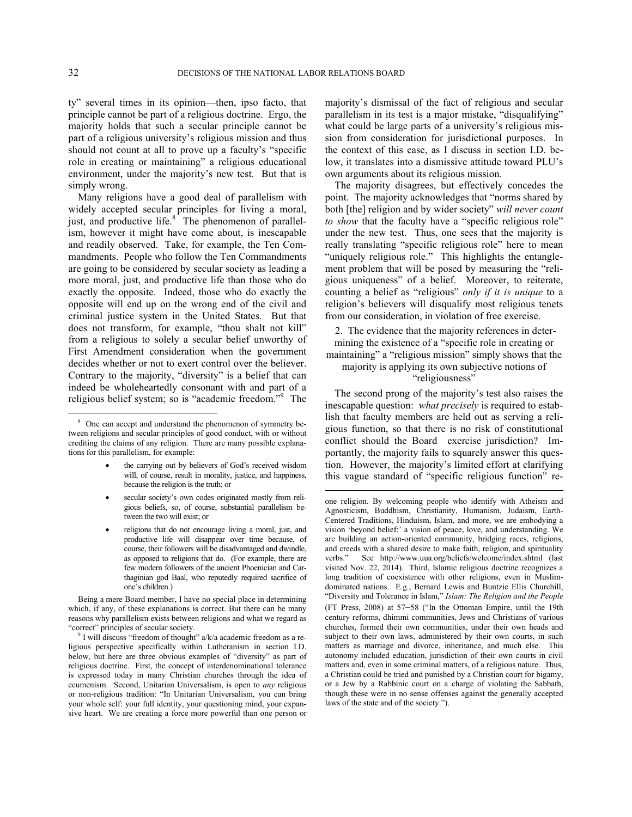$\overline{a}$ 

ty" several times in its opinion—then, ipso facto, that principle cannot be part of a religious doctrine. Ergo, the majority holds that such a secular principle cannot be part of a religious university's religious mission and thus should not count at all to prove up a faculty's "specific role in creating or maintaining" a religious educational environment, under the majority's new test. But that is simply wrong.

Many religions have a good deal of parallelism with widely accepted secular principles for living a moral, just, and productive life.<sup>[8](#page-31-0)</sup> The phenomenon of parallelism, however it might have come about, is inescapable and readily observed. Take, for example, the Ten Commandments. People who follow the Ten Commandments are going to be considered by secular society as leading a more moral, just, and productive life than those who do exactly the opposite. Indeed, those who do exactly the opposite will end up on the wrong end of the civil and criminal justice system in the United States. But that does not transform, for example, "thou shalt not kill" from a religious to solely a secular belief unworthy of First Amendment consideration when the government decides whether or not to exert control over the believer. Contrary to the majority, "diversity" is a belief that can indeed be wholeheartedly consonant with and part of a religious belief system; so is "academic freedom."<sup>[9](#page-31-1)</sup> The

- the carrying out by believers of God's received wisdom will, of course, result in morality, justice, and happiness, because the religion is the truth; or
- secular society's own codes originated mostly from religious beliefs, so, of course, substantial parallelism between the two will exist; or
- religions that do not encourage living a moral, just, and productive life will disappear over time because, of course, their followers will be disadvantaged and dwindle, as opposed to religions that do. (For example, there are few modern followers of the ancient Phoenician and Carthaginian god Baal, who reputedly required sacrifice of one's children.)

Being a mere Board member, I have no special place in determining which, if any, of these explanations is correct. But there can be many reasons why parallelism exists between religions and what we regard as "correct" principles of secular society.

majority's dismissal of the fact of religious and secular parallelism in its test is a major mistake, "disqualifying" what could be large parts of a university's religious mission from consideration for jurisdictional purposes. In the context of this case, as I discuss in section I.D. below, it translates into a dismissive attitude toward PLU's own arguments about its religious mission.

The majority disagrees, but effectively concedes the point. The majority acknowledges that "norms shared by both [the] religion and by wider society" *will never count to show* that the faculty have a "specific religious role" under the new test. Thus, one sees that the majority is really translating "specific religious role" here to mean "uniquely religious role." This highlights the entanglement problem that will be posed by measuring the "religious uniqueness" of a belief. Moreover, to reiterate, counting a belief as "religious" *only if it is unique* to a religion's believers will disqualify most religious tenets from our consideration, in violation of free exercise.

2. The evidence that the majority references in determining the existence of a "specific role in creating or maintaining" a "religious mission" simply shows that the majority is applying its own subjective notions of "religiousness"

The second prong of the majority's test also raises the inescapable question: *what precisely* is required to establish that faculty members are held out as serving a religious function, so that there is no risk of constitutional conflict should the Board exercise jurisdiction? Importantly, the majority fails to squarely answer this question. However, the majority's limited effort at clarifying this vague standard of "specific religious function" re-

<span id="page-31-0"></span><sup>&</sup>lt;sup>8</sup> One can accept and understand the phenomenon of symmetry between religions and secular principles of good conduct, with or without crediting the claims of any religion. There are many possible explanations for this parallelism, for example:

<span id="page-31-1"></span><sup>&</sup>lt;sup>9</sup> I will discuss "freedom of thought" a/k/a academic freedom as a religious perspective specifically within Lutheranism in section I.D. below, but here are three obvious examples of "diversity" as part of religious doctrine. First, the concept of interdenominational tolerance is expressed today in many Christian churches through the idea of ecumenism. Second, Unitarian Universalism, is open to *any* religious or non-religious tradition: "In Unitarian Universalism, you can bring your whole self: your full identity, your questioning mind, your expansive heart. We are creating a force more powerful than one person or

one religion. By welcoming people who identify with Atheism and Agnosticism, Buddhism, Christianity, Humanism, Judaism, Earth-Centered Traditions, Hinduism, Islam, and more, we are embodying a vision 'beyond belief:' a vision of peace, love, and understanding. We are building an action-oriented community, bridging races, religions, and creeds with a shared desire to make faith, religion, and spirituality verbs." See http://www.uua.org/beliefs/welcome/index.shtml (last visited Nov. 22, 2014). Third, Islamic religious doctrine recognizes a long tradition of coexistence with other religions, even in Muslimdominated nations. E.g., Bernard Lewis and Buntzie Ellis Churchill, "Diversity and Tolerance in Islam," *Islam: The Religion and the People* (FT Press, 2008) at 57–58 ("In the Ottoman Empire, until the 19th century reforms, dhimmi communities, Jews and Christians of various churches, formed their own communities, under their own heads and subject to their own laws, administered by their own courts, in such matters as marriage and divorce, inheritance, and much else. This autonomy included education, jurisdiction of their own courts in civil matters and, even in some criminal matters, of a religious nature. Thus, a Christian could be tried and punished by a Christian court for bigamy, or a Jew by a Rabbinic court on a charge of violating the Sabbath, though these were in no sense offenses against the generally accepted laws of the state and of the society.").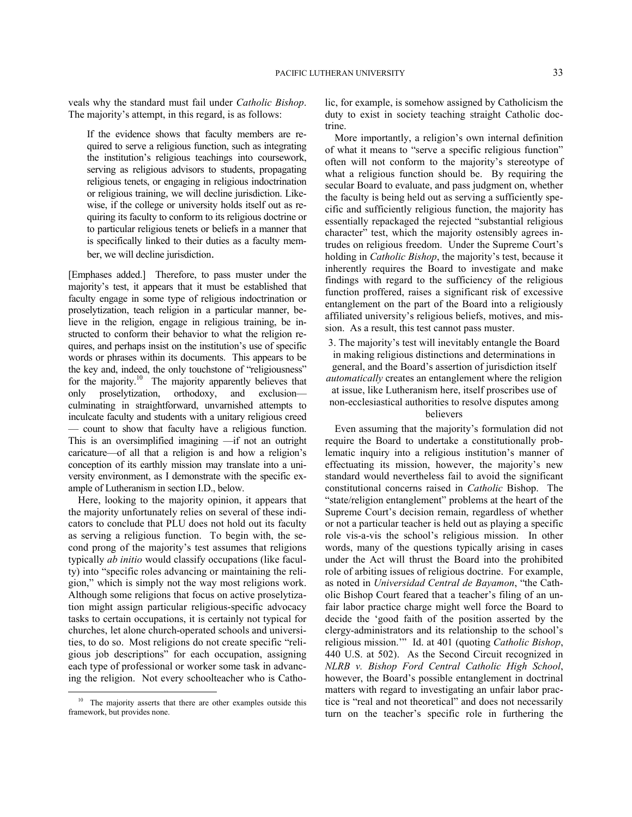veals why the standard must fail under *Catholic Bishop*. The majority's attempt, in this regard, is as follows:

If the evidence shows that faculty members are required to serve a religious function, such as integrating the institution's religious teachings into coursework, serving as religious advisors to students, propagating religious tenets, or engaging in religious indoctrination or religious training, we will decline jurisdiction. Likewise, if the college or university holds itself out as requiring its faculty to conform to its religious doctrine or to particular religious tenets or beliefs in a manner that is specifically linked to their duties as a faculty member, we will decline jurisdiction.

[Emphases added.] Therefore, to pass muster under the majority's test, it appears that it must be established that faculty engage in some type of religious indoctrination or proselytization, teach religion in a particular manner, believe in the religion, engage in religious training, be instructed to conform their behavior to what the religion requires, and perhaps insist on the institution's use of specific words or phrases within its documents. This appears to be the key and, indeed, the only touchstone of "religiousness" for the majority.<sup>[10](#page-32-0)</sup> The majority apparently believes that only proselytization, orthodoxy, and exclusion culminating in straightforward, unvarnished attempts to inculcate faculty and students with a unitary religious creed — count to show that faculty have a religious function. This is an oversimplified imagining —if not an outright caricature—of all that a religion is and how a religion's conception of its earthly mission may translate into a university environment, as I demonstrate with the specific example of Lutheranism in section I.D., below.

Here, looking to the majority opinion, it appears that the majority unfortunately relies on several of these indicators to conclude that PLU does not hold out its faculty as serving a religious function. To begin with, the second prong of the majority's test assumes that religions typically *ab initio* would classify occupations (like faculty) into "specific roles advancing or maintaining the religion," which is simply not the way most religions work. Although some religions that focus on active proselytization might assign particular religious-specific advocacy tasks to certain occupations, it is certainly not typical for churches, let alone church-operated schools and universities, to do so. Most religions do not create specific "religious job descriptions" for each occupation, assigning each type of professional or worker some task in advancing the religion. Not every schoolteacher who is Catho-

<u>.</u>

lic, for example, is somehow assigned by Catholicism the duty to exist in society teaching straight Catholic doctrine.

More importantly, a religion's own internal definition of what it means to "serve a specific religious function" often will not conform to the majority's stereotype of what a religious function should be. By requiring the secular Board to evaluate, and pass judgment on, whether the faculty is being held out as serving a sufficiently specific and sufficiently religious function, the majority has essentially repackaged the rejected "substantial religious character" test, which the majority ostensibly agrees intrudes on religious freedom. Under the Supreme Court's holding in *Catholic Bishop*, the majority's test, because it inherently requires the Board to investigate and make findings with regard to the sufficiency of the religious function proffered, raises a significant risk of excessive entanglement on the part of the Board into a religiously affiliated university's religious beliefs, motives, and mission. As a result, this test cannot pass muster.

3. The majority's test will inevitably entangle the Board in making religious distinctions and determinations in general, and the Board's assertion of jurisdiction itself *automatically* creates an entanglement where the religion at issue, like Lutheranism here, itself proscribes use of non-ecclesiastical authorities to resolve disputes among believers

Even assuming that the majority's formulation did not require the Board to undertake a constitutionally problematic inquiry into a religious institution's manner of effectuating its mission, however, the majority's new standard would nevertheless fail to avoid the significant constitutional concerns raised in *Catholic* Bishop. The "state/religion entanglement" problems at the heart of the Supreme Court's decision remain, regardless of whether or not a particular teacher is held out as playing a specific role vis-a-vis the school's religious mission. In other words, many of the questions typically arising in cases under the Act will thrust the Board into the prohibited role of arbiting issues of religious doctrine. For example, as noted in *Universidad Central de Bayamon*, "the Catholic Bishop Court feared that a teacher's filing of an unfair labor practice charge might well force the Board to decide the 'good faith of the position asserted by the clergy-administrators and its relationship to the school's religious mission.'" Id. at 401 (quoting *Catholic Bishop*, 440 U.S. at 502). As the Second Circuit recognized in *NLRB v. Bishop Ford Central Catholic High School*, however, the Board's possible entanglement in doctrinal matters with regard to investigating an unfair labor practice is "real and not theoretical" and does not necessarily turn on the teacher's specific role in furthering the

<span id="page-32-0"></span><sup>&</sup>lt;sup>10</sup> The majority asserts that there are other examples outside this framework, but provides none.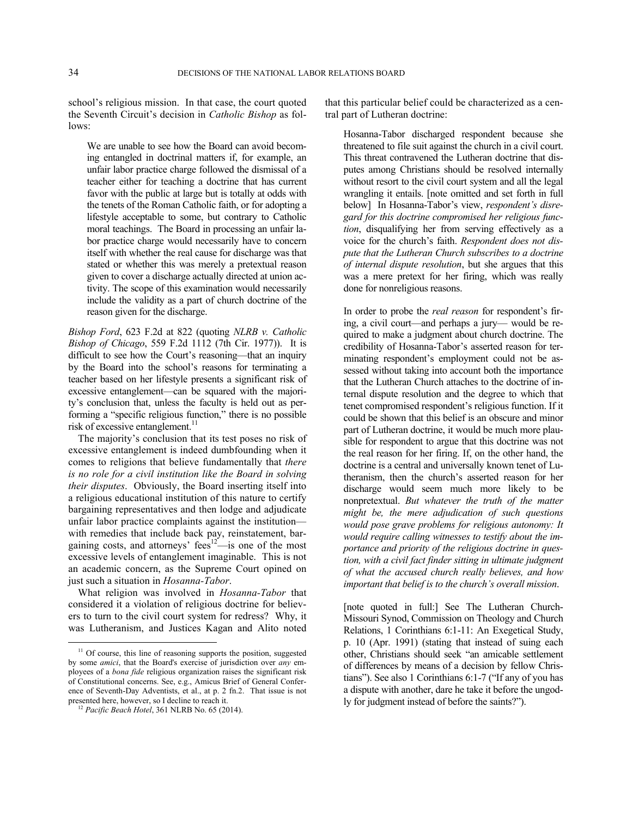school's religious mission. In that case, the court quoted the Seventh Circuit's decision in *Catholic Bishop* as follows:

We are unable to see how the Board can avoid becoming entangled in doctrinal matters if, for example, an unfair labor practice charge followed the dismissal of a teacher either for teaching a doctrine that has current favor with the public at large but is totally at odds with the tenets of the Roman Catholic faith, or for adopting a lifestyle acceptable to some, but contrary to Catholic moral teachings. The Board in processing an unfair labor practice charge would necessarily have to concern itself with whether the real cause for discharge was that stated or whether this was merely a pretextual reason given to cover a discharge actually directed at union activity. The scope of this examination would necessarily include the validity as a part of church doctrine of the reason given for the discharge.

*Bishop Ford*, 623 F.2d at 822 (quoting *NLRB v. Catholic Bishop of Chicago*, 559 F.2d 1112 (7th Cir. 1977)). It is difficult to see how the Court's reasoning—that an inquiry by the Board into the school's reasons for terminating a teacher based on her lifestyle presents a significant risk of excessive entanglement—can be squared with the majority's conclusion that, unless the faculty is held out as performing a "specific religious function," there is no possible risk of excessive entanglement.<sup>[11](#page-33-0)</sup>

The majority's conclusion that its test poses no risk of excessive entanglement is indeed dumbfounding when it comes to religions that believe fundamentally that *there is no role for a civil institution like the Board in solving their disputes*. Obviously, the Board inserting itself into a religious educational institution of this nature to certify bargaining representatives and then lodge and adjudicate unfair labor practice complaints against the institution with remedies that include back pay, reinstatement, bar-gaining costs, and attorneys' fees<sup>[12](#page-33-1)</sup>—is one of the most excessive levels of entanglement imaginable. This is not an academic concern, as the Supreme Court opined on just such a situation in *Hosanna-Tabor*.

What religion was involved in *Hosanna-Tabor* that considered it a violation of religious doctrine for believers to turn to the civil court system for redress? Why, it was Lutheranism, and Justices Kagan and Alito noted

1

that this particular belief could be characterized as a central part of Lutheran doctrine:

Hosanna-Tabor discharged respondent because she threatened to file suit against the church in a civil court. This threat contravened the Lutheran doctrine that disputes among Christians should be resolved internally without resort to the civil court system and all the legal wrangling it entails. [note omitted and set forth in full below] In Hosanna-Tabor's view, *respondent's disregard for this doctrine compromised her religious function*, disqualifying her from serving effectively as a voice for the church's faith. *Respondent does not dispute that the Lutheran Church subscribes to a doctrine of internal dispute resolution*, but she argues that this was a mere pretext for her firing, which was really done for nonreligious reasons.

In order to probe the *real reason* for respondent's firing, a civil court—and perhaps a jury— would be required to make a judgment about church doctrine. The credibility of Hosanna-Tabor's asserted reason for terminating respondent's employment could not be assessed without taking into account both the importance that the Lutheran Church attaches to the doctrine of internal dispute resolution and the degree to which that tenet compromised respondent's religious function. If it could be shown that this belief is an obscure and minor part of Lutheran doctrine, it would be much more plausible for respondent to argue that this doctrine was not the real reason for her firing. If, on the other hand, the doctrine is a central and universally known tenet of Lutheranism, then the church's asserted reason for her discharge would seem much more likely to be nonpretextual. *But whatever the truth of the matter might be, the mere adjudication of such questions would pose grave problems for religious autonomy: It*  would require calling witnesses to testify about the im*portance and priority of the religious doctrine in question, with a civil fact finder sitting in ultimate judgment of what the accused church really believes, and how important that belief is to the church's overall mission*.

[note quoted in full:] See The Lutheran Church-Missouri Synod, Commission on Theology and Church Relations, 1 Corinthians 6:1-11: An Exegetical Study, p. 10 (Apr. 1991) (stating that instead of suing each other, Christians should seek "an amicable settlement of differences by means of a decision by fellow Christians"). See also 1 Corinthians 6:1-7 ("If any of you has a dispute with another, dare he take it before the ungodly for judgment instead of before the saints?").

<span id="page-33-0"></span><sup>&</sup>lt;sup>11</sup> Of course, this line of reasoning supports the position, suggested by some *amici*, that the Board's exercise of jurisdiction over *any* employees of a *bona fide* religious organization raises the significant risk of Constitutional concerns. See, e.g., Amicus Brief of General Conference of Seventh-Day Adventists, et al., at p. 2 fn.2. That issue is not presented here, however, so I decline to reach it.

<span id="page-33-1"></span><sup>12</sup> *Pacific Beach Hotel*, 361 NLRB No. 65 (2014).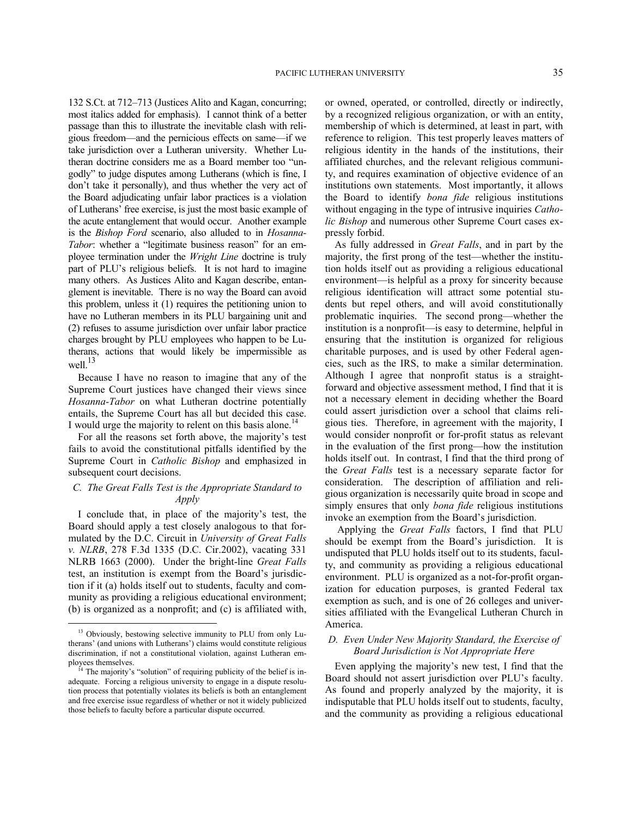132 S.Ct. at 712–713 (Justices Alito and Kagan, concurring; most italics added for emphasis). I cannot think of a better passage than this to illustrate the inevitable clash with religious freedom—and the pernicious effects on same—if we take jurisdiction over a Lutheran university. Whether Lutheran doctrine considers me as a Board member too "ungodly" to judge disputes among Lutherans (which is fine, I don't take it personally), and thus whether the very act of the Board adjudicating unfair labor practices is a violation of Lutherans' free exercise, is just the most basic example of the acute entanglement that would occur. Another example is the *Bishop Ford* scenario, also alluded to in *Hosanna-Tabor*: whether a "legitimate business reason" for an employee termination under the *Wright Line* doctrine is truly part of PLU's religious beliefs. It is not hard to imagine many others. As Justices Alito and Kagan describe, entanglement is inevitable. There is no way the Board can avoid this problem, unless it (1) requires the petitioning union to have no Lutheran members in its PLU bargaining unit and (2) refuses to assume jurisdiction over unfair labor practice charges brought by PLU employees who happen to be Lutherans, actions that would likely be impermissible as well. $^{13}$  $^{13}$  $^{13}$ 

Because I have no reason to imagine that any of the Supreme Court justices have changed their views since *Hosanna-Tabor* on what Lutheran doctrine potentially entails, the Supreme Court has all but decided this case. I would urge the majority to relent on this basis alone.<sup>[14](#page-34-1)</sup>

For all the reasons set forth above, the majority's test fails to avoid the constitutional pitfalls identified by the Supreme Court in *Catholic Bishop* and emphasized in subsequent court decisions.

# *C. The Great Falls Test is the Appropriate Standard to Apply*

I conclude that, in place of the majority's test, the Board should apply a test closely analogous to that formulated by the D.C. Circuit in *University of Great Falls v. NLRB*, 278 F.3d 1335 (D.C. Cir.2002), vacating 331 NLRB 1663 (2000). Under the bright-line *Great Falls* test, an institution is exempt from the Board's jurisdiction if it (a) holds itself out to students, faculty and community as providing a religious educational environment; (b) is organized as a nonprofit; and (c) is affiliated with,

1

or owned, operated, or controlled, directly or indirectly, by a recognized religious organization, or with an entity, membership of which is determined, at least in part, with reference to religion. This test properly leaves matters of religious identity in the hands of the institutions, their affiliated churches, and the relevant religious community, and requires examination of objective evidence of an institutions own statements. Most importantly, it allows the Board to identify *bona fide* religious institutions without engaging in the type of intrusive inquiries *Catholic Bishop* and numerous other Supreme Court cases expressly forbid.

As fully addressed in *Great Falls*, and in part by the majority, the first prong of the test—whether the institution holds itself out as providing a religious educational environment—is helpful as a proxy for sincerity because religious identification will attract some potential students but repel others, and will avoid constitutionally problematic inquiries. The second prong—whether the institution is a nonprofit—is easy to determine, helpful in ensuring that the institution is organized for religious charitable purposes, and is used by other Federal agencies, such as the IRS, to make a similar determination. Although I agree that nonprofit status is a straightforward and objective assessment method, I find that it is not a necessary element in deciding whether the Board could assert jurisdiction over a school that claims religious ties. Therefore, in agreement with the majority, I would consider nonprofit or for-profit status as relevant in the evaluation of the first prong—how the institution holds itself out. In contrast, I find that the third prong of the *Great Falls* test is a necessary separate factor for consideration. The description of affiliation and religious organization is necessarily quite broad in scope and simply ensures that only *bona fide* religious institutions invoke an exemption from the Board's jurisdiction.

Applying the *Great Falls* factors, I find that PLU should be exempt from the Board's jurisdiction. It is undisputed that PLU holds itself out to its students, faculty, and community as providing a religious educational environment. PLU is organized as a not-for-profit organization for education purposes, is granted Federal tax exemption as such, and is one of 26 colleges and universities affiliated with the Evangelical Lutheran Church in America.

# *D. Even Under New Majority Standard, the Exercise of Board Jurisdiction is Not Appropriate Here*

Even applying the majority's new test, I find that the Board should not assert jurisdiction over PLU's faculty. As found and properly analyzed by the majority, it is indisputable that PLU holds itself out to students, faculty, and the community as providing a religious educational

<span id="page-34-0"></span><sup>&</sup>lt;sup>13</sup> Obviously, bestowing selective immunity to PLU from only Lutherans' (and unions with Lutherans') claims would constitute religious discrimination, if not a constitutional violation, against Lutheran employees themselves.

<span id="page-34-1"></span><sup>&</sup>lt;sup>14</sup> The majority's "solution" of requiring publicity of the belief is inadequate. Forcing a religious university to engage in a dispute resolution process that potentially violates its beliefs is both an entanglement and free exercise issue regardless of whether or not it widely publicized those beliefs to faculty before a particular dispute occurred.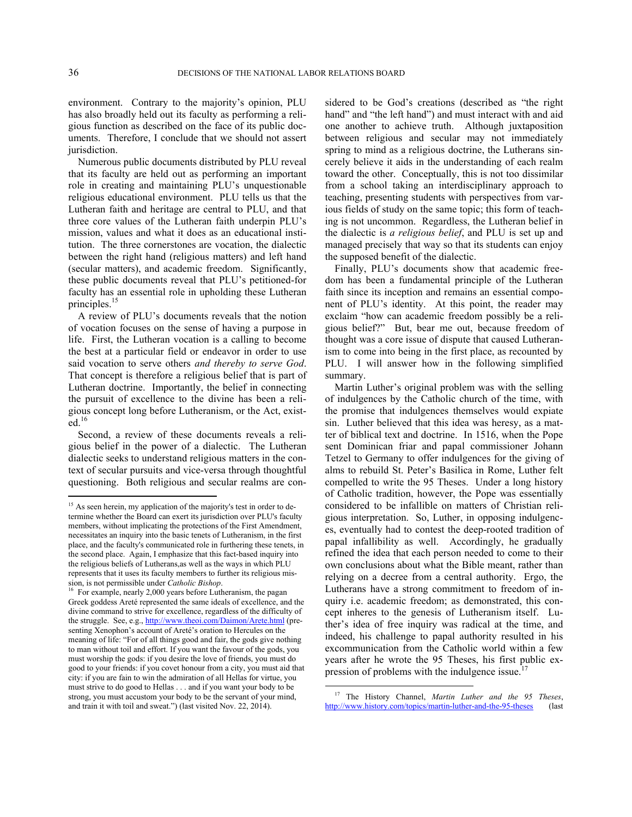environment. Contrary to the majority's opinion, PLU has also broadly held out its faculty as performing a religious function as described on the face of its public documents. Therefore, I conclude that we should not assert jurisdiction.

Numerous public documents distributed by PLU reveal that its faculty are held out as performing an important role in creating and maintaining PLU's unquestionable religious educational environment. PLU tells us that the Lutheran faith and heritage are central to PLU, and that three core values of the Lutheran faith underpin PLU's mission, values and what it does as an educational institution. The three cornerstones are vocation, the dialectic between the right hand (religious matters) and left hand (secular matters), and academic freedom. Significantly, these public documents reveal that PLU's petitioned-for faculty has an essential role in upholding these Lutheran principles.<sup>[15](#page-35-0)</sup>

A review of PLU's documents reveals that the notion of vocation focuses on the sense of having a purpose in life. First, the Lutheran vocation is a calling to become the best at a particular field or endeavor in order to use said vocation to serve others *and thereby to serve God*. That concept is therefore a religious belief that is part of Lutheran doctrine. Importantly, the belief in connecting the pursuit of excellence to the divine has been a religious concept long before Lutheranism, or the Act, exist- $\mathrm{ed}$ <sup>[16](#page-35-1)</sup>

Second, a review of these documents reveals a religious belief in the power of a dialectic. The Lutheran dialectic seeks to understand religious matters in the context of secular pursuits and vice-versa through thoughtful questioning. Both religious and secular realms are considered to be God's creations (described as "the right hand" and "the left hand") and must interact with and aid one another to achieve truth. Although juxtaposition between religious and secular may not immediately spring to mind as a religious doctrine, the Lutherans sincerely believe it aids in the understanding of each realm toward the other. Conceptually, this is not too dissimilar from a school taking an interdisciplinary approach to teaching, presenting students with perspectives from various fields of study on the same topic; this form of teaching is not uncommon. Regardless, the Lutheran belief in the dialectic is *a religious belief*, and PLU is set up and managed precisely that way so that its students can enjoy the supposed benefit of the dialectic.

Finally, PLU's documents show that academic freedom has been a fundamental principle of the Lutheran faith since its inception and remains an essential component of PLU's identity. At this point, the reader may exclaim "how can academic freedom possibly be a religious belief?" But, bear me out, because freedom of thought was a core issue of dispute that caused Lutheranism to come into being in the first place, as recounted by PLU. I will answer how in the following simplified summary.

Martin Luther's original problem was with the selling of indulgences by the Catholic church of the time, with the promise that indulgences themselves would expiate sin. Luther believed that this idea was heresy, as a matter of biblical text and doctrine. In 1516, when the Pope sent Dominican friar and papal commissioner Johann Tetzel to Germany to offer indulgences for the giving of alms to rebuild St. Peter's Basilica in Rome, Luther felt compelled to write the 95 Theses. Under a long history of Catholic tradition, however, the Pope was essentially considered to be infallible on matters of Christian religious interpretation. So, Luther, in opposing indulgences, eventually had to contest the deep-rooted tradition of papal infallibility as well. Accordingly, he gradually refined the idea that each person needed to come to their own conclusions about what the Bible meant, rather than relying on a decree from a central authority. Ergo, the Lutherans have a strong commitment to freedom of inquiry i.e. academic freedom; as demonstrated, this concept inheres to the genesis of Lutheranism itself. Luther's idea of free inquiry was radical at the time, and indeed, his challenge to papal authority resulted in his excommunication from the Catholic world within a few years after he wrote the 95 Theses, his first public ex-pression of problems with the indulgence issue.<sup>[17](#page-35-2)</sup>

<span id="page-35-0"></span><sup>&</sup>lt;sup>15</sup> As seen herein, my application of the majority's test in order to determine whether the Board can exert its jurisdiction over PLU's faculty members, without implicating the protections of the First Amendment, necessitates an inquiry into the basic tenets of Lutheranism, in the first place, and the faculty's communicated role in furthering these tenets, in the second place. Again, I emphasize that this fact-based inquiry into the religious beliefs of Lutherans,as well as the ways in which PLU represents that it uses its faculty members to further its religious mission, is not permissible under *Catholic Bishop*. 16 For example, nearly 2,000 years before Lutheranism, the pagan

<span id="page-35-2"></span><span id="page-35-1"></span>Greek goddess Areté represented the same ideals of excellence, and the divine command to strive for excellence, regardless of the difficulty of the struggle. See, e.g., <http://www.theoi.com/Daimon/Arete.html> (presenting Xenophon's account of Areté's oration to Hercules on the meaning of life: "For of all things good and fair, the gods give nothing to man without toil and effort. If you want the favour of the gods, you must worship the gods: if you desire the love of friends, you must do good to your friends: if you covet honour from a city, you must aid that city: if you are fain to win the admiration of all Hellas for virtue, you must strive to do good to Hellas . . . and if you want your body to be strong, you must accustom your body to be the servant of your mind, and train it with toil and sweat.") (last visited Nov. 22, 2014).

<sup>17</sup> The History Channel, *Martin Luther and the 95 Theses*, <http://www.history.com/topics/martin-luther-and-the-95-theses> (last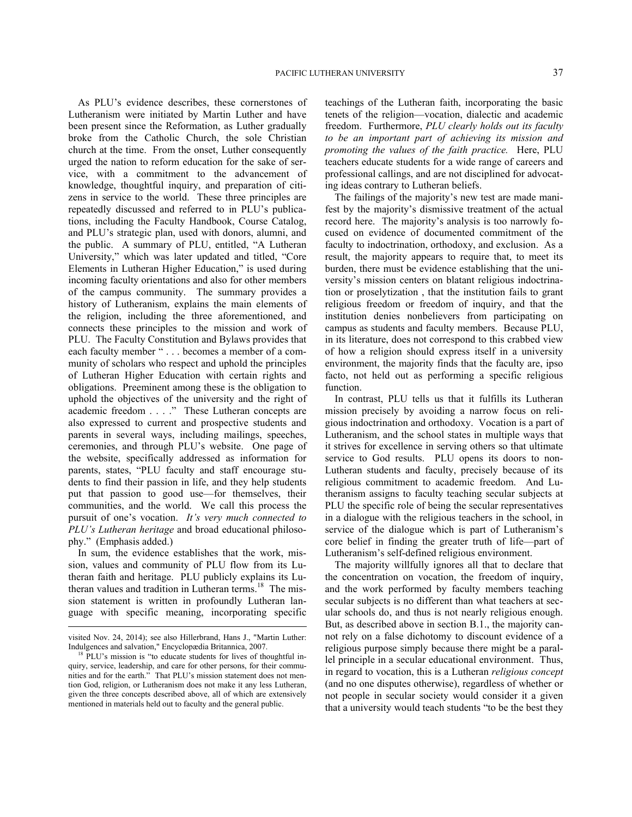As PLU's evidence describes, these cornerstones of Lutheranism were initiated by Martin Luther and have been present since the Reformation, as Luther gradually broke from the Catholic Church, the sole Christian church at the time. From the onset, Luther consequently urged the nation to reform education for the sake of service, with a commitment to the advancement of knowledge, thoughtful inquiry, and preparation of citizens in service to the world. These three principles are repeatedly discussed and referred to in PLU's publications, including the Faculty Handbook, Course Catalog, and PLU's strategic plan, used with donors, alumni, and the public. A summary of PLU, entitled, "A Lutheran University," which was later updated and titled, "Core Elements in Lutheran Higher Education," is used during incoming faculty orientations and also for other members of the campus community. The summary provides a history of Lutheranism, explains the main elements of the religion, including the three aforementioned, and connects these principles to the mission and work of PLU. The Faculty Constitution and Bylaws provides that each faculty member " . . . becomes a member of a community of scholars who respect and uphold the principles of Lutheran Higher Education with certain rights and obligations. Preeminent among these is the obligation to uphold the objectives of the university and the right of academic freedom . . . ." These Lutheran concepts are also expressed to current and prospective students and parents in several ways, including mailings, speeches, ceremonies, and through PLU's website. One page of the website, specifically addressed as information for parents, states, "PLU faculty and staff encourage students to find their passion in life, and they help students put that passion to good use—for themselves, their communities, and the world. We call this process the pursuit of one's vocation. *It's very much connected to PLU's Lutheran heritage* and broad educational philosophy." (Emphasis added.)

In sum, the evidence establishes that the work, mission, values and community of PLU flow from its Lutheran faith and heritage. PLU publicly explains its Lu-theran values and tradition in Lutheran terms.<sup>[18](#page-36-0)</sup> The mission statement is written in profoundly Lutheran language with specific meaning, incorporating specific

 $\overline{a}$ 

teachings of the Lutheran faith, incorporating the basic tenets of the religion—vocation, dialectic and academic freedom. Furthermore, *PLU clearly holds out its faculty to be an important part of achieving its mission and promoting the values of the faith practice.* Here, PLU teachers educate students for a wide range of careers and professional callings, and are not disciplined for advocating ideas contrary to Lutheran beliefs.

The failings of the majority's new test are made manifest by the majority's dismissive treatment of the actual record here. The majority's analysis is too narrowly focused on evidence of documented commitment of the faculty to indoctrination, orthodoxy, and exclusion. As a result, the majority appears to require that, to meet its burden, there must be evidence establishing that the university's mission centers on blatant religious indoctrination or proselytization , that the institution fails to grant religious freedom or freedom of inquiry, and that the institution denies nonbelievers from participating on campus as students and faculty members. Because PLU, in its literature, does not correspond to this crabbed view of how a religion should express itself in a university environment, the majority finds that the faculty are, ipso facto, not held out as performing a specific religious function.

In contrast, PLU tells us that it fulfills its Lutheran mission precisely by avoiding a narrow focus on religious indoctrination and orthodoxy. Vocation is a part of Lutheranism, and the school states in multiple ways that it strives for excellence in serving others so that ultimate service to God results. PLU opens its doors to non-Lutheran students and faculty, precisely because of its religious commitment to academic freedom. And Lutheranism assigns to faculty teaching secular subjects at PLU the specific role of being the secular representatives in a dialogue with the religious teachers in the school, in service of the dialogue which is part of Lutheranism's core belief in finding the greater truth of life—part of Lutheranism's self-defined religious environment.

The majority willfully ignores all that to declare that the concentration on vocation, the freedom of inquiry, and the work performed by faculty members teaching secular subjects is no different than what teachers at secular schools do, and thus is not nearly religious enough. But, as described above in section B.1., the majority cannot rely on a false dichotomy to discount evidence of a religious purpose simply because there might be a parallel principle in a secular educational environment. Thus, in regard to vocation, this is a Lutheran *religious concept* (and no one disputes otherwise), regardless of whether or not people in secular society would consider it a given that a university would teach students "to be the best they

visited Nov. 24, 2014); see also Hillerbrand, Hans J., "Martin Luther: Indulgences and salvation," Encyclopædia Britannica, 2007.

<span id="page-36-0"></span><sup>&</sup>lt;sup>18</sup> PLU's mission is "to educate students for lives of thoughtful inquiry, service, leadership, and care for other persons, for their communities and for the earth." That PLU's mission statement does not mention God, religion, or Lutheranism does not make it any less Lutheran, given the three concepts described above, all of which are extensively mentioned in materials held out to faculty and the general public.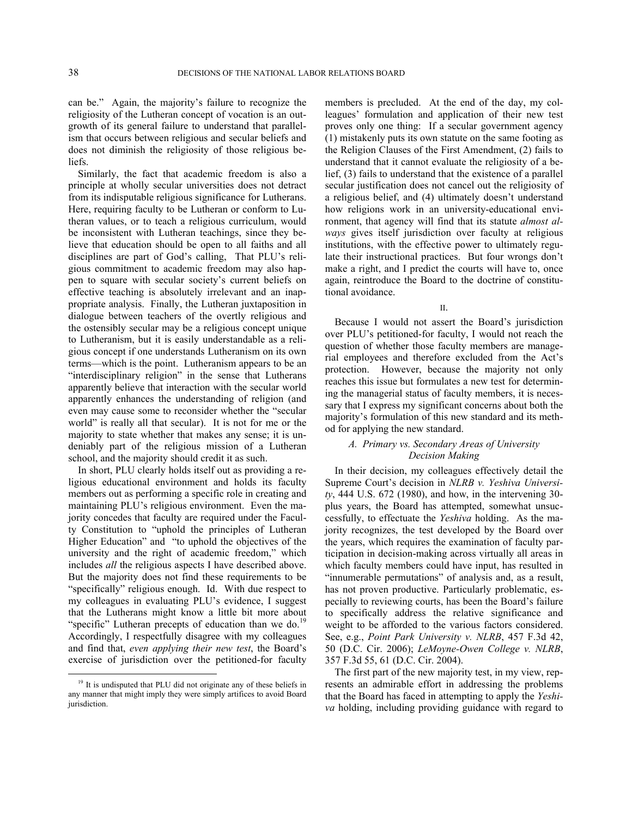can be." Again, the majority's failure to recognize the religiosity of the Lutheran concept of vocation is an outgrowth of its general failure to understand that parallelism that occurs between religious and secular beliefs and does not diminish the religiosity of those religious beliefs.

Similarly, the fact that academic freedom is also a principle at wholly secular universities does not detract from its indisputable religious significance for Lutherans. Here, requiring faculty to be Lutheran or conform to Lutheran values, or to teach a religious curriculum, would be inconsistent with Lutheran teachings, since they believe that education should be open to all faiths and all disciplines are part of God's calling, That PLU's religious commitment to academic freedom may also happen to square with secular society's current beliefs on effective teaching is absolutely irrelevant and an inappropriate analysis. Finally, the Lutheran juxtaposition in dialogue between teachers of the overtly religious and the ostensibly secular may be a religious concept unique to Lutheranism, but it is easily understandable as a religious concept if one understands Lutheranism on its own terms—which is the point. Lutheranism appears to be an "interdisciplinary religion" in the sense that Lutherans apparently believe that interaction with the secular world apparently enhances the understanding of religion (and even may cause some to reconsider whether the "secular world" is really all that secular). It is not for me or the majority to state whether that makes any sense; it is undeniably part of the religious mission of a Lutheran school, and the majority should credit it as such.

In short, PLU clearly holds itself out as providing a religious educational environment and holds its faculty members out as performing a specific role in creating and maintaining PLU's religious environment. Even the majority concedes that faculty are required under the Faculty Constitution to "uphold the principles of Lutheran Higher Education" and "to uphold the objectives of the university and the right of academic freedom," which includes *all* the religious aspects I have described above. But the majority does not find these requirements to be "specifically" religious enough. Id. With due respect to my colleagues in evaluating PLU's evidence, I suggest that the Lutherans might know a little bit more about "specific" Lutheran precepts of education than we do.<sup>[19](#page-37-0)</sup> Accordingly, I respectfully disagree with my colleagues and find that, *even applying their new test*, the Board's exercise of jurisdiction over the petitioned-for faculty

1

members is precluded. At the end of the day, my colleagues' formulation and application of their new test proves only one thing: If a secular government agency (1) mistakenly puts its own statute on the same footing as the Religion Clauses of the First Amendment, (2) fails to understand that it cannot evaluate the religiosity of a belief, (3) fails to understand that the existence of a parallel secular justification does not cancel out the religiosity of a religious belief, and (4) ultimately doesn't understand how religions work in an university-educational environment, that agency will find that its statute *almost always* gives itself jurisdiction over faculty at religious institutions, with the effective power to ultimately regulate their instructional practices. But four wrongs don't make a right, and I predict the courts will have to, once again, reintroduce the Board to the doctrine of constitutional avoidance.

II.

Because I would not assert the Board's jurisdiction over PLU's petitioned-for faculty, I would not reach the question of whether those faculty members are managerial employees and therefore excluded from the Act's protection. However, because the majority not only reaches this issue but formulates a new test for determining the managerial status of faculty members, it is necessary that I express my significant concerns about both the majority's formulation of this new standard and its method for applying the new standard.

# *A. Primary vs. Secondary Areas of University Decision Making*

In their decision, my colleagues effectively detail the Supreme Court's decision in *NLRB v. Yeshiva University*, 444 U.S. 672 (1980), and how, in the intervening 30 plus years, the Board has attempted, somewhat unsuccessfully, to effectuate the *Yeshiva* holding. As the majority recognizes, the test developed by the Board over the years, which requires the examination of faculty participation in decision-making across virtually all areas in which faculty members could have input, has resulted in "innumerable permutations" of analysis and, as a result, has not proven productive. Particularly problematic, especially to reviewing courts, has been the Board's failure to specifically address the relative significance and weight to be afforded to the various factors considered. See, e.g., *Point Park University v. NLRB*, 457 F.3d 42, 50 (D.C. Cir. 2006); *LeMoyne-Owen College v. NLRB*, 357 F.3d 55, 61 (D.C. Cir. 2004).

The first part of the new majority test, in my view, represents an admirable effort in addressing the problems that the Board has faced in attempting to apply the *Yeshiva* holding, including providing guidance with regard to

<span id="page-37-0"></span><sup>&</sup>lt;sup>19</sup> It is undisputed that PLU did not originate any of these beliefs in any manner that might imply they were simply artifices to avoid Board jurisdiction.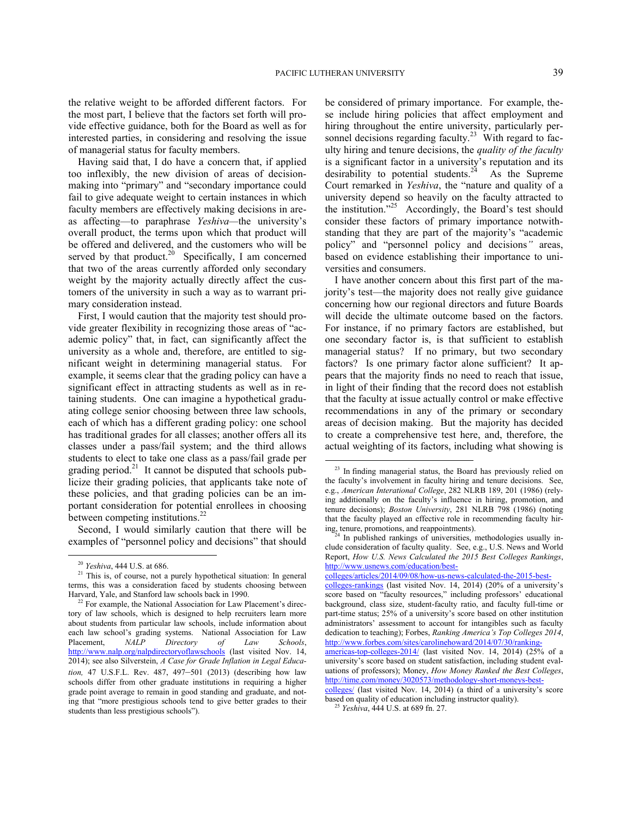the relative weight to be afforded different factors. For the most part, I believe that the factors set forth will provide effective guidance, both for the Board as well as for interested parties, in considering and resolving the issue of managerial status for faculty members.

Having said that, I do have a concern that, if applied too inflexibly, the new division of areas of decisionmaking into "primary" and "secondary importance could fail to give adequate weight to certain instances in which faculty members are effectively making decisions in areas affecting—to paraphrase *Yeshiva—*the university's overall product, the terms upon which that product will be offered and delivered, and the customers who will be served by that product.<sup>[20](#page-38-0)</sup> Specifically, I am concerned that two of the areas currently afforded only secondary weight by the majority actually directly affect the customers of the university in such a way as to warrant primary consideration instead.

First, I would caution that the majority test should provide greater flexibility in recognizing those areas of "academic policy" that, in fact, can significantly affect the university as a whole and, therefore, are entitled to significant weight in determining managerial status. For example, it seems clear that the grading policy can have a significant effect in attracting students as well as in retaining students. One can imagine a hypothetical graduating college senior choosing between three law schools, each of which has a different grading policy: one school has traditional grades for all classes; another offers all its classes under a pass/fail system; and the third allows students to elect to take one class as a pass/fail grade per grading period.<sup>[21](#page-38-1)</sup> It cannot be disputed that schools publicize their grading policies, that applicants take note of these policies, and that grading policies can be an important consideration for potential enrollees in choosing between competing institutions.<sup>[22](#page-38-2)</sup>

<span id="page-38-4"></span><span id="page-38-3"></span>Second, I would similarly caution that there will be examples of "personnel policy and decisions" that should

1

be considered of primary importance. For example, these include hiring policies that affect employment and hiring throughout the entire university, particularly per-sonnel decisions regarding faculty.<sup>[23](#page-38-3)</sup> With regard to faculty hiring and tenure decisions, the *quality of the faculty* is a significant factor in a university's reputation and its desirability to potential students.<sup>[24](#page-38-4)</sup> As the Supreme Court remarked in *Yeshiva*, the "nature and quality of a university depend so heavily on the faculty attracted to the institution."<sup>[25](#page-38-5)</sup> Accordingly, the Board's test should consider these factors of primary importance notwithstanding that they are part of the majority's "academic policy" and "personnel policy and decisions*"* areas, based on evidence establishing their importance to universities and consumers.

I have another concern about this first part of the majority's test—the majority does not really give guidance concerning how our regional directors and future Boards will decide the ultimate outcome based on the factors. For instance, if no primary factors are established, but one secondary factor is, is that sufficient to establish managerial status? If no primary, but two secondary factors? Is one primary factor alone sufficient? It appears that the majority finds no need to reach that issue, in light of their finding that the record does not establish that the faculty at issue actually control or make effective recommendations in any of the primary or secondary areas of decision making. But the majority has decided to create a comprehensive test here, and, therefore, the actual weighting of its factors, including what showing is

<sup>20</sup> *Yeshiva*, 444 U.S. at 686.

<span id="page-38-1"></span><span id="page-38-0"></span><sup>&</sup>lt;sup>21</sup> This is, of course, not a purely hypothetical situation: In general terms, this was a consideration faced by students choosing between Harvard, Yale, and Stanford law schools back in 1990.

<span id="page-38-5"></span><span id="page-38-2"></span><sup>&</sup>lt;sup>22</sup> For example, the National Association for Law Placement's directory of law schools, which is designed to help recruiters learn more about students from particular law schools, include information about each law school's grading systems. National Association for Law Placement, *NALP Directory of Law Schools*, <http://www.nalp.org/nalpdirectoryoflawschools> (last visited Nov. 14, 2014); see also Silverstein, *A Case for Grade Inflation in Legal Education,* 47 U.S.F.L. Rev. 487, 497–501 (2013) (describing how law schools differ from other graduate institutions in requiring a higher grade point average to remain in good standing and graduate, and noting that "more prestigious schools tend to give better grades to their students than less prestigious schools").

<sup>&</sup>lt;sup>23</sup> In finding managerial status, the Board has previously relied on the faculty's involvement in faculty hiring and tenure decisions. See, e.g., *American Interational College*, 282 NLRB 189, 201 (1986) (relying additionally on the faculty's influence in hiring, promotion, and tenure decisions); *Boston University*, 281 NLRB 798 (1986) (noting that the faculty played an effective role in recommending faculty hiring, tenure, promotions, and reappointments).

 $^{24}$  In published rankings of universities, methodologies usually include consideration of faculty quality. See, e.g., U.S. News and World Report, *How U.S. News Calculated the 2015 Best Colleges Rankings*, [http://www.usnews.com/education/best-](http://www.usnews.com/education/best-colleges/articles/2014/09/08/how-us-news-calculated-the-2015-best-colleges-rankings)

[colleges/articles/2014/09/08/how-us-news-calculated-the-2015-best-](http://www.usnews.com/education/best-colleges/articles/2014/09/08/how-us-news-calculated-the-2015-best-colleges-rankings)

[colleges-rankings](http://www.usnews.com/education/best-colleges/articles/2014/09/08/how-us-news-calculated-the-2015-best-colleges-rankings) (last visited Nov. 14, 2014) (20% of a university's score based on "faculty resources," including professors' educational background, class size, student-faculty ratio, and faculty full-time or part-time status; 25% of a university's score based on other institution administrators' assessment to account for intangibles such as faculty dedication to teaching); Forbes, *Ranking America's Top Colleges 2014*, [http://www.forbes.com/sites/carolinehoward/2014/07/30/ranking-](http://www.forbes.com/sites/carolinehoward/2014/07/30/ranking-americas-top-colleges-2014/)

[americas-top-colleges-2014/](http://www.forbes.com/sites/carolinehoward/2014/07/30/ranking-americas-top-colleges-2014/) (last visited Nov. 14, 2014) (25% of a university's score based on student satisfaction, including student evaluations of professors); Money, *How Money Ranked the Best Colleges*, [http://time.com/money/3020573/methodology-short-moneys-best-](http://time.com/money/3020573/methodology-short-moneys-best-colleges/)

[colleges/](http://time.com/money/3020573/methodology-short-moneys-best-colleges/) (last visited Nov. 14, 2014) (a third of a university's score based on quality of education including instructor quality).

<sup>25</sup> *Yeshiva*, 444 U.S. at 689 fn. 27.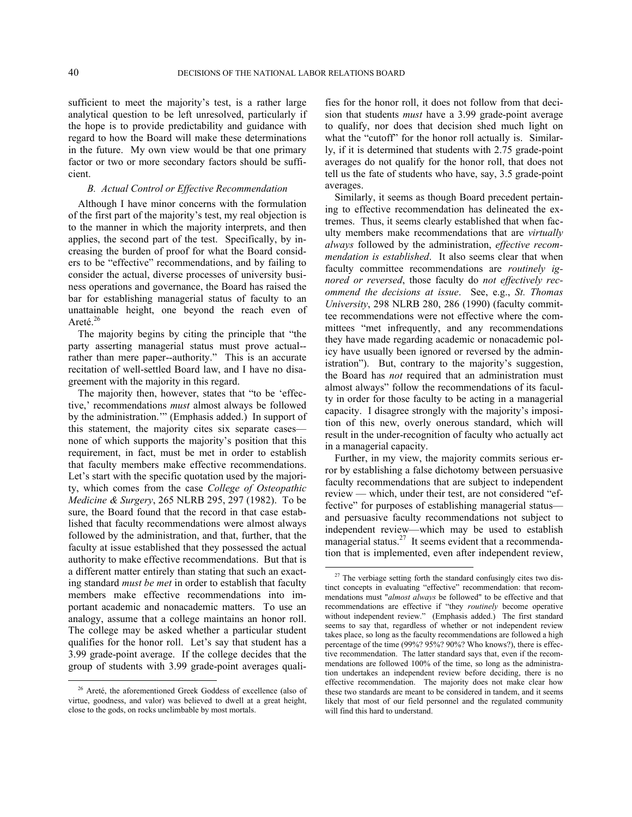sufficient to meet the majority's test, is a rather large analytical question to be left unresolved, particularly if the hope is to provide predictability and guidance with regard to how the Board will make these determinations in the future. My own view would be that one primary factor or two or more secondary factors should be sufficient.

# *B. Actual Control or Effective Recommendation*

Although I have minor concerns with the formulation of the first part of the majority's test, my real objection is to the manner in which the majority interprets, and then applies, the second part of the test. Specifically, by increasing the burden of proof for what the Board considers to be "effective" recommendations, and by failing to consider the actual, diverse processes of university business operations and governance, the Board has raised the bar for establishing managerial status of faculty to an unattainable height, one beyond the reach even of Areté. $26$ 

The majority begins by citing the principle that "the party asserting managerial status must prove actual- rather than mere paper--authority." This is an accurate recitation of well-settled Board law, and I have no disagreement with the majority in this regard.

The majority then, however, states that "to be 'effective,' recommendations *must* almost always be followed by the administration.'" (Emphasis added.) In support of this statement, the majority cites six separate cases none of which supports the majority's position that this requirement, in fact, must be met in order to establish that faculty members make effective recommendations. Let's start with the specific quotation used by the majority, which comes from the case *College of Osteopathic Medicine & Surgery*, 265 NLRB 295, 297 (1982). To be sure, the Board found that the record in that case established that faculty recommendations were almost always followed by the administration, and that, further, that the faculty at issue established that they possessed the actual authority to make effective recommendations. But that is a different matter entirely than stating that such an exacting standard *must be met* in order to establish that faculty members make effective recommendations into important academic and nonacademic matters. To use an analogy, assume that a college maintains an honor roll. The college may be asked whether a particular student qualifies for the honor roll. Let's say that student has a 3.99 grade-point average. If the college decides that the group of students with 3.99 grade-point averages quali-

<span id="page-39-1"></span>1

fies for the honor roll, it does not follow from that decision that students *must* have a 3.99 grade-point average to qualify, nor does that decision shed much light on what the "cutoff" for the honor roll actually is. Similarly, if it is determined that students with 2.75 grade-point averages do not qualify for the honor roll, that does not tell us the fate of students who have, say, 3.5 grade-point averages.

Similarly, it seems as though Board precedent pertaining to effective recommendation has delineated the extremes. Thus, it seems clearly established that when faculty members make recommendations that are *virtually always* followed by the administration, *effective recommendation is established*. It also seems clear that when faculty committee recommendations are *routinely ignored or reversed*, those faculty do *not effectively recommend the decisions at issue*. See, e.g., *St. Thomas University*, 298 NLRB 280, 286 (1990) (faculty committee recommendations were not effective where the committees "met infrequently, and any recommendations they have made regarding academic or nonacademic policy have usually been ignored or reversed by the administration"). But, contrary to the majority's suggestion, the Board has *not* required that an administration must almost always" follow the recommendations of its faculty in order for those faculty to be acting in a managerial capacity. I disagree strongly with the majority's imposition of this new, overly onerous standard, which will result in the under-recognition of faculty who actually act in a managerial capacity.

Further, in my view, the majority commits serious error by establishing a false dichotomy between persuasive faculty recommendations that are subject to independent review — which, under their test, are not considered "effective" for purposes of establishing managerial status and persuasive faculty recommendations not subject to independent review—which may be used to establish managerial status.<sup>[27](#page-39-1)</sup> It seems evident that a recommendation that is implemented, even after independent review,

<span id="page-39-0"></span><sup>&</sup>lt;sup>26</sup> Areté, the aforementioned Greek Goddess of excellence (also of virtue, goodness, and valor) was believed to dwell at a great height, close to the gods, on rocks unclimbable by most mortals.

 $27$  The verbiage setting forth the standard confusingly cites two distinct concepts in evaluating "effective" recommendation: that recommendations must "*almost always* be followed" to be effective and that recommendations are effective if "they *routinely* become operative without independent review." (Emphasis added.) The first standard seems to say that, regardless of whether or not independent review takes place, so long as the faculty recommendations are followed a high percentage of the time (99%? 95%? 90%? Who knows?), there is effective recommendation. The latter standard says that, even if the recommendations are followed 100% of the time, so long as the administration undertakes an independent review before deciding, there is no effective recommendation. The majority does not make clear how these two standards are meant to be considered in tandem, and it seems likely that most of our field personnel and the regulated community will find this hard to understand.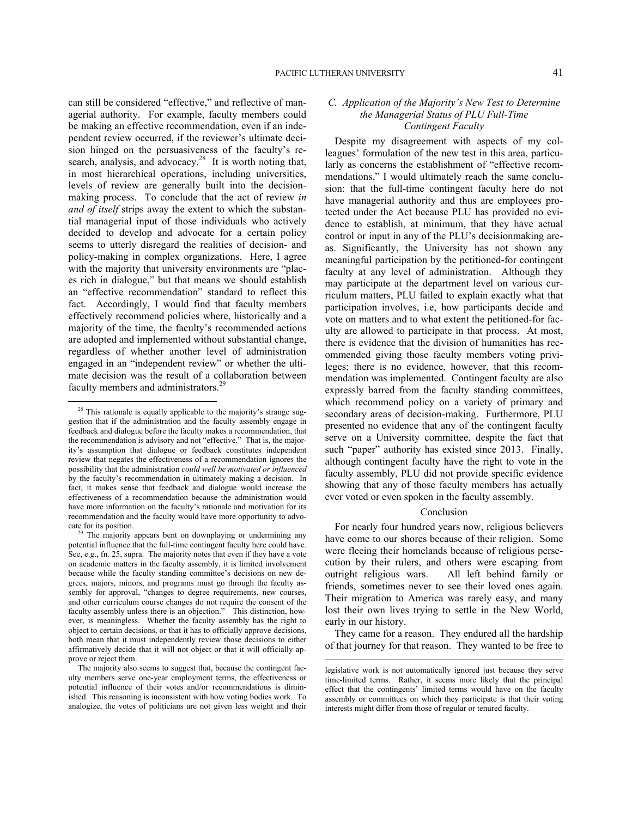can still be considered "effective," and reflective of managerial authority. For example, faculty members could be making an effective recommendation, even if an independent review occurred, if the reviewer's ultimate decision hinged on the persuasiveness of the faculty's re-search, analysis, and advocacy.<sup>[28](#page-40-0)</sup> It is worth noting that, in most hierarchical operations, including universities, levels of review are generally built into the decisionmaking process. To conclude that the act of review *in and of itself* strips away the extent to which the substantial managerial input of those individuals who actively decided to develop and advocate for a certain policy seems to utterly disregard the realities of decision- and policy-making in complex organizations. Here, I agree with the majority that university environments are "places rich in dialogue," but that means we should establish an "effective recommendation" standard to reflect this fact. Accordingly, I would find that faculty members effectively recommend policies where, historically and a majority of the time, the faculty's recommended actions are adopted and implemented without substantial change, regardless of whether another level of administration engaged in an "independent review" or whether the ultimate decision was the result of a collaboration between faculty members and administrators.<sup>[29](#page-40-1)</sup>

1

# *C. Application of the Majority's New Test to Determine the Managerial Status of PLU Full-Time Contingent Faculty*

Despite my disagreement with aspects of my colleagues' formulation of the new test in this area, particularly as concerns the establishment of "effective recommendations," I would ultimately reach the same conclusion: that the full-time contingent faculty here do not have managerial authority and thus are employees protected under the Act because PLU has provided no evidence to establish, at minimum, that they have actual control or input in any of the PLU's decisionmaking areas. Significantly, the University has not shown any meaningful participation by the petitioned-for contingent faculty at any level of administration. Although they may participate at the department level on various curriculum matters, PLU failed to explain exactly what that participation involves, i.e, how participants decide and vote on matters and to what extent the petitioned-for faculty are allowed to participate in that process. At most, there is evidence that the division of humanities has recommended giving those faculty members voting privileges; there is no evidence, however, that this recommendation was implemented. Contingent faculty are also expressly barred from the faculty standing committees, which recommend policy on a variety of primary and secondary areas of decision-making. Furthermore, PLU presented no evidence that any of the contingent faculty serve on a University committee, despite the fact that such "paper" authority has existed since 2013. Finally, although contingent faculty have the right to vote in the faculty assembly, PLU did not provide specific evidence showing that any of those faculty members has actually ever voted or even spoken in the faculty assembly.

## Conclusion

For nearly four hundred years now, religious believers have come to our shores because of their religion. Some were fleeing their homelands because of religious persecution by their rulers, and others were escaping from outright religious wars. All left behind family or friends, sometimes never to see their loved ones again. Their migration to America was rarely easy, and many lost their own lives trying to settle in the New World, early in our history.

They came for a reason. They endured all the hardship of that journey for that reason. They wanted to be free to

<span id="page-40-0"></span> $28$  This rationale is equally applicable to the majority's strange suggestion that if the administration and the faculty assembly engage in feedback and dialogue before the faculty makes a recommendation, that the recommendation is advisory and not "effective." That is, the majority's assumption that dialogue or feedback constitutes independent review that negates the effectiveness of a recommendation ignores the possibility that the administration *could well be motivated or influenced* by the faculty's recommendation in ultimately making a decision. In fact, it makes sense that feedback and dialogue would increase the effectiveness of a recommendation because the administration would have more information on the faculty's rationale and motivation for its recommendation and the faculty would have more opportunity to advocate for its position.

<span id="page-40-1"></span><sup>&</sup>lt;sup>29</sup> The majority appears bent on downplaying or undermining any potential influence that the full-time contingent faculty here could have. See, e.g., fn. 25, supra. The majority notes that even if they have a vote on academic matters in the faculty assembly, it is limited involvement because while the faculty standing committee's decisions on new degrees, majors, minors, and programs must go through the faculty assever,  $m_{ij}$ ,  $m_{ij}$ ,  $m_{ij}$ ,  $m_{ij}$ ,  $m_{ij}$ ,  $m_{ij}$ ,  $m_{ij}$ ,  $m_{ij}$ ,  $m_{ij}$ ,  $m_{ij}$ ,  $m_{ij}$ ,  $m_{ij}$ ,  $m_{ij}$ ,  $m_{ij}$ ,  $m_{ij}$ ,  $m_{ij}$ ,  $m_{ij}$ ,  $m_{ij}$ ,  $m_{ij}$ ,  $m_{ij}$ ,  $m_{ij}$ ,  $m_{ij}$ ,  $m_{ij}$ ,  $m_{ij}$ ,  $m_{ij}$ ,  $m_{ij}$ ,  $m_{ij}$ , and other curriculum course changes do not require the consent of the faculty assembly unless there is an objection." This distinction, however, is meaningless. Whether the faculty assembly has the right to object to certain decisions, or that it has to officially approve decisions, both mean that it must independently review those decisions to either affirmatively decide that it will not object or that it will officially approve or reject them.

The majority also seems to suggest that, because the contingent faculty members serve one-year employment terms, the effectiveness or potential influence of their votes and/or recommendations is diminished. This reasoning is inconsistent with how voting bodies work. To analogize, the votes of politicians are not given less weight and their

legislative work is not automatically ignored just because they serve time-limited terms. Rather, it seems more likely that the principal effect that the contingents' limited terms would have on the faculty assembly or committees on which they participate is that their voting interests might differ from those of regular or tenured faculty.